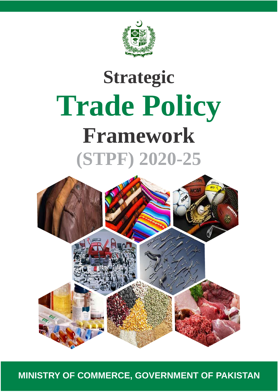

# **Strategic Trade Policy Framework (STPF) 2020-25**



**MINISTRY OF COMMERCE, GOVERNMENT OF PAKISTAN**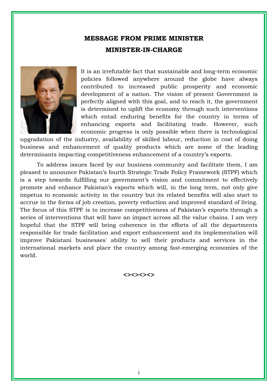# **MESSAGE FROM PRIME MINISTER**

### **MINISTER-IN-CHARGE**



It is an irrefutable fact that sustainable and long-term economic policies followed anywhere around the globe have always contributed to increased public prosperity and economic development of a nation. The vision of present Government is perfectly aligned with this goal, and to reach it, the government is determined to uplift the economy through such interventions which entail enduring benefits for the country in terms of enhancing exports and facilitating trade. However, such economic progress is only possible when there is technological

upgradation of the industry, availability of skilled labour, reduction in cost of doing business and enhancement of quality products which are some of the leading determinants impacting competitiveness enhancement of a country's exports.

To address issues faced by our business community and facilitate them, I am pleased to announce Pakistan's fourth Strategic Trade Policy Framework (STPF) which is a step towards fulfilling our government's vision and commitment to effectively promote and enhance Pakistan's exports which will, in the long term, not only give impetus to economic activity in the country but its related benefits will also start to accrue in the forms of job creation, poverty reduction and improved standard of living. The focus of this STPF is to increase competitiveness of Pakistan's exports through a series of interventions that will have an impact across all the value chains. I am very hopeful that the STPF will bring coherence in the efforts of all the departments responsible for trade facilitation and export enhancement and its implementation will improve Pakistani businesses' ability to sell their products and services in the international markets and place the country among fast-emerging economies of the world.

**<><><><>**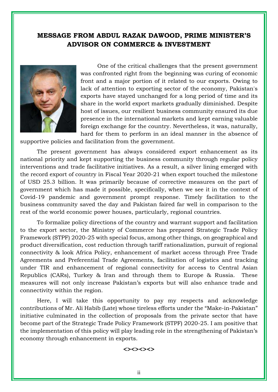# **MESSAGE FROM ABDUL RAZAK DAWOOD, PRIME MINISTER'S ADVISOR ON COMMERCE & INVESTMENT**



One of the critical challenges that the present government was confronted right from the beginning was curing of economic front and a major portion of it related to our exports. Owing to lack of attention to exporting sector of the economy, Pakistan's exports have stayed unchanged for a long period of time and its share in the world export markets gradually diminished. Despite host of issues, our resilient business community ensured its due presence in the international markets and kept earning valuable foreign exchange for the country. Nevertheless, it was, naturally, hard for them to perform in an ideal manner in the absence of

supportive policies and facilitation from the government.

The present government has always considered export enhancement as its national priority and kept supporting the business community through regular policy interventions and trade facilitative initiatives. As a result, a silver lining emerged with the record export of country in Fiscal Year 2020-21 when export touched the milestone of USD 25.3 billion. It was primarily because of corrective measures on the part of government which has made it possible, specifically, when we see it in the context of Covid-19 pandemic and government prompt response. Timely facilitation to the business community saved the day and Pakistan faired far well in comparison to the rest of the world economic power houses, particularly, regional countries.

To formalize policy directions of the country and warrant support and facilitation to the export sector, the Ministry of Commerce has prepared Strategic Trade Policy Framework (STPF) 2020-25 with special focus, among other things, on geographical and product diversification, cost reduction through tariff rationalization, pursuit of regional connectivity & look Africa Policy, enhancement of market access through Free Trade Agreements and Preferential Trade Agreements, facilitation of logistics and tracking under TIR and enhancement of regional connectivity for access to Central Asian Republics (CARs), Turkey & Iran and through them to Europe & Russia. These measures will not only increase Pakistan's exports but will also enhance trade and connectivity within the region.

Here, I will take this opportunity to pay my respects and acknowledge contributions of Mr. Ali Habib (Late) whose tireless efforts under the "Make-in-Pakistan" initiative culminated in the collection of proposals from the private sector that have become part of the Strategic Trade Policy Framework (STPF) 2020-25. I am positive that the implementation of this policy will play leading role in the strengthening of Pakistan's economy through enhancement in exports.

#### **<><><><>**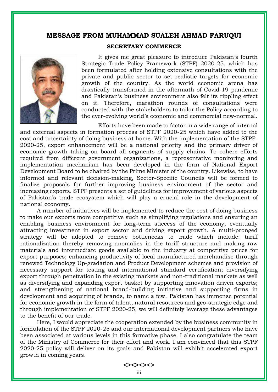# **MESSAGE FROM MUHAMMAD SUALEH AHMAD FARUQUI**



#### **SECRETARY COMMERCE**

It gives me great pleasure to introduce Pakistan's fourth Strategic Trade Policy Framework (STPF) 2020-25, which has been formulated after holding extensive consultations with the private and public sector to set realistic targets for economic growth of the country. As the world economic arena has drastically transformed in the aftermath of Covid-19 pandemic and Pakistan's business environment also felt its rippling effect on it. Therefore, marathon rounds of consultations were conducted with the stakeholders to tailor the Policy according to the ever-evolving world's economic and commercial new-normal.

Efforts have been made to factor in a wide range of internal and external aspects in formation process of STPF 2020-25 which have added to the cost and uncertainty of doing business at home. With the implementation of the STPF-2020-25, export enhancement will be a national priority and the primary driver of economic growth taking on board all segments of supply chains. To cohere efforts required from different government organizations, a representative monitoring and implementation mechanism has been developed in the form of National Export Development Board to be chaired by the Prime Minister of the country. Likewise, to have informed and relevant decision-making, Sector-Specific Councils will be formed to finalize proposals for further improving business environment of the sector and increasing exports. STPF presents a set of guidelines for improvement of various aspects of Pakistan's trade ecosystem which will play a crucial role in the development of national economy.

A number of initiatives will be implemented to reduce the cost of doing business to make our exports more competitive such as simplifying regulations and ensuring an enabling business environment for long-term success of the economy, eventually attracting investment in export sector and driving export growth. A multi-pronged strategy will be adopted to remove bottlenecks to trade which include: tariff rationalization thereby removing anomalies in the tariff structure and making raw materials and intermediate goods available to the industry at competitive prices for export purposes; enhancing productivity of local manufactured merchandise through renewed Technology Up-gradation and Product Development schemes and provision of necessary support for testing and international standard certification; diversifying export through penetration in the existing markets and non-traditional markets as well as diversifying and expanding export basket by supporting innovation driven exports; and strengthening of national brand-building initiative and supporting firms in development and acquiring of brands, to name a few.Pakistan has immense potential for economic growth in the form of talent, natural resources and geo-strategic edge and through implementation of STPF 2020-25, we will definitely leverage these advantages to the benefit of our trade.

Here, I would appreciate the cooperation extended by the business community in formulation of the STPF 2020-25 and our international development partners who have been associated at various levels in this formative phase. I also congratulate the team of the Ministry of Commerce for their effort and work. I am convinced that this STPF 2020-25 policy will deliver on its goals and Pakistan will exhibit accelerated export growth in coming years.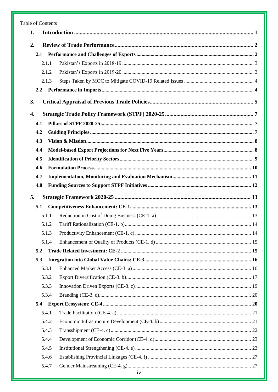#### Table of Contents

| 1.             |  |
|----------------|--|
| 2.             |  |
| 2.1            |  |
| 2.1.1          |  |
| 2.1.2          |  |
| 2.1.3          |  |
| 2.2            |  |
| 3.             |  |
| 4.             |  |
| 4.1            |  |
| 4.2            |  |
| 4.3            |  |
| 4.4            |  |
| 4.5            |  |
| 4.6            |  |
| 4.7            |  |
| 4.8            |  |
| 5.             |  |
| 5.1            |  |
| 5.1.1          |  |
| 5.1.2          |  |
| 5.1.3          |  |
| 5.1.4          |  |
| 5.2            |  |
| 5.3            |  |
| 5.3.1          |  |
| 5.3.2          |  |
| 5.3.3          |  |
| 5.3.4          |  |
| 5.4            |  |
| 5.4.1          |  |
| 5.4.2          |  |
|                |  |
| 5.4.3          |  |
| 5.4.4          |  |
| 5.4.5          |  |
| 5.4.6<br>5.4.7 |  |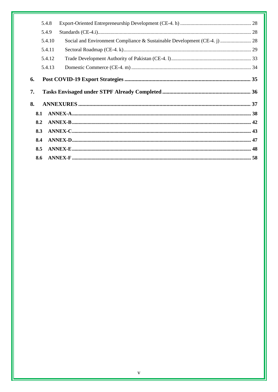|    | 5.4.8  |                                                                           |  |
|----|--------|---------------------------------------------------------------------------|--|
|    | 5.4.9  |                                                                           |  |
|    | 5.4.10 | Social and Environment Compliance & Sustainable Development (CE-4. j)  28 |  |
|    | 5.4.11 |                                                                           |  |
|    | 5.4.12 |                                                                           |  |
|    | 5.4.13 |                                                                           |  |
| 6. |        |                                                                           |  |
| 7. |        |                                                                           |  |
| 8. |        |                                                                           |  |
|    | 8.1    |                                                                           |  |
|    | 8.2    |                                                                           |  |
|    | 8.3    |                                                                           |  |
|    | 8.4    |                                                                           |  |
|    | 8.5    |                                                                           |  |
|    |        |                                                                           |  |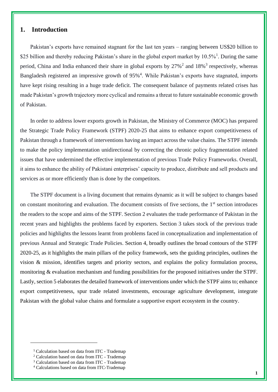# <span id="page-6-0"></span>**1. Introduction**

Pakistan's exports have remained stagnant for the last ten years – ranging between US\$20 billion to \$25 billion and thereby reducing Pakistan's share in the global export market by  $10.5\%$ <sup>1</sup>. During the same period, China and India enhanced their share in global exports by 27%<sup>2</sup> and 18%<sup>3</sup> respectively, whereas Bangladesh registered an impressive growth of 95%<sup>4</sup>. While Pakistan's exports have stagnated, imports have kept rising resulting in a huge trade deficit. The consequent balance of payments related crises has made Pakistan's growth trajectory more cyclical and remains a threat to future sustainable economic growth of Pakistan.

In order to address lower exports growth in Pakistan, the Ministry of Commerce (MOC) has prepared the Strategic Trade Policy Framework (STPF) 2020-25 that aims to enhance export competitiveness of Pakistan through a framework of interventions having an impact across the value chains. The STPF intends to make the policy implementation unidirectional by correcting the chronic policy fragmentation related issues that have undermined the effective implementation of previous Trade Policy Frameworks. Overall, it aims to enhance the ability of Pakistani enterprises' capacity to produce, distribute and sell products and services as or more efficiently than is done by the competitors.

The STPF document is a living document that remains dynamic as it will be subject to changes based on constant monitoring and evaluation. The document consists of five sections, the 1<sup>st</sup> section introduces the readers to the scope and aims of the STPF. Section 2 evaluates the trade performance of Pakistan in the recent years and highlights the problems faced by exporters. Section 3 takes stock of the previous trade policies and highlights the lessons learnt from problems faced in conceptualization and implementation of previous Annual and Strategic Trade Policies. Section 4, broadly outlines the broad contours of the STPF 2020-25, as it highlights the main pillars of the policy framework, sets the guiding principles, outlines the vision & mission, identifies targets and priority sectors, and explains the policy formulation process, monitoring & evaluation mechanism and funding possibilities for the proposed initiatives under the STPF. Lastly, section 5 elaborates the detailed framework of interventions under which the STPF aims to; enhance export competitiveness, spur trade related investments, encourage agriculture development, integrate Pakistan with the global value chains and formulate a supportive export ecosystem in the country.

<sup>1</sup> Calculation based on data from ITC - Trademap

<sup>2</sup> Calculation based on data from ITC - Trademap

<sup>3</sup> Calculation based on data from ITC - Trademap

<sup>4</sup> Calculations based on data from ITC-Trademap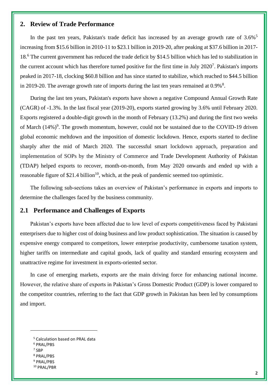# <span id="page-7-0"></span>**2. Review of Trade Performance**

In the past ten years, Pakistan's trade deficit has increased by an average growth rate of  $3.6\%$ <sup>5</sup> increasing from \$15.6 billion in 2010-11 to \$23.1 billion in 2019-20, after peaking at \$37.6 billion in 2017- 18.<sup>6</sup> The current government has reduced the trade deficit by \$14.5 billion which has led to stabilization in the current account which has therefore turned positive for the first time in July 2020<sup>7</sup>. Pakistan's imports peaked in 2017-18, clocking \$60.8 billion and has since started to stabilize, which reached to \$44.5 billion in 2019-20. The average growth rate of imports during the last ten years remained at  $0.9\%$ <sup>8</sup>.

During the last ten years, Pakistan's exports have shown a negative Compound Annual Growth Rate (CAGR) of -1.3%. In the last fiscal year (2019-20), exports started growing by 3.6% until February 2020. Exports registered a double-digit growth in the month of February (13.2%) and during the first two weeks of March  $(14%)^9$ . The growth momentum, however, could not be sustained due to the COVID-19 driven global economic meltdown and the imposition of domestic lockdown. Hence, exports started to decline sharply after the mid of March 2020. The successful smart lockdown approach, preparation and implementation of SOPs by the Ministry of Commerce and Trade Development Authority of Pakistan (TDAP) helped exports to recover, month-on-month, from May 2020 onwards and ended up with a reasonable figure of \$21.4 billion<sup>10</sup>, which, at the peak of pandemic seemed too optimistic.

The following sub-sections takes an overview of Pakistan's performance in exports and imports to determine the challenges faced by the business community.

# <span id="page-7-1"></span>**2.1 Performance and Challenges of Exports**

Pakistan's exports have been affected due to low level of exports competitiveness faced by Pakistani enterprisers due to higher cost of doing business and low product sophistication. The situation is caused by expensive energy compared to competitors, lower enterprise productivity, cumbersome taxation system, higher tariffs on intermediate and capital goods, lack of quality and standard ensuring ecosystem and unattractive regime for investment in exports-oriented sector.

In case of emerging markets, exports are the main driving force for enhancing national income. However, the relative share of exports in Pakistan's Gross Domestic Product (GDP) is lower compared to the competitor countries, referring to the fact that GDP growth in Pakistan has been led by consumptions and import.

- <sup>6</sup> PRAL/PBS
- 7 SBP
- <sup>8</sup> PRAL/PBS
- <sup>9</sup> PRAL/PBS
- <sup>10</sup> PRAL/PBR

<sup>5</sup> Calculation based on PRAL data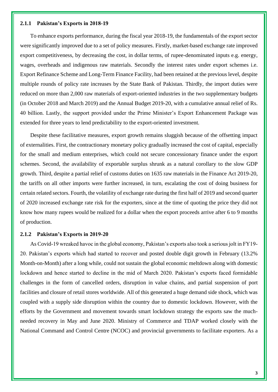#### <span id="page-8-0"></span>**2.1.1 Pakistan's Exports in 2018-19**

To enhance exports performance, during the fiscal year 2018-19, the fundamentals of the export sector were significantly improved due to a set of policy measures. Firstly, market-based exchange rate improved export competitiveness, by decreasing the cost, in dollar terms, of rupee-denominated inputs e.g. energy, wages, overheads and indigenous raw materials. Secondly the interest rates under export schemes i.e. Export Refinance Scheme and Long-Term Finance Facility, had been retained at the previous level, despite multiple rounds of policy rate increases by the State Bank of Pakistan. Thirdly, the import duties were reduced on more than 2,000 raw materials of export-oriented industries in the two supplementary budgets (in October 2018 and March 2019) and the Annual Budget 2019-20, with a cumulative annual relief of Rs. 40 billion. Lastly, the support provided under the Prime Minister's Export Enhancement Package was extended for three years to lend predictability to the export-oriented investment.

Despite these facilitative measures, export growth remains sluggish because of the offsetting impact of externalities. First, the contractionary monetary policy gradually increased the cost of capital, especially for the small and medium enterprises, which could not secure concessionary finance under the export schemes. Second, the availability of exportable surplus shrunk as a natural corollary to the slow GDP growth. Third, despite a partial relief of customs duties on 1635 raw materials in the Finance Act 2019-20, the tariffs on all other imports were further increased, in turn, escalating the cost of doing business for certain related sectors. Fourth, the volatility of exchange rate during the first half of 2019 and second quarter of 2020 increased exchange rate risk for the exporters, since at the time of quoting the price they did not know how many rupees would be realized for a dollar when the export proceeds arrive after 6 to 9 months of production.

#### <span id="page-8-1"></span>**2.1.2 Pakistan's Exports in 2019-20**

As Covid-19 wreaked havoc in the global economy, Pakistan's exports also took a serious jolt in FY19- 20. Pakistan's exports which had started to recover and posted double digit growth in February (13.2% Month-on-Month) after a long while, could not sustain the global economic meltdown along with domestic lockdown and hence started to decline in the mid of March 2020. Pakistan's exports faced formidable challenges in the form of cancelled orders, disruption in value chains, and partial suspension of port facilities and closure of retail stores worldwide. All of this generated a huge demand side shock, which was coupled with a supply side disruption within the country due to domestic lockdown. However, with the efforts by the Government and movement towards smart lockdown strategy the exports saw the muchneeded recovery in May and June 2020. Ministry of Commerce and TDAP worked closely with the National Command and Control Centre (NCOC) and provincial governments to facilitate exporters. As a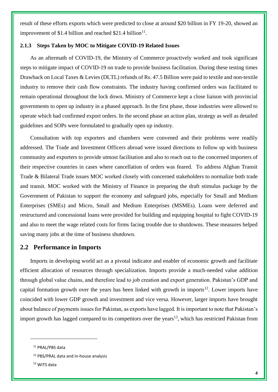result of these efforts exports which were predicted to close at around \$20 billion in FY 19-20, showed an improvement of \$1.4 billion and reached \$21.4 billion $^{11}$ .

#### <span id="page-9-0"></span>**2.1.3 Steps Taken by MOC to Mitigate COVID-19 Related Issues**

As an aftermath of COVID-19, the Ministry of Commerce proactively worked and took significant steps to mitigate impact of COVID-19 on trade to provide business facilitation. During these testing times Drawback on Local Taxes & Levies (DLTL) refunds of Rs. 47.5 Billion were paid to textile and non-textile industry to remove their cash flow constraints. The industry having confirmed orders was facilitated to remain operational throughout the lock down. Ministry of Commerce kept a close liaison with provincial governments to open up industry in a phased approach. In the first phase, those industries were allowed to operate which had confirmed export orders. In the second phase an action plan, strategy as well as detailed guidelines and SOPs were formulated to gradually open up industry.

Consultation with top exporters and chambers were convened and their problems were readily addressed. The Trade and Investment Officers abroad were issued directions to follow up with business community and exporters to provide utmost facilitation and also to reach out to the concerned importers of their respective countries in cases where cancellation of orders was feared. To address Afghan Transit Trade & Bilateral Trade issues MOC worked closely with concerned stakeholders to normalize both trade and transit. MOC worked with the Ministry of Finance in preparing the draft stimulus package by the Government of Pakistan to support the economy and safeguard jobs, especially for Small and Medium Enterprises (SMEs) and Micro, Small and Medium Enterprises (MSMEs). Loans were deferred and restructured and concessional loans were provided for building and equipping hospital to fight COVID-19 and also to meet the wage related costs for firms facing trouble due to shutdowns. These measures helped saving many jobs at the time of business shutdown.

# <span id="page-9-1"></span>**2.2 Performance in Imports**

Imports in developing world act as a pivotal indicator and enabler of economic growth and facilitate efficient allocation of resources through specialization. Imports provide a much-needed value addition through global value chains, and therefore lead to job creation and export generation. Pakistan's GDP and capital formation growth over the years has been linked with growth in imports<sup>12</sup>. Lower imports have coincided with lower GDP growth and investment and vice versa. However, larger imports have brought about balance of payments issues for Pakistan, as exports have lagged. It is important to note that Pakistan's import growth has lagged compared to its competitors over the years<sup>13</sup>, which has restricted Pakistan from

<sup>&</sup>lt;sup>11</sup> PRAL/PBS data

<sup>12</sup> PBS/PRAL data and in-house analysis

<sup>13</sup> WITS data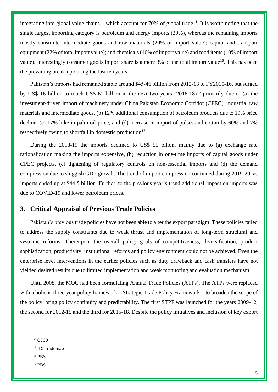integrating into global value chains – which account for 70% of global trade<sup>14</sup>. It is worth noting that the single largest importing category is petroleum and energy imports (29%), whereas the remaining imports mostly constitute intermediate goods and raw materials (20% of import value); capital and transport equipment (22% of total import value); and chemicals (16% of import value) and food items (10% of import value). Interestingly consumer goods import share is a mere  $3\%$  of the total import value<sup>15</sup>. This has been the prevailing break-up during the last ten years.

Pakistan's imports had remained stable around \$45-46 billion from 2012-13 to FY2015-16, but surged by US\$ 16 billion to touch US\$ 61 billion in the next two years  $(2016-18)^{16}$  primarily due to (a) the investment-driven import of machinery under China Pakistan Economic Corridor (CPEC), industrial raw materials and intermediate goods, (b) 12% additional consumption of petroleum products due to 19% price decline, (c) 17% hike in palm oil price, and (d) increase in import of pulses and cotton by 60% and 7% respectively owing to shortfall in domestic production $17$ .

During the 2018-19 the imports declined to US\$ 55 billon, mainly due to (a) exchange rate rationalization making the imports expensive, (b) reduction in one-time imports of capital goods under CPEC projects, (c) tightening of regulatory controls on non-essential imports and (d) the demand compression due to sluggish GDP growth. The trend of import compression continued during 2019-20, as imports ended up at \$44.5 billion. Further, to the previous year's trend additional impact on imports was due to COVID-19 and lower petroleum prices.

## <span id="page-10-0"></span>**3. Critical Appraisal of Previous Trade Policies**

Pakistan's previous trade policies have not been able to alter the export paradigm. These policies failed to address the supply constraints due to weak thrust and implementation of long-term structural and systemic reforms. Thereupon, the overall policy goals of competitiveness, diversification, product sophistication, productivity, institutional reforms and policy environment could not be achieved. Even the enterprise level interventions in the earlier policies such as duty drawback and cash transfers have not yielded desired results due to limited implementation and weak monitoring and evaluation mechanism.

Until 2008, the MOC had been formulating Annual Trade Policies (ATPs). The ATPs were replaced with a holistic three-year policy framework – Strategic Trade Policy Framework – to broaden the scope of the policy, bring policy continuity and predictability. The first STPF was launched for the years 2009-12, the second for 2012-15 and the third for 2015-18. Despite the policy initiatives and inclusion of key export

- <sup>16</sup> PBS
- <sup>17</sup> PBS

<sup>14</sup> OECD

<sup>&</sup>lt;sup>15</sup> ITC-Trademap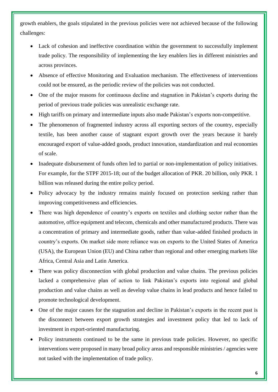growth enablers, the goals stipulated in the previous policies were not achieved because of the following challenges:

- Lack of cohesion and ineffective coordination within the government to successfully implement trade policy. The responsibility of implementing the key enablers lies in different ministries and across provinces.
- Absence of effective Monitoring and Evaluation mechanism. The effectiveness of interventions could not be ensured, as the periodic review of the policies was not conducted.
- One of the major reasons for continuous decline and stagnation in Pakistan's exports during the period of previous trade policies was unrealistic exchange rate.
- High tariffs on primary and intermediate inputs also made Pakistan's exports non-competitive.
- The phenomenon of fragmented industry across all exporting sectors of the country, especially textile, has been another cause of stagnant export growth over the years because it barely encouraged export of value-added goods, product innovation, standardization and real economies of scale.
- Inadequate disbursement of funds often led to partial or non-implementation of policy initiatives. For example, for the STPF 2015-18; out of the budget allocation of PKR. 20 billion, only PKR. 1 billion was released during the entire policy period.
- Policy advocacy by the industry remains mainly focused on protection seeking rather than improving competitiveness and efficiencies.
- There was high dependence of country's exports on textiles and clothing sector rather than the automotive, office equipment and telecom, chemicals and other manufactured products. There was a concentration of primary and intermediate goods, rather than value-added finished products in country's exports. On market side more reliance was on exports to the United States of America (USA), the European Union (EU) and China rather than regional and other emerging markets like Africa, Central Asia and Latin America.
- There was policy disconnection with global production and value chains. The previous policies lacked a comprehensive plan of action to link Pakistan's exports into regional and global production and value chains as well as develop value chains in lead products and hence failed to promote technological development.
- One of the major causes for the stagnation and decline in Pakistan's exports in the recent past is the disconnect between export growth strategies and investment policy that led to lack of investment in export-oriented manufacturing.
- Policy instruments continued to be the same in previous trade policies. However, no specific interventions were proposed in many broad policy areas and responsible ministries / agencies were not tasked with the implementation of trade policy.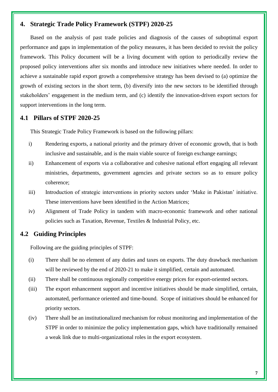# <span id="page-12-0"></span>**4. Strategic Trade Policy Framework (STPF) 2020-25**

Based on the analysis of past trade policies and diagnosis of the causes of suboptimal export performance and gaps in implementation of the policy measures, it has been decided to revisit the policy framework. This Policy document will be a living document with option to periodically review the proposed policy interventions after six months and introduce new initiatives where needed. In order to achieve a sustainable rapid export growth a comprehensive strategy has been devised to (a) optimize the growth of existing sectors in the short term, (b) diversify into the new sectors to be identified through stakeholders' engagement in the medium term, and (c) identify the innovation-driven export sectors for support interventions in the long term.

# <span id="page-12-1"></span>**4.1 Pillars of STPF 2020-25**

This Strategic Trade Policy Framework is based on the following pillars:

- i) Rendering exports, a national priority and the primary driver of economic growth, that is both inclusive and sustainable, and is the main viable source of foreign exchange earnings;
- ii) Enhancement of exports via a collaborative and cohesive national effort engaging all relevant ministries, departments, government agencies and private sectors so as to ensure policy coherence;
- iii) Introduction of strategic interventions in priority sectors under 'Make in Pakistan' initiative. These interventions have been identified in the Action Matrices;
- iv) Alignment of Trade Policy in tandem with macro-economic framework and other national policies such as Taxation, Revenue, Textiles & Industrial Policy, etc.

# <span id="page-12-2"></span>**4.2 Guiding Principles**

Following are the guiding principles of STPF:

- (i) There shall be no element of any duties and taxes on exports. The duty drawback mechanism will be reviewed by the end of 2020-21 to make it simplified, certain and automated.
- (ii) There shall be continuous regionally competitive energy prices for export-oriented sectors.
- (iii) The export enhancement support and incentive initiatives should be made simplified, certain, automated, performance oriented and time-bound. Scope of initiatives should be enhanced for priority sectors.
- (iv) There shall be an institutionalized mechanism for robust monitoring and implementation of the STPF in order to minimize the policy implementation gaps, which have traditionally remained a weak link due to multi-organizational roles in the export ecosystem.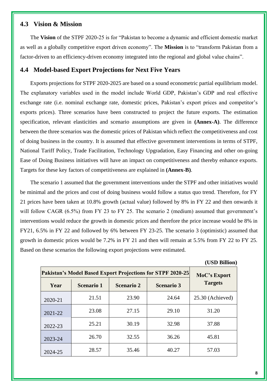# <span id="page-13-0"></span>**4.3 Vision & Mission**

The **Vision** of the STPF 2020-25 is for "Pakistan to become a dynamic and efficient domestic market as well as a globally competitive export driven economy". The **Mission** is to "transform Pakistan from a factor-driven to an efficiency-driven economy integrated into the regional and global value chains".

# <span id="page-13-1"></span>**4.4 Model-based Export Projections for Next Five Years**

Exports projections for STPF 2020-2025 are based on a sound econometric partial equilibrium model. The explanatory variables used in the model include World GDP, Pakistan's GDP and real effective exchange rate (i.e. nominal exchange rate, domestic prices, Pakistan's export prices and competitor's exports prices). Three scenarios have been constructed to project the future exports. The estimation specification, relevant elasticities and scenario assumptions are given in **(Annex-A)**. The difference between the three scenarios was the domestic prices of Pakistan which reflect the competitiveness and cost of doing business in the country. It is assumed that effective government interventions in terms of STPF, National Tariff Policy, Trade Facilitation, Technology Upgradation, Easy Financing and other on-going Ease of Doing Business initiatives will have an impact on competitiveness and thereby enhance exports. Targets for these key factors of competitiveness are explained in **(Annex-B)**.

The scenario 1 assumed that the government interventions under the STPF and other initiatives would be minimal and the prices and cost of doing business would follow a status quo trend. Therefore, for FY 21 prices have been taken at 10.8% growth (actual value) followed by 8% in FY 22 and then onwards it will follow CAGR (6.5%) from FY 23 to FY 25. The scenario 2 (medium) assumed that government's interventions would reduce the growth in domestic prices and therefore the price increase would be 8% in FY21, 6.5% in FY 22 and followed by 6% between FY 23-25. The scenario 3 (optimistic) assumed that growth in domestic prices would be 7.2% in FY 21 and then will remain at 5.5% from FY 22 to FY 25. Based on these scenarios the following export projections were estimated.

| Pakistan's Model Based Export Projections for STPF 2020-25 | MoC's Export      |                   |                   |                  |
|------------------------------------------------------------|-------------------|-------------------|-------------------|------------------|
| Year                                                       | <b>Scenario 1</b> | <b>Scenario 2</b> | <b>Scenario 3</b> | <b>Targets</b>   |
| 2020-21                                                    | 21.51             | 23.90             | 24.64             | 25.30 (Achieved) |
| 2021-22                                                    | 23.08             | 27.15             | 29.10             | 31.20            |
| 2022-23                                                    | 25.21             | 30.19             | 32.98             | 37.88            |
| 2023-24                                                    | 26.70             | 32.55             | 36.26             | 45.81            |
| 2024-25                                                    | 28.57             | 35.46             | 40.27             | 57.03            |

**(USD Billion)**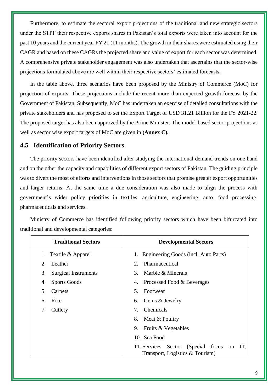Furthermore, to estimate the sectoral export projections of the traditional and new strategic sectors under the STPF their respective exports shares in Pakistan's total exports were taken into account for the past 10 years and the current year FY 21 (11 months). The growth in their shares were estimated using their CAGR and based on these CAGRs the projected share and value of export for each sector was determined. A comprehensive private stakeholder engagement was also undertaken that ascertains that the sector-wise projections formulated above are well within their respective sectors' estimated forecasts.

In the table above, three scenarios have been proposed by the Ministry of Commerce (MoC) for projection of exports. These projections include the recent more than expected growth forecast by the Government of Pakistan. Subsequently, MoC has undertaken an exercise of detailed consultations with the private stakeholders and has proposed to set the Export Target of USD 31.21 Billion for the FY 2021-22. The proposed target has also been approved by the Prime Minister. The model-based sector projections as well as sector wise export targets of MoC are given in **(Annex C).**

# <span id="page-14-0"></span>**4.5 Identification of Priority Sectors**

The priority sectors have been identified after studying the international demand trends on one hand and on the other the capacity and capabilities of different export sectors of Pakistan. The guiding principle was to divert the most of efforts and interventions in those sectors that promise greater export opportunities and larger returns. At the same time a due consideration was also made to align the process with government's wider policy priorities in textiles, agriculture, engineering, auto, food processing, pharmaceuticals and services.

Ministry of Commerce has identified following priority sectors which have been bifurcated into traditional and developmental categories:

| <b>Traditional Sectors</b> |                             | <b>Developmental Sectors</b>                                                       |
|----------------------------|-----------------------------|------------------------------------------------------------------------------------|
|                            | 1. Textile & Apparel        | Engineering Goods (incl. Auto Parts)<br>1.                                         |
| 2.                         | Leather                     | Pharmaceutical<br>2.                                                               |
| 3.                         | <b>Surgical Instruments</b> | 3.<br>Marble & Minerals                                                            |
| 4.                         | <b>Sports Goods</b>         | Processed Food & Beverages<br>4.                                                   |
| 5.                         | Carpets                     | 5 <sub>1</sub><br>Footwear                                                         |
| 6.                         | Rice                        | Gems & Jewelry<br>6.                                                               |
| 7.                         | Cutlery                     | Chemicals<br>7.                                                                    |
|                            |                             | 8.<br>Meat & Poultry                                                               |
|                            |                             | 9.<br>Fruits & Vegetables                                                          |
|                            |                             | 10. Sea Food                                                                       |
|                            |                             | 11. Services Sector (Special focus<br>IT,<br>on<br>Transport, Logistics & Tourism) |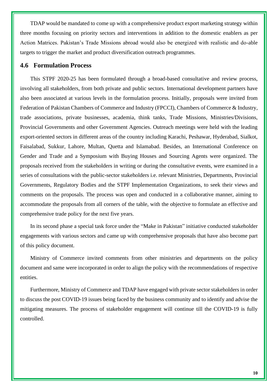TDAP would be mandated to come up with a comprehensive product export marketing strategy within three months focusing on priority sectors and interventions in addition to the domestic enablers as per Action Matrices. Pakistan's Trade Missions abroad would also be energized with realistic and do-able targets to trigger the market and product diversification outreach programmes.

# <span id="page-15-0"></span>**4.6 Formulation Process**

This STPF 2020-25 has been formulated through a broad-based consultative and review process, involving all stakeholders, from both private and public sectors. International development partners have also been associated at various levels in the formulation process. Initially, proposals were invited from Federation of Pakistan Chambers of Commerce and Industry (FPCCI), Chambers of Commerce & Industry, trade associations, private businesses, academia, think tanks, Trade Missions, Ministries/Divisions, Provincial Governments and other Government Agencies. Outreach meetings were held with the leading export-oriented sectors in different areas of the country including Karachi, Peshawar, Hyderabad, Sialkot, Faisalabad, Sukkur, Lahore, Multan, Quetta and Islamabad. Besides, an International Conference on Gender and Trade and a Symposium with Buying Houses and Sourcing Agents were organized. The proposals received from the stakeholders in writing or during the consultative events, were examined in a series of consultations with the public-sector stakeholders i.e. relevant Ministries, Departments, Provincial Governments, Regulatory Bodies and the STPF Implementation Organizations, to seek their views and comments on the proposals. The process was open and conducted in a collaborative manner, aiming to accommodate the proposals from all corners of the table, with the objective to formulate an effective and comprehensive trade policy for the next five years.

In its second phase a special task force under the "Make in Pakistan" initiative conducted stakeholder engagements with various sectors and came up with comprehensive proposals that have also become part of this policy document.

Ministry of Commerce invited comments from other ministries and departments on the policy document and same were incorporated in order to align the policy with the recommendations of respective entities.

Furthermore, Ministry of Commerce and TDAP have engaged with private sector stakeholders in order to discuss the post COVID-19 issues being faced by the business community and to identify and advise the mitigating measures. The process of stakeholder engagement will continue till the COVID-19 is fully controlled.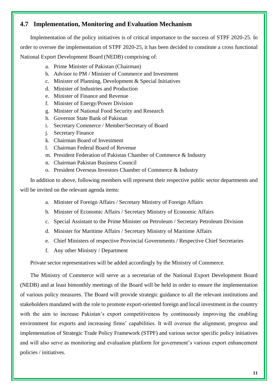# <span id="page-16-0"></span>**4.7 Implementation, Monitoring and Evaluation Mechanism**

Implementation of the policy initiatives is of critical importance to the success of STPF 2020-25. In order to oversee the implementation of STPF 2020-25, it has been decided to constitute a cross functional National Export Development Board (NEDB) comprising of:

- a. Prime Minister of Pakistan (Chairman)
- b. Advisor to PM / Minister of Commerce and Investment
- c. Minister of Planning, Development & Special Initiatives
- d. Minister of Industries and Production
- e. Minister of Finance and Revenue
- f. Minister of Energy/Power Division
- g. Minister of National Food Security and Research
- h. Governor State Bank of Pakistan
- i. Secretary Commerce / Member/Secretary of Board
- j. Secretary Finance
- k. Chairman Board of Investment
- l. Chairman Federal Board of Revenue
- m. President Federation of Pakistan Chamber of Commerce & Industry
- n. Chairman Pakistan Business Council
- o. President Overseas Investors Chamber of Commerce & Industry

In addition to above, following members will represent their respective public sector departments and will be invited on the relevant agenda items:

- a. Minister of Foreign Affairs / Secretary Ministry of Foreign Affairs
- b. Minister of Economic Affairs / Secretary Ministry of Economic Affairs
- c. Special Assistant to the Prime Minister on Petroleum / Secretary Petroleum Division
- d. Minister for Maritime Affairs / Secretary Ministry of Maritime Affairs
- e. Chief Ministers of respective Provincial Governments / Respective Chief Secretaries
- f. Any other Ministry / Department

Private sector representatives will be added accordingly by the Ministry of Commerce.

The Ministry of Commerce will serve as a secretariat of the National Export Development Board (NEDB) and at least bimonthly meetings of the Board will be held in order to ensure the implementation of various policy measures. The Board will provide strategic guidance to all the relevant institutions and stakeholders mandated with the role to promote export-oriented foreign and local investment in the country with the aim to increase Pakistan's export competitiveness by continuously improving the enabling environment for exports and increasing firms' capabilities. It will oversee the alignment, progress and implementation of Strategic Trade Policy Framework (STPF) and various sector specific policy initiatives and will also serve as monitoring and evaluation platform for government's various export enhancement policies / initiatives.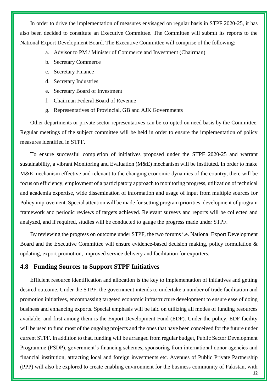In order to drive the implementation of measures envisaged on regular basis in STPF 2020-25, it has also been decided to constitute an Executive Committee. The Committee will submit its reports to the National Export Development Board. The Executive Committee will comprise of the following:

- a. Advisor to PM / Minister of Commerce and Investment (Chairman)
- b. Secretary Commerce
- c. Secretary Finance
- d. Secretary Industries
- e. Secretary Board of Investment
- f. Chairman Federal Board of Revenue
- g. Representatives of Provincial, GB and AJK Governments

Other departments or private sector representatives can be co-opted on need basis by the Committee. Regular meetings of the subject committee will be held in order to ensure the implementation of policy measures identified in STPF.

To ensure successful completion of initiatives proposed under the STPF 2020-25 and warrant sustainability, a vibrant Monitoring and Evaluation (M&E) mechanism will be instituted. In order to make M&E mechanism effective and relevant to the changing economic dynamics of the country, there will be focus on efficiency, employment of a participatory approach to monitoring progress, utilization of technical and academia expertise, wide dissemination of information and usage of input from multiple sources for Policy improvement. Special attention will be made for setting program priorities, development of program framework and periodic reviews of targets achieved. Relevant surveys and reports will be collected and analyzed, and if required, studies will be conducted to gauge the progress made under STPF.

By reviewing the progress on outcome under STPF, the two forums i.e. National Export Development Board and the Executive Committee will ensure evidence-based decision making, policy formulation & updating, export promotion, improved service delivery and facilitation for exporters.

# <span id="page-17-0"></span>**4.8 Funding Sources to Support STPF Initiatives**

Efficient resource identification and allocation is the key to implementation of initiatives and getting desired outcome. Under the STPF, the government intends to undertake a number of trade facilitation and promotion initiatives, encompassing targeted economic infrastructure development to ensure ease of doing business and enhancing exports. Special emphasis will be laid on utilizing all modes of funding resources available, and first among them is the Export Development Fund (EDF). Under the policy, EDF facility will be used to fund most of the ongoing projects and the ones that have been conceived for the future under current STPF. In addition to that, funding will be arranged from regular budget, Public Sector Development Programme (PSDP), government's financing schemes, sponsoring from international donor agencies and financial institution, attracting local and foreign investments etc. Avenues of Public Private Partnership (PPP) will also be explored to create enabling environment for the business community of Pakistan, with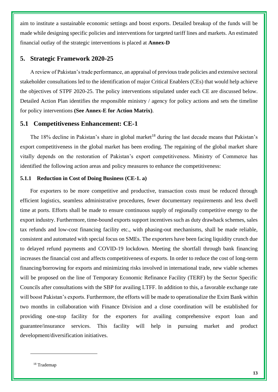aim to institute a sustainable economic settings and boost exports. Detailed breakup of the funds will be made while designing specific policies and interventions for targeted tariff lines and markets. An estimated financial outlay of the strategic interventions is placed at **Annex-D**

# <span id="page-18-0"></span>**5. Strategic Framework 2020-25**

A review of Pakistan's trade performance, an appraisal of previous trade policies and extensive sectoral stakeholder consultations led to the identification of major Critical Enablers (CEs) that would help achieve the objectives of STPF 2020-25. The policy interventions stipulated under each CE are discussed below. Detailed Action Plan identifies the responsible ministry / agency for policy actions and sets the timeline for policy interventions **(See Annex-E for Action Matrix)**.

## <span id="page-18-1"></span>**5.1 Competitiveness Enhancement: CE-1**

The 18% decline in Pakistan's share in global market<sup>18</sup> during the last decade means that Pakistan's export competitiveness in the global market has been eroding. The regaining of the global market share vitally depends on the restoration of Pakistan's export competitiveness. Ministry of Commerce has identified the following action areas and policy measures to enhance the competitiveness:

#### <span id="page-18-2"></span>**5.1.1 Reduction in Cost of Doing Business (CE-1. a)**

For exporters to be more competitive and productive, transaction costs must be reduced through efficient logistics, seamless administrative procedures, fewer documentary requirements and less dwell time at ports. Efforts shall be made to ensure continuous supply of regionally competitive energy to the export industry. Furthermore, time-bound exports support incentives such as duty drawback schemes, sales tax refunds and low-cost financing facility etc., with phasing-out mechanisms, shall be made reliable, consistent and automated with special focus on SMEs. The exporters have been facing liquidity crunch due to delayed refund payments and COVID-19 lockdown. Meeting the shortfall through bank financing increases the financial cost and affects competitiveness of exports. In order to reduce the cost of long-term financing/borrowing for exports and minimizing risks involved in international trade, new viable schemes will be proposed on the line of Temporary Economic Refinance Facility (TERF) by the Sector Specific Councils after consultations with the SBP for availing LTFF. In addition to this, a favorable exchange rate will boost Pakistan's exports. Furthermore, the efforts will be made to operationalize the Exim Bank within two months in collaboration with Finance Division and a close coordination will be established for providing one-stop facility for the exporters for availing comprehensive export loan and guarantee/insurance services. This facility will help in pursuing market and product development/diversification initiatives.

<sup>18</sup> Trademap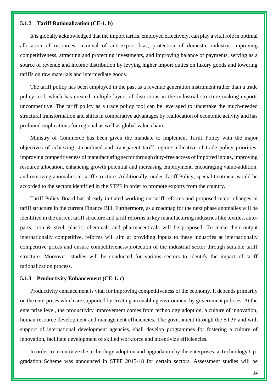#### <span id="page-19-0"></span>**5.1.2 Tariff Rationalization (CE-1. b)**

It is globally acknowledged that the import tariffs, employed effectively, can play a vital role in optimal allocation of resources, removal of anti-export bias, protection of domestic industry, improving competitiveness, attracting and protecting investments, and improving balance of payments, serving as a source of revenue and income distribution by levying higher import duties on luxury goods and lowering tariffs on raw materials and intermediate goods.

The tariff policy has been employed in the past as a revenue generation instrument rather than a trade policy tool, which has created multiple layers of distortions in the industrial structure making exports uncompetitive. The tariff policy as a trade policy tool can be leveraged to undertake the much-needed structural transformation and shifts in comparative advantages by reallocation of economic activity and has profound implications for regional as well as global value chain.

Ministry of Commerce has been given the mandate to implement Tariff Policy with the major objectives of achieving streamlined and transparent tariff regime indicative of trade policy priorities, improving competitiveness of manufacturing sector through duty-free access of imported inputs, improving resource allocation, enhancing growth potential and increasing employment, encouraging value-addition, and removing anomalies in tariff structure. Additionally, under Tariff Policy, special treatment would be accorded to the sectors identified in the STPF in order to promote exports from the country.

Tariff Policy Board has already initiated working on tariff reforms and proposed major changes in tariff structure in the current Finance Bill. Furthermore, as a roadmap for the next phase anomalies will be identified in the current tariff structure and tariff reforms in key manufacturing industries like textiles, autoparts, iron & steel, plastic, chemicals and pharmaceuticals will be proposed. To make their output internationally competitive, reforms will aim at providing inputs to these industries at internationally competitive prices and ensure competitiveness/protection of the industrial sector through suitable tariff structure. Moreover, studies will be conducted for various sectors to identify the impact of tariff rationalization process.

#### <span id="page-19-1"></span>**5.1.3 Productivity Enhancement (CE-1. c)**

Productivity enhancement is vital for improving competitiveness of the economy. It depends primarily on the enterprises which are supported by creating an enabling environment by government policies. At the enterprise level, the productivity improvement comes from technology adoption, a culture of innovation, human resource development and management efficiencies. The government through the STPF and with support of international development agencies, shall develop programmes for fostering a culture of innovation, facilitate development of skilled workforce and incentivize efficiencies.

In order to incentivize the technology adoption and upgradation by the enterprises, a Technology Upgradation Scheme was announced in STPF 2015-18 for certain sectors. Assessment studies will be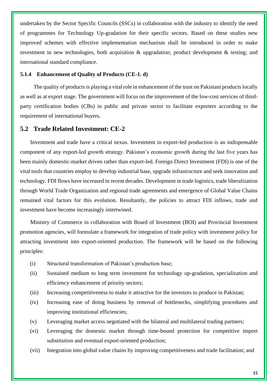undertaken by the Sector Specific Councils (SSCs) in collaboration with the industry to identify the need of programmes for Technology Up-gradation for their specific sectors. Based on these studies new improved schemes with effective implementation mechanism shall be introduced in order to make investment in new technologies, both acquisition & upgradation; product development & testing; and international standard compliance.

## <span id="page-20-0"></span>**5.1.4 Enhancement of Quality of Products (CE-1. d)**

The quality of products is playing a vital role in enhancement of the trust on Pakistani products locally as well as at export stage. The government will focus on the improvement of the low-cost services of thirdparty certification bodies (CBs) in public and private sector to facilitate exporters according to the requirement of international buyers.

# <span id="page-20-1"></span>**5.2 Trade Related Investment: CE-2**

Investment and trade have a critical nexus. Investment in export-led production is an indispensable component of any export-led growth strategy. Pakistan's economic growth during the last five years has been mainly domestic-market driven rather than export-led. Foreign Direct Investment (FDI) is one of the vital tools that countries employ to develop industrial base, upgrade infrastructure and seek innovation and technology. FDI flows have increased in recent decades. Development in trade logistics, trade liberalization through World Trade Organization and regional trade agreements and emergence of Global Value Chains remained vital factors for this evolution. Resultantly, the policies to attract FDI inflows, trade and investment have become increasingly intertwined.

Ministry of Commerce in collaboration with Board of Investment (BOI) and Provincial Investment promotion agencies, will formulate a framework for integration of trade policy with investment policy for attracting investment into export-oriented production. The framework will be based on the following principles:

- (i) Structural transformation of Pakistan's production base;
- (ii) Sustained medium to long term investment for technology up-gradation, specialization and efficiency enhancement of priority sectors;
- (iii) Increasing competitiveness to make it attractive for the investors to produce in Pakistan;
- (iv) Increasing ease of doing business by removal of bottlenecks, simplifying procedures and improving institutional efficiencies;
- (v) Leveraging market access negotiated with the bilateral and multilateral trading partners;
- (vi) Leveraging the domestic market through time-bound protection for competitive import substitution and eventual export-oriented production;
- (vii) Integration into global value chains by improving competitiveness and trade facilitation; and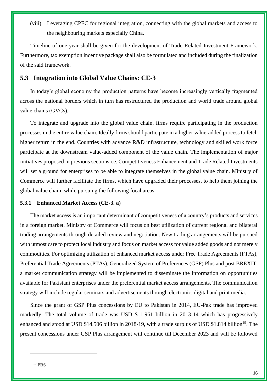(viii) Leveraging CPEC for regional integration, connecting with the global markets and access to the neighbouring markets especially China.

Timeline of one year shall be given for the development of Trade Related Investment Framework. Furthermore, tax exemption incentive package shall also be formulated and included during the finalization of the said framework.

# <span id="page-21-0"></span>**5.3 Integration into Global Value Chains: CE-3**

In today's global economy the production patterns have become increasingly vertically fragmented across the national borders which in turn has restructured the production and world trade around global value chains (GVCs).

To integrate and upgrade into the global value chain, firms require participating in the production processes in the entire value chain. Ideally firms should participate in a higher value-added process to fetch higher return in the end. Countries with advance R&D infrastructure, technology and skilled work force participate at the downstream value-added component of the value chain. The implementation of major initiatives proposed in previous sections i.e. Competitiveness Enhancement and Trade Related Investments will set a ground for enterprises to be able to integrate themselves in the global value chain. Ministry of Commerce will further facilitate the firms, which have upgraded their processes, to help them joining the global value chain, while pursuing the following focal areas:

## <span id="page-21-1"></span>**5.3.1 Enhanced Market Access (CE-3. a)**

The market access is an important determinant of competitiveness of a country's products and services in a foreign market. Ministry of Commerce will focus on best utilization of current regional and bilateral trading arrangements through detailed review and negotiation. New trading arrangements will be pursued with utmost care to protect local industry and focus on market access for value added goods and not merely commodities. For optimizing utilization of enhanced market access under Free Trade Agreements (FTAs), Preferential Trade Agreements (PTAs), Generalized System of Preferences (GSP) Plus and post BREXIT, a market communication strategy will be implemented to disseminate the information on opportunities available for Pakistani enterprises under the preferential market access arrangements. The communication strategy will include regular seminars and advertisements through electronic, digital and print media.

Since the grant of GSP Plus concessions by EU to Pakistan in 2014, EU-Pak trade has improved markedly. The total volume of trade was USD \$11.961 billion in 2013-14 which has progressively enhanced and stood at USD \$14.506 billion in 2018-19, with a trade surplus of USD \$1.814 billion<sup>19</sup>. The present concessions under GSP Plus arrangement will continue till December 2023 and will be followed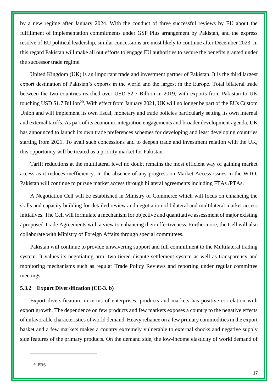by a new regime after January 2024. With the conduct of three successful reviews by EU about the fulfillment of implementation commitments under GSP Plus arrangement by Pakistan, and the express resolve of EU political leadership, similar concessions are most likely to continue after December 2023. In this regard Pakistan will make all out efforts to engage EU authorities to secure the benefits granted under the successor trade regime.

United Kingdom (UK) is an important trade and investment partner of Pakistan. It is the third largest export destination of Pakistan's exports in the world and the largest in the Europe. Total bilateral trade between the two countries reached over USD \$2.7 Billion in 2019, with exports from Pakistan to UK touching USD \$1.7 Billion<sup>20</sup>. With effect from January 2021, UK will no longer be part of the EUs Custom Union and will implement its own fiscal, monetary and trade policies particularly setting its own internal and external tariffs. As part of its economic integration engagements and broader development agenda, UK has announced to launch its own trade preferences schemes for developing and least developing countries starting from 2021. To avail such concessions and to deepen trade and investment relation with the UK, this opportunity will be treated as a priority market for Pakistan.

Tariff reductions at the multilateral level no doubt remains the most efficient way of gaining market access as it reduces inefficiency. In the absence of any progress on Market Access issues in the WTO, Pakistan will continue to pursue market access through bilateral agreements including FTAs /PTAs.

A Negotiation Cell will be established in Ministry of Commerce which will focus on enhancing the skills and capacity building for detailed review and negotiation of bilateral and multilateral market access initiatives. The Cell will formulate a mechanism for objective and quantitative assessment of major existing / proposed Trade Agreements with a view to enhancing their effectiveness. Furthermore, the Cell will also collaborate with Ministry of Foreign Affairs through special committees.

Pakistan will continue to provide unwavering support and full commitment to the Multilateral trading system. It values its negotiating arm, two-tiered dispute settlement system as well as transparency and monitoring mechanisms such as regular Trade Policy Reviews and reporting under regular committee meetings.

#### <span id="page-22-0"></span>**5.3.2 Export Diversification (CE-3. b)**

Export diversification, in terms of enterprises, products and markets has positive correlation with export growth. The dependence on few products and few markets exposes a country to the negative effects of unfavorable characteristics of world demand. Heavy reliance on a few primary commodities in the export basket and a few markets makes a country extremely vulnerable to external shocks and negative supply side features of the primary products. On the demand side, the low-income elasticity of world demand of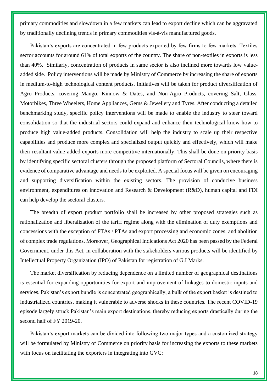primary commodities and slowdown in a few markets can lead to export decline which can be aggravated by traditionally declining trends in primary commodities vis-à-vis manufactured goods.

Pakistan's exports are concentrated in few products exported by few firms to few markets. Textiles sector accounts for around 61% of total exports of the country. The share of non-textiles in exports is less than 40%. Similarly, concentration of products in same sector is also inclined more towards low valueadded side. Policy interventions will be made by Ministry of Commerce by increasing the share of exports in medium-to-high technological content products. Initiatives will be taken for product diversification of Agro Products, covering Mango, Kinnow & Dates, and Non-Agro Products, covering Salt, Glass, Motorbikes, Three Wheelers, Home Appliances, Gems & Jewellery and Tyres. After conducting a detailed benchmarking study, specific policy interventions will be made to enable the industry to steer toward consolidation so that the industrial sectors could expand and enhance their technological know-how to produce high value-added products. Consolidation will help the industry to scale up their respective capabilities and produce more complex and specialized output quickly and effectively, which will make their resultant value-added exports more competitive internationally. This shall be done on priority basis by identifying specific sectoral clusters through the proposed platform of Sectoral Councils, where there is evidence of comparative advantage and needs to be exploited. A special focus will be given on encouraging and supporting diversification within the existing sectors. The provision of conducive business environment, expenditures on innovation and Research & Development (R&D), human capital and FDI can help develop the sectoral clusters.

The breadth of export product portfolio shall be increased by other proposed strategies such as rationalization and liberalization of the tariff regime along with the elimination of duty exemptions and concessions with the exception of FTAs / PTAs and export processing and economic zones, and abolition of complex trade regulations. Moreover, Geographical Indications Act 2020 has been passed by the Federal Government, under this Act, in collaboration with the stakeholders various products will be identified by Intellectual Property Organization (IPO) of Pakistan for registration of G.I Marks.

The market diversification by reducing dependence on a limited number of geographical destinations is essential for expanding opportunities for export and improvement of linkages to domestic inputs and services. Pakistan's export bundle is concentrated geographically, a bulk of the export basket is destined to industrialized countries, making it vulnerable to adverse shocks in these countries. The recent COVID-19 episode largely struck Pakistan's main export destinations, thereby reducing exports drastically during the second half of FY 2019-20.

Pakistan's export markets can be divided into following two major types and a customized strategy will be formulated by Ministry of Commerce on priority basis for increasing the exports to these markets with focus on facilitating the exporters in integrating into GVC: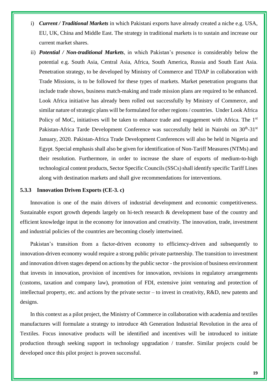- i) *Current / Traditional Markets* in which Pakistani exports have already created a niche e.g. USA, EU, UK, China and Middle East. The strategy in traditional markets is to sustain and increase our current market shares.
- ii) *Potential / Non-traditional Markets*, in which Pakistan's presence is considerably below the potential e.g. South Asia, Central Asia, Africa, South America, Russia and South East Asia. Penetration strategy, to be developed by Ministry of Commerce and TDAP in collaboration with Trade Missions, is to be followed for these types of markets. Market penetration programs that include trade shows, business match-making and trade mission plans are required to be enhanced. Look Africa initiative has already been rolled out successfully by Ministry of Commerce, and similar nature of strategic plans will be formulated for other regions / countries. Under Look Africa Policy of MoC, initiatives will be taken to enhance trade and engagement with Africa. The 1<sup>st</sup> Pakistan-Africa Tarde Development Conference was successfully held in Nairobi on 30<sup>th</sup>-31<sup>st</sup> January, 2020. Pakistan-Africa Trade Development Conferences will also be held in Nigeria and Egypt. Special emphasis shall also be given for identification of Non-Tariff Measures (NTMs) and their resolution. Furthermore, in order to increase the share of exports of medium-to-high technological content products, Sector Specific Councils (SSCs) shall identify specific Tariff Lines along with destination markets and shall give recommendations for interventions.

#### <span id="page-24-0"></span>**5.3.3 Innovation Driven Exports (CE-3. c)**

Innovation is one of the main drivers of industrial development and economic competitiveness. Sustainable export growth depends largely on hi-tech research & development base of the country and efficient knowledge input in the economy for innovation and creativity. The innovation, trade, investment and industrial policies of the countries are becoming closely intertwined.

Pakistan's transition from a factor-driven economy to efficiency-driven and subsequently to innovation-driven economy would require a strong public private partnership. The transition to investment and innovation driven stages depend on actions by the public sector - the provision of business environment that invests in innovation, provision of incentives for innovation, revisions in regulatory arrangements (customs, taxation and company law), promotion of FDI, extensive joint venturing and protection of intellectual property, etc. and actions by the private sector – to invest in creativity, R&D, new patents and designs.

In this context as a pilot project, the Ministry of Commerce in collaboration with academia and textiles manufactures will formulate a strategy to introduce 4th Generation Industrial Revolution in the area of Textiles. Focus innovative products will be identified and incentives will be introduced to initiate production through seeking support in technology upgradation / transfer. Similar projects could be developed once this pilot project is proven successful.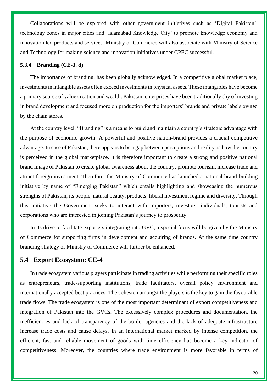Collaborations will be explored with other government initiatives such as 'Digital Pakistan', technology zones in major cities and 'Islamabad Knowledge City' to promote knowledge economy and innovation led products and services. Ministry of Commerce will also associate with Ministry of Science and Technology for making science and innovation initiatives under CPEC successful.

#### <span id="page-25-0"></span>**5.3.4 Branding (CE-3. d)**

The importance of branding, has been globally acknowledged. In a competitive global market place, investments in intangible assets often exceed investments in physical assets. These intangibles have become a primary source of value creation and wealth. Pakistani enterprises have been traditionally shy of investing in brand development and focused more on production for the importers' brands and private labels owned by the chain stores.

At the country level, "Branding" is a means to build and maintain a country's strategic advantage with the purpose of economic growth. A powerful and positive nation-brand provides a crucial competitive advantage. In case of Pakistan, there appears to be a gap between perceptions and reality as how the country is perceived in the global marketplace. It is therefore important to create a strong and positive national brand image of Pakistan to create global awareness about the country, promote tourism, increase trade and attract foreign investment. Therefore, the Ministry of Commerce has launched a national brand-building initiative by name of "Emerging Pakistan" which entails highlighting and showcasing the numerous strengths of Pakistan, its people, natural beauty, products, liberal investment regime and diversity. Through this initiative the Government seeks to interact with importers, investors, individuals, tourists and corporations who are interested in joining Pakistan's journey to prosperity.

In its drive to facilitate exporters integrating into GVC, a special focus will be given by the Ministry of Commerce for supporting firms in development and acquiring of brands. At the same time country branding strategy of Ministry of Commerce will further be enhanced.

# <span id="page-25-1"></span>**5.4 Export Ecosystem: CE-4**

In trade ecosystem various players participate in trading activities while performing their specific roles as entrepreneurs, trade-supporting institutions, trade facilitators, overall policy environment and internationally accepted best practices. The cohesion amongst the players is the key to gain the favourable trade flows. The trade ecosystem is one of the most important determinant of export competitiveness and integration of Pakistan into the GVCs. The excessively complex procedures and documentation, the inefficiencies and lack of transparency of the border agencies and the lack of adequate infrastructure increase trade costs and cause delays. In an international market marked by intense competition, the efficient, fast and reliable movement of goods with time efficiency has become a key indicator of competitiveness. Moreover, the countries where trade environment is more favorable in terms of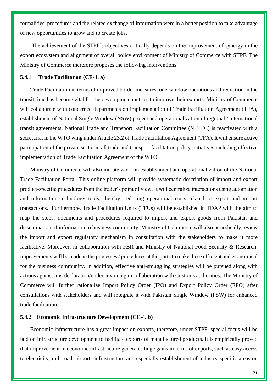formalities, procedures and the related exchange of information were in a better position to take advantage of new opportunities to grow and to create jobs.

The achievement of the STPF's objectives critically depends on the improvement of synergy in the export ecosystem and alignment of overall policy environment of Ministry of Commerce with STPF. The Ministry of Commerce therefore proposes the following interventions.

#### <span id="page-26-0"></span>**5.4.1 Trade Facilitation (CE-4. a)**

Trade Facilitation in terms of improved border measures, one-window operations and reduction in the transit time has become vital for the developing countries to improve their exports. Ministry of Commerce will collaborate with concerned departments on implementation of Trade Facilitation Agreement (TFA), establishment of National Single Window (NSW) project and operationalization of regional / international transit agreements. National Trade and Transport Facilitation Committee (NTTFC) is reactivated with a secretariat in the WTO wing under Article 23.2 of Trade Facilitation Agreement (TFA). It will ensure active participation of the private sector in all trade and transport facilitation policy initiatives including effective implementation of Trade Facilitation Agreement of the WTO.

Ministry of Commerce will also initiate work on establishment and operationalization of the National Trade Facilitation Portal. This online platform will provide systematic description of import and export product-specific procedures from the trader's point of view. It will centralize interactions using automation and information technology tools, thereby, reducing operational costs related to export and import transactions. Furthermore, Trade Facilitation Units (TFUs) will be established in TDAP with the aim to map the steps, documents and procedures required to import and export goods from Pakistan and dissemination of information to business community. Ministry of Commerce will also periodically review the import and export regulatory mechanism in consultation with the stakeholders to make it more facilitative. Moreover, in collaboration with FBR and Ministry of National Food Security & Research, improvements will be made in the processes / procedures at the ports to make these efficient and economical for the business community. In addition, effective anti-smuggling strategies will be pursued along with actions against mis-declaration/under-invoicing in collaboration with Customs authorities. The Ministry of Commerce will further rationalize Import Policy Order (IPO) and Export Policy Order (EPO) after consultations with stakeholders and will integrate it with Pakistan Single Window (PSW) for enhanced trade facilitation.

#### <span id="page-26-1"></span>**5.4.2 Economic Infrastructure Development (CE-4. b)**

Economic infrastructure has a great impact on exports, therefore, under STPF, special focus will be laid on infrastructure development to facilitate exports of manufactured products. It is empirically proved that improvement in economic infrastructure generates huge gains in terms of exports, such as easy access to electricity, rail, road, airports infrastructure and especially establishment of industry-specific areas on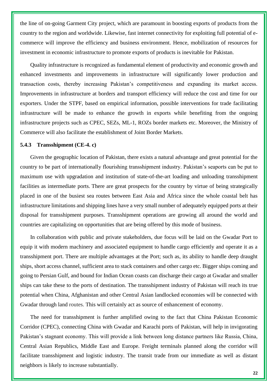the line of on-going Garment City project, which are paramount in boosting exports of products from the country to the region and worldwide. Likewise, fast internet connectivity for exploiting full potential of ecommerce will improve the efficiency and business environment. Hence, mobilization of resources for investment in economic infrastructure to promote exports of products is inevitable for Pakistan.

Quality infrastructure is recognized as fundamental element of productivity and economic growth and enhanced investments and improvements in infrastructure will significantly lower production and transaction costs, thereby increasing Pakistan's competitiveness and expanding its market access. Improvements in infrastructure at borders and transport efficiency will reduce the cost and time for our exporters. Under the STPF, based on empirical information, possible interventions for trade facilitating infrastructure will be made to enhance the growth in exports while benefiting from the ongoing infrastructure projects such as CPEC, SEZs, ML-1, ROZs border markets etc. Moreover, the Ministry of Commerce will also facilitate the establishment of Joint Border Markets.

#### <span id="page-27-0"></span>**5.4.3 Transshipment (CE-4. c)**

Given the geographic location of Pakistan, there exists a natural advantage and great potential for the country to be part of internationally flourishing transshipment industry. Pakistan's seaports can be put to maximum use with upgradation and institution of state-of-the-art loading and unloading transshipment facilities as intermediate ports. There are great prospects for the country by virtue of being strategically placed in one of the busiest sea routes between East Asia and Africa since the whole coastal belt has infrastructure limitations and shipping lines have a very small number of adequately equipped ports at their disposal for transshipment purposes. Transshipment operations are growing all around the world and countries are capitalizing on opportunities that are being offered by this mode of business.

In collaboration with public and private stakeholders, due focus will be laid on the Gwadar Port to equip it with modern machinery and associated equipment to handle cargo efficiently and operate it as a transshipment port. There are multiple advantages at the Port; such as, its ability to handle deep draught ships, short access channel, sufficient area to stack containers and other cargo etc. Bigger ships coming and going to Persian Gulf, and bound for Indian Ocean coasts can discharge their cargo at Gwadar and smaller ships can take these to the ports of destination. The transshipment industry of Pakistan will reach its true potential when China, Afghanistan and other Central Asian landlocked economies will be connected with Gwadar through land routes. This will certainly act as source of enhancement of economy.

The need for transshipment is further amplified owing to the fact that China Pakistan Economic Corridor (CPEC), connecting China with Gwadar and Karachi ports of Pakistan, will help in invigorating Pakistan's stagnant economy. This will provide a link between long distance partners like Russia, China, Central Asian Republics, Middle East and Europe. Freight terminals planned along the corridor will facilitate transshipment and logistic industry. The transit trade from our immediate as well as distant neighbors is likely to increase substantially.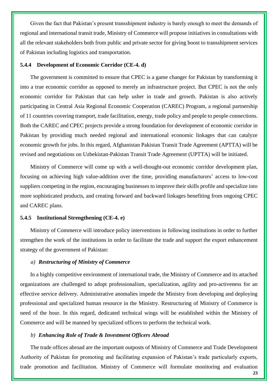Given the fact that Pakistan's present transshipment industry is barely enough to meet the demands of regional and international transit trade, Ministry of Commerce will propose initiatives in consultations with all the relevant stakeholders both from public and private sector for giving boost to transshipment services of Pakistan including logistics and transportation.

#### <span id="page-28-0"></span>**5.4.4 Development of Economic Corridor (CE-4. d)**

The government is committed to ensure that CPEC is a game changer for Pakistan by transforming it into a true economic corridor as opposed to merely an infrastructure project. But CPEC is not the only economic corridor for Pakistan that can help usher in trade and growth. Pakistan is also actively participating in Central Asia Regional Economic Cooperation (CAREC) Program, a regional partnership of 11 countries covering transport, trade facilitation, energy, trade policy and people to people connections. Both the CAREC and CPEC projects provide a strong foundation for development of economic corridor in Pakistan by providing much needed regional and international economic linkages that can catalyze economic growth for jobs. In this regard, Afghanistan Pakistan Transit Trade Agreement (APTTA) will be revised and negotiations on Uzbekistan-Pakistan Transit Trade Agreement (UPTTA) will be initiated.

Ministry of Commerce will come up with a well-thought-out economic corridor development plan, focusing on achieving high value-addition over the time, providing manufacturers' access to low-cost suppliers competing in the region, encouraging businesses to improve their skills profile and specialize into more sophisticated products, and creating forward and backward linkages benefiting from ongoing CPEC and CAREC plans.

#### <span id="page-28-1"></span>**5.4.5 Institutional Strengthening (CE-4. e)**

Ministry of Commerce will introduce policy interventions in following institutions in order to further strengthen the work of the institutions in order to facilitate the trade and support the export enhancement strategy of the government of Pakistan:

#### *a) Restructuring of Ministry of Commerce*

In a highly competitive environment of international trade, the Ministry of Commerce and its attached organizations are challenged to adopt professionalism, specialization, agility and pro-activeness for an effective service delivery. Administrative anomalies impede the Ministry from developing and deploying professional and specialized human resource in the Ministry. Restructuring of Ministry of Commerce is need of the hour. In this regard, dedicated technical wings will be established within the Ministry of Commerce and will be manned by specialized officers to perform the technical work.

#### *b) Enhancing Role of Trade & Investment Officers Abroad*

The trade offices abroad are the important outposts of Ministry of Commerce and Trade Development Authority of Pakistan for promoting and facilitating expansion of Pakistan's trade particularly exports, trade promotion and facilitation. Ministry of Commerce will formulate monitoring and evaluation

**23**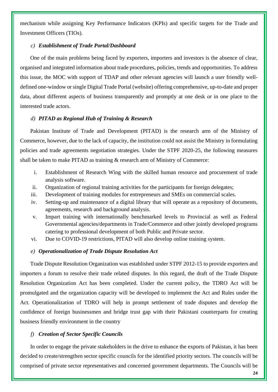mechanism while assigning Key Performance Indicators (KPIs) and specific targets for the Trade and Investment Officers (TIOs).

#### *c) Establishment of Trade Portal/Dashboard*

One of the main problems being faced by exporters, importers and investors is the absence of clear, organised and integrated information about trade procedures, policies, trends and opportunities. To address this issue, the MOC with support of TDAP and other relevant agencies will launch a user friendly welldefined one-window or single Digital Trade Portal (website) offering comprehensive, up-to-date and proper data, about different aspects of business transparently and promptly at one desk or in one place to the interested trade actors.

#### *d) PITAD as Regional Hub of Training & Research*

Pakistan Institute of Trade and Development (PITAD) is the research arm of the Ministry of Commerce, however, due to the lack of capacity, the institution could not assist the Ministry in formulating policies and trade agreements negotiation strategies. Under the STPF 2020-25, the following measures shall be taken to make PITAD as training & research arm of Ministry of Commerce:

- i. Establishment of Research Wing with the skilled human resource and procurement of trade analysis software.
- ii. Organization of regional training activities for the participants for foreign delegates;
- iii. Development of training modules for entrepreneurs and SMEs on commercial scales.
- iv. Setting-up and maintenance of a digital library that will operate as a repository of documents, agreements, research and background analysis.
- v. Impart training with internationally benchmarked levels to Provincial as well as Federal Governmental agencies/departments in Trade/Commerce and other jointly developed programs catering to professional development of both Public and Private sector.
- vi. Due to COVID-19 restrictions, PITAD will also develop online training system.

#### *e) Operationalization of Trade Dispute Resolution Act*

Trade Dispute Resolution Organization was established under STPF 2012-15 to provide exporters and importers a forum to resolve their trade related disputes. In this regard, the draft of the Trade Dispute Resolution Organization Act has been completed. Under the current policy, the TDRO Act will be promulgated and the organization capacity will be developed to implement the Act and Rules under the Act. Operationalization of TDRO will help in prompt settlement of trade disputes and develop the confidence of foreign businessmen and bridge trust gap with their Pakistani counterparts for creating business friendly environment in the country

# *f) Creation of Sector Specific Councils*

In order to engage the private stakeholders in the drive to enhance the exports of Pakistan, it has been decided to create/strengthen sector specific councils for the identified priority sectors. The councils will be comprised of private sector representatives and concerned government departments. The Councils will be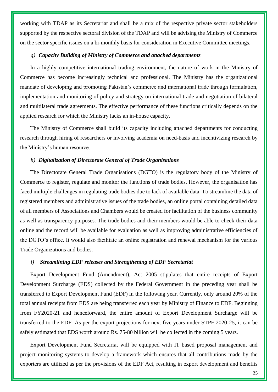working with TDAP as its Secretariat and shall be a mix of the respective private sector stakeholders supported by the respective sectoral division of the TDAP and will be advising the Ministry of Commerce on the sector specific issues on a bi-monthly basis for consideration in Executive Committee meetings.

#### *g) Capacity Building of Ministry of Commerce and attached departments*

In a highly competitive international trading environment, the nature of work in the Ministry of Commerce has become increasingly technical and professional. The Ministry has the organizational mandate of developing and promoting Pakistan's commerce and international trade through formulation, implementation and monitoring of policy and strategy on international trade and negotiation of bilateral and multilateral trade agreements. The effective performance of these functions critically depends on the applied research for which the Ministry lacks an in-house capacity.

The Ministry of Commerce shall build its capacity including attached departments for conducting research through hiring of researchers or involving academia on need-basis and incentivizing research by the Ministry's human resource.

#### *h) Digitalization of Directorate General of Trade Organisations*

The Directorate General Trade Organisations (DGTO) is the regulatory body of the Ministry of Commerce to register, regulate and monitor the functions of trade bodies. However, the organisation has faced multiple challenges in regulating trade bodies due to lack of available data. To streamline the data of registered members and administrative issues of the trade bodies, an online portal containing detailed data of all members of Associations and Chambers would be created for facilitation of the business community as well as transparency purposes. The trade bodies and their members would be able to check their data online and the record will be available for evaluation as well as improving administrative efficiencies of the DGTO's office. It would also facilitate an online registration and renewal mechanism for the various Trade Organizations and bodies.

#### *i) Streamlining EDF releases and Strengthening of EDF Secretariat*

Export Development Fund (Amendment), Act 2005 stipulates that entire receipts of Export Development Surcharge (EDS) collected by the Federal Government in the preceding year shall be transferred to Export Development Fund (EDF) in the following year. Currently, only around 20% of the total annual receipts from EDS are being transferred each year by Ministry of Finance to EDF. Beginning from FY2020-21 and henceforward, the entire amount of Export Development Surcharge will be transferred to the EDF. As per the export projections for next five years under STPF 2020-25, it can be safely estimated that EDS worth around Rs. 75-80 billion will be collected in the coming 5 years.

Export Development Fund Secretariat will be equipped with IT based proposal management and project monitoring systems to develop a framework which ensures that all contributions made by the exporters are utilized as per the provisions of the EDF Act, resulting in export development and benefits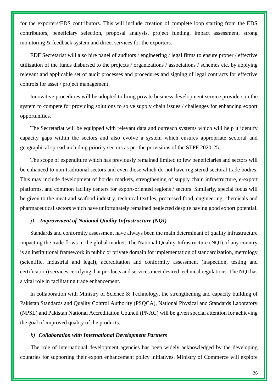for the exporters/EDS contributors. This will include creation of complete loop starting from the EDS contributors, beneficiary selection, proposal analysis, project funding, impact assessment, strong monitoring & feedback system and direct services for the exporters.

EDF Secretariat will also hire panel of auditors / engineering / legal firms to ensure proper / effective utilization of the funds disbursed to the projects / organizations / associations / schemes etc. by applying relevant and applicable set of audit processes and procedures and signing of legal contracts for effective controls for asset / project management.

Innovative procedures will be adopted to bring private business development service providers in the system to compete for providing solutions to solve supply chain issues / challenges for enhancing export opportunities.

The Secretariat will be equipped with relevant data and outreach systems which will help it identify capacity gaps within the sectors and also evolve a system which ensures appropriate sectoral and geographical spread including priority sectors as per the provisions of the STPF 2020-25.

The scope of expenditure which has previously remained limited to few beneficiaries and sectors will be enhanced to non-traditional sectors and even those which do not have registered sectoral trade bodies. This may include development of border markets, strengthening of supply chain infrastructure, e-export platforms, and common facility centers for export-oriented regions / sectors. Similarly, special focus will be given to the meat and seafood industry, technical textiles, processed food, engineering, chemicals and pharmaceutical sectors which have unfortunately remained neglected despite having good export potential.

#### *j) Improvement of National Quality Infrastructure (NQI)*

Standards and conformity assessment have always been the main determinant of quality infrastructure impacting the trade flows in the global market. The National Quality Infrastructure (NQI) of any country is an institutional framework in public or private domain for implementation of standardization, metrology (scientific, industrial and legal), accreditation and conformity assessment (inspection, testing and certification) services certifying that products and services meet desired technical regulations. The NQI has a vital role in facilitating trade enhancement.

In collaboration with Ministry of Science & Technology, the strengthening and capacity building of Pakistan Standards and Quality Control Authority (PSQCA), National Physical and Standards Laboratory (NPSL) and Pakistan National Accreditation Council (PNAC) will be given special attention for achieving the goal of improved quality of the products.

#### *k) Collaboration with International Development Partners*

The role of international development agencies has been widely acknowledged by the developing countries for supporting their export enhancement policy initiatives. Ministry of Commerce will explore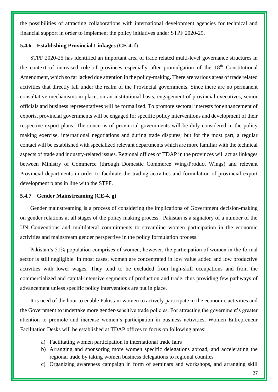the possibilities of attracting collaborations with international development agencies for technical and financial support in order to implement the policy initiatives under STPF 2020-25.

#### <span id="page-32-0"></span>**5.4.6 Establishing Provincial Linkages (CE-4. f)**

STPF 2020-25 has identified an important area of trade related multi-level governance structures in the context of increased role of provinces especially after promulgation of the 18<sup>th</sup> Constitutional Amendment, which so far lacked due attention in the policy-making. There are various areas of trade related activities that directly fall under the realm of the Provincial governments. Since there are no permanent consultative mechanisms in place, on an institutional basis, engagement of provincial executives, senior officials and business representatives will be formalized. To promote sectoral interests for enhancement of exports, provincial governments will be engaged for specific policy interventions and development of their respective export plans. The concerns of provincial governments will be duly considered in the policy making exercise, international negotiations and during trade disputes, but for the most part, a regular contact will be established with specialized relevant departments which are more familiar with the technical aspects of trade and industry-related issues. Regional offices of TDAP in the provinces will act as linkages between Ministry of Commerce (through Domestic Commerce Wing/Product Wings) and relevant Provincial departments in order to facilitate the trading activities and formulation of provincial export development plans in line with the STPF.

#### <span id="page-32-1"></span>**5.4.7 Gender Mainstreaming (CE-4. g)**

Gender mainstreaming is a process of considering the implications of Government decision-making on gender relations at all stages of the policy making process. Pakistan is a signatory of a number of the UN Conventions and multilateral commitments to streamline women participation in the economic activities and mainstream gender perspective in the policy formulation process.

Pakistan's 51% population comprises of women, however, the participation of women in the formal sector is still negligible. In most cases, women are concentrated in low value added and low productive activities with lower wages. They tend to be excluded from high-skill occupations and from the commercialized and capital-intensive segments of production and trade, thus providing few pathways of advancement unless specific policy interventions are put in place.

It is need of the hour to enable Pakistani women to actively participate in the economic activities and the Government to undertake more gender-sensitive trade policies. For attracting the government's greater attention to promote and increase women's participation in business activities, Women Entrepreneur Facilitation Desks will be established at TDAP offices to focus on following areas:

- a) Facilitating women participation in international trade fairs
- b) Arranging and sponsoring more women specific delegations abroad, and accelerating the regional trade by taking women business delegations to regional counties
- c) Organizing awareness campaign in form of seminars and workshops, and arranging skill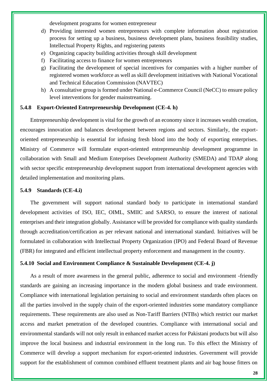development programs for women entrepreneur

- d) Providing interested women entrepreneurs with complete information about registration process for setting up a business, business development plans, business feasibility studies, Intellectual Property Rights, and registering patents
- e) Organizing capacity building activities through skill development
- f) Facilitating access to finance for women entrepreneurs
- g) Facilitating the development of special incentives for companies with a higher number of registered women workforce as well as skill development initiatives with National Vocational and Technical Education Commission (NAVTEC)
- h) A consultative group is formed under National e-Commerce Council (NeCC) to ensure policy level interventions for gender mainstreaming.

#### <span id="page-33-0"></span>**5.4.8 Export-Oriented Entrepreneurship Development (CE-4. h)**

Entrepreneurship development is vital for the growth of an economy since it increases wealth creation, encourages innovation and balances development between regions and sectors. Similarly, the exportoriented entrepreneurship is essential for infusing fresh blood into the body of exporting enterprises. Ministry of Commerce will formulate export-oriented entrepreneurship development programme in collaboration with Small and Medium Enterprises Development Authority (SMEDA) and TDAP along with sector specific entrepreneurship development support from international development agencies with detailed implementation and monitoring plans.

#### <span id="page-33-1"></span>**5.4.9 Standards (CE-4.i)**

The government will support national standard body to participate in international standard development activities of ISO, IEC, OIML, SMIIC and SARSO, to ensure the interest of national enterprises and their integration globally. Assistance will be provided for compliance with quality standards through accreditation/certification as per relevant national and international standard. Initiatives will be formulated in collaboration with Intellectual Property Organization (IPO) and Federal Board of Revenue (FBR) for integrated and efficient intellectual property enforcement and management in the country.

#### <span id="page-33-2"></span>**5.4.10 Social and Environment Compliance & Sustainable Development (CE-4. j)**

As a result of more awareness in the general public, adherence to social and environment -friendly standards are gaining an increasing importance in the modern global business and trade environment. Compliance with international legislation pertaining to social and environment standards often places on all the parties involved in the supply chain of the export-oriented industries some mandatory compliance requirements. These requirements are also used as Non-Tariff Barriers (NTBs) which restrict our market access and market penetration of the developed countries. Compliance with international social and environmental standards will not only result in enhanced market access for Pakistani products but will also improve the local business and industrial environment in the long run. To this effect the Ministry of Commerce will develop a support mechanism for export-oriented industries. Government will provide support for the establishment of common combined effluent treatment plants and air bag house fitters on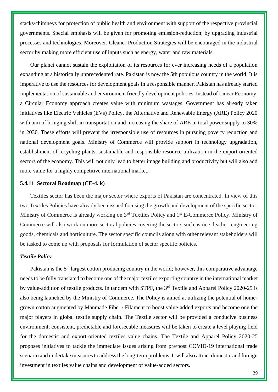stacks/chimneys for protection of public health and environment with support of the respective provincial governments. Special emphasis will be given for promoting emission-reduction; by upgrading industrial processes and technologies. Moreover, Cleaner Production Strategies will be encouraged in the industrial sector by making more efficient use of inputs such as energy, water and raw materials.

Our planet cannot sustain the exploitation of its resources for ever increasing needs of a population expanding at a historically unprecedented rate. Pakistan is now the 5th populous country in the world. It is imperative to use the resources for development goals in a responsible manner. Pakistan has already started implementation of sustainable and environment friendly development policies. Instead of Linear Economy, a Circular Economy approach creates value with minimum wastages. Government has already taken initiatives like Electric Vehicles (EVs) Policy, the Alternative and Renewable Energy (ARE) Policy 2020 with aim of bringing shift in transportation and increasing the share of ARE in total power supply to 30% in 2030. These efforts will prevent the irresponsible use of resources in pursuing poverty reduction and national development goals. Ministry of Commerce will provide support in technology upgradation, establishment of recycling plants, sustainable and responsible resource utilization in the export-oriented sectors of the economy. This will not only lead to better image building and productivity but will also add more value for a highly competitive international market.

#### <span id="page-34-0"></span>**5.4.11 Sectoral Roadmap (CE-4. k)**

Textiles sector has been the major sector where exports of Pakistan are concentrated. In view of this two Textiles Policies have already been issued focusing the growth and development of the specific sector. Ministry of Commerce is already working on 3<sup>rd</sup> Textiles Policy and 1<sup>st</sup> E-Commerce Policy. Ministry of Commerce will also work on more sectoral policies covering the sectors such as rice, leather, engineering goods, chemicals and horticulture. The sector specific councils along with other relevant stakeholders will be tasked to come up with proposals for formulation of sector specific policies.

#### *Textile Policy*

Pakistan is the 5<sup>th</sup> largest cotton producing country in the world; however, this comparative advantage needs to be fully translated to become one of the major textiles exporting country in the international market by value-addition of textile products. In tandem with STPF, the 3rd Textile and Apparel Policy 2020-25 is also being launched by the Ministry of Commerce. The Policy is aimed at utilizing the potential of homegrown cotton augmented by Manmade Fiber / Filament to boost value-added exports and become one the major players in global textile supply chain. The Textile sector will be provided a conducive business environment; consistent, predictable and foreseeable measures will be taken to create a level playing field for the domestic and export-oriented textiles value chains. The Textile and Apparel Policy 2020-25 proposes initiatives to tackle the immediate issues arising from pre/post COVID-19 international trade scenario and undertake measures to address the long-term problems. It will also attract domestic and foreign investment in textiles value chains and development of value-added sectors.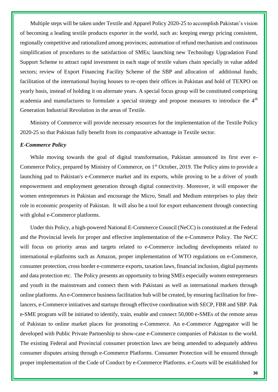Multiple steps will be taken under Textile and Apparel Policy 2020-25 to accomplish Pakistan's vision of becoming a leading textile products exporter in the world, such as: keeping energy pricing consistent, regionally competitive and rationalized among provinces; automation of refund mechanism and continuous simplification of procedures to the satisfaction of SMEs; launching new Technology Upgradation Fund Support Scheme to attract rapid investment in each stage of textile values chain specially in value added sectors; review of Export Financing Facility Scheme of the SBP and allocation of additional funds; facilitation of the international buying houses to re-open their offices in Pakistan and hold of TEXPO on yearly basis, instead of holding it on alternate years. A special focus group will be constituted comprising academia and manufactures to formulate a special strategy and propose measures to introduce the 4<sup>th</sup> Generation Industrial Revolution in the areas of Textile.

Ministry of Commerce will provide necessary resources for the implementation of the Textile Policy 2020-25 so that Pakistan fully benefit from its comparative advantage in Textile sector.

#### *E-Commerce Policy*

While moving towards the goal of digital transformation, Pakistan announced its first ever e-Commerce Policy, prepared by Ministry of Commerce, on 1<sup>st</sup> October, 2019. The Policy aims to provide a launching pad to Pakistan's e-Commerce market and its exports, while proving to be a driver of youth empowerment and employment generation through digital connectivity. Moreover, it will empower the women entrepreneurs in Pakistan and encourage the Micro, Small and Medium enterprises to play their role in economic prosperity of Pakistan. It will also be a tool for export enhancement through connecting with global e-Commerce platforms.

Under this Policy, a high-powered National E-Commerce Council (NeCC) is constituted at the Federal and the Provincial levels for proper and effective implementation of the e-Commerce Policy. The NeCC will focus on priority areas and targets related to e-Commerce including developments related to international e-platforms such as Amazon, proper implementation of WTO regulations on e-Commerce, consumer protection, cross border e-commerce exports, taxation laws, financial inclusion, digital payments and data protection etc. The Policy presents an opportunity to bring SMEs especially women entrepreneurs and youth in the mainstream and connect them with Pakistani as well as international markets through online platforms. An e-Commerce business facilitation hub will be created, by ensuring facilitation for freelancers, e-Commerce initiatives and startups through effective coordination with SECP, FBR and SBP. Pak e-SME program will be initiated to identify, train, enable and connect 50,000 e-SMEs of the remote areas of Pakistan to online market places for promoting e-Commerce. An e-Commerce Aggregator will be developed with Public Private Partnership to show-case e-Commerce companies of Pakistan to the world. The existing Federal and Provincial consumer protection laws are being amended to adequately address consumer disputes arising through e-Commerce Platforms. Consumer Protection will be ensured through proper implementation of the Code of Conduct by e-Commerce Platforms. e-Courts will be established for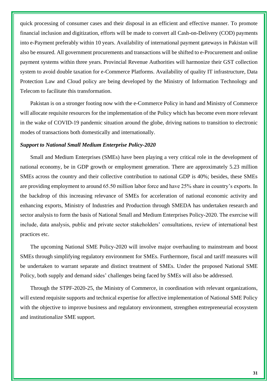quick processing of consumer cases and their disposal in an efficient and effective manner. To promote financial inclusion and digitization, efforts will be made to convert all Cash-on-Delivery (COD) payments into e-Payment preferably within 10 years. Availability of international payment gateways in Pakistan will also be ensured. All government procurements and transactions will be shifted to e-Procurement and online payment systems within three years. Provincial Revenue Authorities will harmonize their GST collection system to avoid double taxation for e-Commerce Platforms. Availability of quality IT infrastructure, Data Protection Law and Cloud policy are being developed by the Ministry of Information Technology and Telecom to facilitate this transformation.

Pakistan is on a stronger footing now with the e-Commerce Policy in hand and Ministry of Commerce will allocate requisite resources for the implementation of the Policy which has become even more relevant in the wake of COVID-19 pandemic situation around the globe, driving nations to transition to electronic modes of transactions both domestically and internationally.

#### *Support to National Small Medium Enterprise Policy-2020*

Small and Medium Enterprises (SMEs) have been playing a very critical role in the development of national economy, be in GDP growth or employment generation. There are approximately 5.23 million SMEs across the country and their collective contribution to national GDP is 40%; besides, these SMEs are providing employment to around 65.50 million labor force and have 25% share in country's exports. In the backdrop of this increasing relevance of SMEs for acceleration of national economic activity and enhancing exports, Ministry of Industries and Production through SMEDA has undertaken research and sector analysis to form the basis of National Small and Medium Enterprises Policy-2020. The exercise will include, data analysis, public and private sector stakeholders' consultations, review of international best practices etc.

The upcoming National SME Policy-2020 will involve major overhauling to mainstream and boost SMEs through simplifying regulatory environment for SMEs. Furthermore, fiscal and tariff measures will be undertaken to warrant separate and distinct treatment of SMEs. Under the proposed National SME Policy, both supply and demand sides' challenges being faced by SMEs will also be addressed.

Through the STPF-2020-25, the Ministry of Commerce, in coordination with relevant organizations, will extend requisite supports and technical expertise for affective implementation of National SME Policy with the objective to improve business and regulatory environment, strengthen entrepreneurial ecosystem and institutionalize SME support.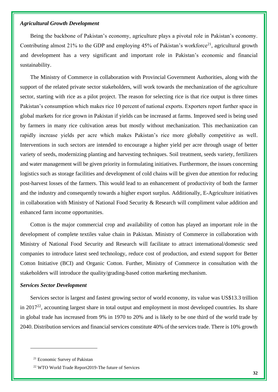### *Agricultural Growth Development*

Being the backbone of Pakistan's economy, agriculture plays a pivotal role in Pakistan's economy. Contributing almost 21% to the GDP and employing 45% of Pakistan's workforce<sup>21</sup>, agricultural growth and development has a very significant and important role in Pakistan's economic and financial sustainability.

The Ministry of Commerce in collaboration with Provincial Government Authorities, along with the support of the related private sector stakeholders, will work towards the mechanization of the agriculture sector, starting with rice as a pilot project. The reason for selecting rice is that rice output is three times Pakistan's consumption which makes rice 10 percent of national exports. Exporters report further space in global markets for rice grown in Pakistan if yields can be increased at farms. Improved seed is being used by farmers in many rice cultivation areas but mostly without mechanization. This mechanization can rapidly increase yields per acre which makes Pakistan's rice more globally competitive as well. Interventions in such sectors are intended to encourage a higher yield per acre through usage of better variety of seeds, modernizing planting and harvesting techniques. Soil treatment, seeds variety, fertilizers and water management will be given priority in formulating initiatives. Furthermore, the issues concerning logistics such as storage facilities and development of cold chains will be given due attention for reducing post-harvest losses of the farmers. This would lead to an enhancement of productivity of both the farmer and the industry and consequently towards a higher export surplus. Additionally, E-Agriculture initiatives in collaboration with Ministry of National Food Security & Research will compliment value addition and enhanced farm income opportunities.

Cotton is the major commercial crop and availability of cotton has played an important role in the development of complete textiles value chain in Pakistan. Ministry of Commerce in collaboration with Ministry of National Food Security and Research will facilitate to attract international/domestic seed companies to introduce latest seed technology, reduce cost of production, and extend support for Better Cotton Initiative (BCI) and Organic Cotton. Further, Ministry of Commerce in consultation with the stakeholders will introduce the quality/grading-based cotton marketing mechanism.

#### *Services Sector Development*

Services sector is largest and fastest growing sector of world economy, its value was US\$13.3 trillion in  $2017<sup>22</sup>$ , accounting largest share in total output and employment in most developed countries. Its share in global trade has increased from 9% in 1970 to 20% and is likely to be one third of the world trade by 2040. Distribution services and financial services constitute 40% of the services trade. There is 10% growth

<sup>21</sup> Economic Survey of Pakistan

<sup>22</sup> WTO World Trade Report2019-The future of Services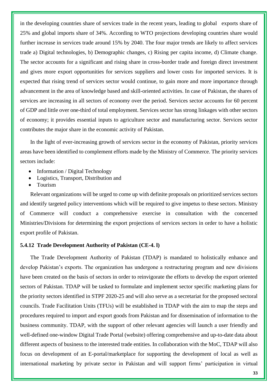in the developing countries share of services trade in the recent years, leading to global exports share of 25% and global imports share of 34%. According to WTO projections developing countries share would further increase in services trade around 15% by 2040. The four major trends are likely to affect services trade a) Digital technologies, b) Demographic changes, c) Rising per capita income, d) Climate change. The sector accounts for a significant and rising share in cross-border trade and foreign direct investment and gives more export opportunities for services suppliers and lower costs for imported services. It is expected that rising trend of services sector would continue, to gain more and more importance through advancement in the area of knowledge based and skill-oriented activities. In case of Pakistan, the shares of services are increasing in all sectors of economy over the period. Services sector accounts for 60 percent of GDP and little over one-third of total employment. Services sector has strong linkages with other sectors of economy; it provides essential inputs to agriculture sector and manufacturing sector. Services sector contributes the major share in the economic activity of Pakistan.

In the light of ever-increasing growth of services sector in the economy of Pakistan, priority services areas have been identified to complement efforts made by the Ministry of Commerce. The priority services sectors include:

- Information / Digital Technology
- Logistics, Transport, Distribution and
- Tourism

Relevant organizations will be urged to come up with definite proposals on prioritized services sectors and identify targeted policy interventions which will be required to give impetus to these sectors. Ministry of Commerce will conduct a comprehensive exercise in consultation with the concerned Ministries/Divisions for determining the export projections of services sectors in order to have a holistic export profile of Pakistan.

#### **5.4.12 Trade Development Authority of Pakistan (CE-4. l)**

The Trade Development Authority of Pakistan (TDAP) is mandated to holistically enhance and develop Pakistan's exports. The organization has undergone a restructuring program and new divisions have been created on the basis of sectors in order to reinvigorate the efforts to develop the export oriented sectors of Pakistan. TDAP will be tasked to formulate and implement sector specific marketing plans for the priority sectors identified in STPF 2020-25 and will also serve as a secretariat for the proposed sectoral councils. Trade Facilitation Units (TFUs) will be established in TDAP with the aim to map the steps and procedures required to import and export goods from Pakistan and for dissemination of information to the business community. TDAP, with the support of other relevant agencies will launch a user friendly and well-defined one-window Digital Trade Portal (website) offering comprehensive and up-to-date data about different aspects of business to the interested trade entities. In collaboration with the MoC, TDAP will also focus on development of an E-portal/marketplace for supporting the development of local as well as international marketing by private sector in Pakistan and will support firms' participation in virtual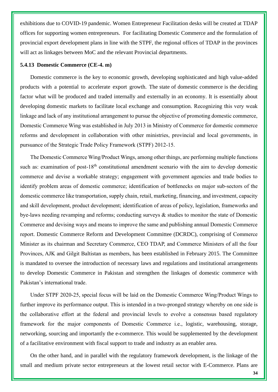exhibitions due to COVID-19 pandemic. Women Entrepreneur Facilitation desks will be created at TDAP offices for supporting women entrepreneurs. For facilitating Domestic Commerce and the formulation of provincial export development plans in line with the STPF, the regional offices of TDAP in the provinces will act as linkages between MoC and the relevant Provincial departments.

### **5.4.13 Domestic Commerce (CE-4. m)**

Domestic commerce is the key to economic growth, developing sophisticated and high value-added products with a potential to accelerate export growth. The state of domestic commerce is the deciding factor what will be produced and traded internally and externally in an economy. It is essentially about developing domestic markets to facilitate local exchange and consumption. Recognizing this very weak linkage and lack of any institutional arrangement to pursue the objective of promoting domestic commerce, Domestic Commerce Wing was established in July 2013 in Ministry of Commerce for domestic commerce reforms and development in collaboration with other ministries, provincial and local governments, in pursuance of the Strategic Trade Policy Framework (STPF) 2012-15.

The Domestic Commerce Wing/Product Wings, among other things, are performing multiple functions such as: examination of post-18<sup>th</sup> constitutional amendment scenario with the aim to develop domestic commerce and devise a workable strategy; engagement with government agencies and trade bodies to identify problem areas of domestic commerce; identification of bottlenecks on major sub-sectors of the domestic commerce like transportation, supply chain, retail, marketing, financing, and investment, capacity and skill development, product development; identification of areas of policy, legislation, frameworks and bye-laws needing revamping and reforms; conducting surveys & studies to monitor the state of Domestic Commerce and devising ways and means to improve the same and publishing annual Domestic Commerce report. Domestic Commerce Reform and Development Committee (DCRDC), comprising of Commerce Minister as its chairman and Secretary Commerce, CEO TDAP, and Commerce Ministers of all the four Provinces, AJK and Gilgit Baltistan as members, has been established in February 2015. The Committee is mandated to oversee the introduction of necessary laws and regulations and institutional arrangements to develop Domestic Commerce in Pakistan and strengthen the linkages of domestic commerce with Pakistan's international trade.

Under STPF 2020-25, special focus will be laid on the Domestic Commerce Wing/Product Wings to further improve its performance output. This is intended in a two-pronged strategy whereby on one side is the collaborative effort at the federal and provincial levels to evolve a consensus based regulatory framework for the major components of Domestic Commerce i.e., logistic, warehousing, storage, networking, sourcing and importantly the e-commerce. This would be supplemented by the development of a facilitative environment with fiscal support to trade and industry as an enabler area.

On the other hand, and in parallel with the regulatory framework development, is the linkage of the small and medium private sector entrepreneurs at the lowest retail sector with E-Commerce. Plans are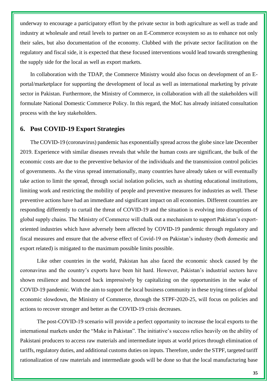underway to encourage a participatory effort by the private sector in both agriculture as well as trade and industry at wholesale and retail levels to partner on an E-Commerce ecosystem so as to enhance not only their sales, but also documentation of the economy. Clubbed with the private sector facilitation on the regulatory and fiscal side, it is expected that these focused interventions would lead towards strengthening the supply side for the local as well as export markets.

In collaboration with the TDAP, the Commerce Ministry would also focus on development of an Eportal/marketplace for supporting the development of local as well as international marketing by private sector in Pakistan. Furthermore, the Ministry of Commerce, in collaboration with all the stakeholders will formulate National Domestic Commerce Policy. In this regard, the MoC has already initiated consultation process with the key stakeholders.

### **6. Post COVID-19 Export Strategies**

The COVID-19 (coronavirus) pandemic has exponentially spread across the globe since late December 2019. Experience with similar diseases reveals that while the human costs are significant, the bulk of the economic costs are due to the preventive behavior of the individuals and the transmission control policies of governments. As the virus spread internationally, many countries have already taken or will eventually take action to limit the spread, through social isolation policies, such as shutting educational institutions, limiting work and restricting the mobility of people and preventive measures for industries as well. These preventive actions have had an immediate and significant impact on all economies. Different countries are responding differently to curtail the threat of COVID-19 and the situation is evolving into disruptions of global supply chains. The Ministry of Commerce will chalk out a mechanism to support Pakistan's exportoriented industries which have adversely been affected by COVID-19 pandemic through regulatory and fiscal measures and ensure that the adverse effect of Covid-19 on Pakistan's industry (both domestic and export related) is mitigated to the maximum possible limits possible.

Like other countries in the world, Pakistan has also faced the economic shock caused by the coronavirus and the country's exports have been hit hard. However, Pakistan's industrial sectors have shown resilience and bounced back impressively by capitalizing on the opportunities in the wake of COVID-19 pandemic. With the aim to support the local business community in these trying times of global economic slowdown, the Ministry of Commerce, through the STPF-2020-25, will focus on policies and actions to recover stronger and better as the COVID-19 crisis decreases.

The post-COVID-19 scenario will provide a perfect opportunity to increase the local exports to the international markets under the "Make in Pakistan". The initiative's success relies heavily on the ability of Pakistani producers to access raw materials and intermediate inputs at world prices through elimination of tariffs, regulatory duties, and additional customs duties on inputs. Therefore, under the STPF, targeted tariff rationalization of raw materials and intermediate goods will be done so that the local manufacturing base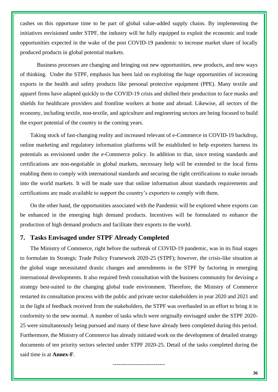cashes on this opportune time to be part of global value-added supply chains. By implementing the initiatives envisioned under STPF, the industry will be fully equipped to exploit the economic and trade opportunities expected in the wake of the post COVID-19 pandemic to increase market share of locally produced products in global potential markets.

Business processes are changing and bringing out new opportunities, new products, and new ways of thinking. Under the STPF, emphasis has been laid on exploiting the huge opportunities of increasing exports in the health and safety products like personal protective equipment (PPE). Many textile and apparel firms have adapted quickly to the COVID-19 crisis and shifted their production to face masks and shields for healthcare providers and frontline workers at home and abroad. Likewise, all sectors of the economy, including textile, non-textile, and agriculture and engineering sectors are being focused to build the export potential of the country in the coming years.

Taking stock of fast-changing reality and increased relevant of e-Commerce in COVID-19 backdrop, online marketing and regulatory information platforms will be established to help exporters harness its potentials as envisioned under the e-Commerce policy. In addition to that, since testing standards and certifications are non-negotiable in global markets, necessary help will be extended to the local firms enabling them to comply with international standards and securing the right certifications to make inroads into the world markets. It will be made sure that online information about standards requirements and certifications are made available to support the country's exporters to comply with them.

On the other hand, the opportunities associated with the Pandemic will be explored where exports can be enhanced in the emerging high demand products. Incentives will be formulated to enhance the production of high demand products and facilitate their exports to the world.

### **7. Tasks Envisaged under STPF Already Completed**

The Ministry of Commerce, right before the outbreak of COVID-19 pandemic, was in its final stages to formulate its Strategic Trade Policy Framework 2020-25 (STPF); however, the crisis-like situation at the global stage necessitated drastic changes and amendments in the STPF by factoring in emerging international developments. It also required fresh consultation with the business community for devising a strategy best-suited to the changing global trade environment. Therefore, the Ministry of Commerce restarted its consultation process with the public and private sector stakeholders in year 2020 and 2021 and in the light of feedback received from the stakeholders, the STPF was overhauled in an effort to bring it in conformity to the new normal. A number of tasks which were originally envisaged under the STPF 2020- 25 were simultaneously being pursued and many of these have already been completed during this period. Furthermore, the Ministry of Commerce has already initiated work on the development of detailed strategy documents of ten priority sectors selected under STPF 2020-25. Detail of the tasks completed during the said time is at **Annex-F**.

----------------------------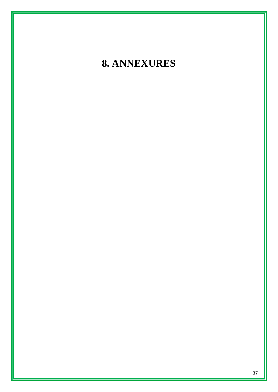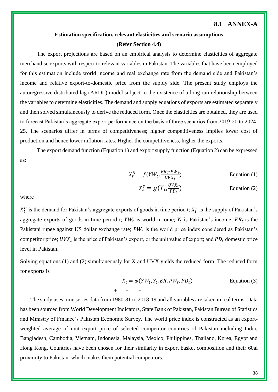### **8.1 ANNEX-A**

### **Estimation specification, relevant elasticities and scenario assumptions (Refer Section 4.4)**

The export projections are based on an empirical analysis to determine elasticities of aggregate merchandise exports with respect to relevant variables in Pakistan. The variables that have been employed for this estimation include world income and real exchange rate from the demand side and Pakistan's income and relative export-to-domestic price from the supply side. The present study employs the autoregressive distributed lag (ARDL) model subject to the existence of a long run relationship between the variables to determine elasticities. The demand and supply equations of exports are estimated separately and then solved simultaneously to derive the reduced form. Once the elasticities are obtained, they are used to forecast Pakistan's aggregate export performance on the basis of three scenarios from 2019-20 to 2024- 25. The scenarios differ in terms of competitiveness; higher competitiveness implies lower cost of production and hence lower inflation rates. Higher the competitiveness, higher the exports.

The export demand function (Equation 1) and export supply function (Equation 2) can be expressed as:

$$
X_t^D = f(YW_t, \frac{ER_t * PW_t}{UVX_t})
$$
 Equation (1)

$$
X_t^S = g(Y_t, \frac{UVX_t}{PD_t})
$$
 Equation (2)

where

 $X_t^D$  is the demand for Pakistan's aggregate exports of goods in time period t;  $X_t^S$  is the supply of Pakistan's aggregate exports of goods in time period t;  $YW_t$  is world income;  $Y_t$  is Pakistan's income;  $ER_t$  is the Pakistani rupee against US dollar exchange rate;  $PW_t$  is the world price index considered as Pakistan's competitor price;  $UVX_t$  is the price of Pakistan's export, or the unit value of export; and  $PD_t$  domestic price level in Pakistan.

Solving equations (1) and (2) simultaneously for X and UVX yields the reduced form. The reduced form for exports is

$$
X_t = \varphi(YW_t, Y_t, ER, PW_t, PD_t)
$$
 Equation (3)  
+ + + + -

The study uses time series data from 1980-81 to 2018-19 and all variables are taken in real terms. Data has been sourced from World Development Indicators, State Bank of Pakistan, Pakistan Bureau of Statistics and Ministry of Finance's Pakistan Economic Survey. The world price index is constructed as an exportweighted average of unit export price of selected competitor countries of Pakistan including India, Bangladesh, Cambodia, Vietnam, Indonesia, Malaysia, Mexico, Philippines, Thailand, Korea, Egypt and Hong Kong. Countries have been chosen for their similarity in export basket composition and their 60al proximity to Pakistan, which makes them potential competitors.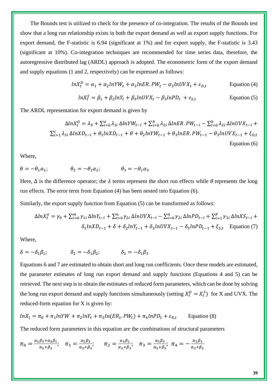The Bounds test is utilized to check for the presence of co-integration. The results of the Bounds test show that a long run relationship exists in both the export demand as well as export supply functions. For export demand, the F-statistic is 6.94 (significant at 1%) and for export supply, the F-statistic is 3.43 (significant at 10%). Co-integration techniques are recommended for time series data, therefore, the autoregressive distributed lag (ARDL) approach is adopted. The econometric form of the export demand and supply equations (1 and 2, respectively) can be expressed as follows:

$$
ln X_t^D = \alpha_1 + \alpha_2 ln Y W_t + \alpha_3 ln ER.PW_t - \alpha_3 ln UVX_t + \varepsilon_{D,t}
$$
 Equation (4)

$$
ln X_t^S = \beta_1 + \beta_2 ln Y_t + \beta_3 ln UVX_t - \beta_3 ln PD_t + \varepsilon_{S,t}
$$
 Equation (5)

The ARDL representation for export demand is given by

$$
\Delta ln X_t^D = \lambda_0 + \sum_{i=0}^a \lambda_{1i} \Delta ln Y W_{t-i} + \sum_{i=0}^b \lambda_{2i} \Delta ln ER. PW_{t-i} - \sum_{i=0}^b \lambda_{2i} \Delta ln UV X_{t-i} + \sum_{i=1}^c \lambda_{3i} \Delta ln X D_{t-i} + \theta_1 ln X D_{t-1} + \theta + \theta_2 ln Y W_{t-1} + \theta_3 ln ER. PW_{t-1} - \theta_3 ln UV X_{t-1} + \xi_{D,t}
$$
\nEquation (6)

Where,

$$
\theta=-\theta_1\alpha_1; \qquad \qquad \theta_2=-\theta_1\alpha_2; \qquad \qquad \theta_3=-\theta_1\alpha_3
$$

Here,  $\Delta$  is the difference operator; the  $\lambda$  terms represent the short run effects while  $\theta$  represents the long run effects. The error term from Equation (4) has been nested into Equation (6).

Similarly, the export supply function from Equation (5) can be transformed as follows:

$$
\Delta ln X_t^S = \gamma_0 + \sum_{i=0}^m \gamma_{1i} \Delta ln Y_{t-i} + \sum_{i=0}^n \gamma_{2i} \Delta lnUVX_{t-i} - \sum_{i=0}^n \gamma_{2i} \Delta lnPD_{t-i} + \sum_{i=1}^p \gamma_{3i} \Delta lnXS_{t-i} + \delta_1 lnXD_{t-1} + \delta + \delta_2 lnY_{t-1} + \delta_3 lnUVX_{t-1} - \delta_3 lnPD_{t-1} + \xi_{S,t}
$$
 Equation (7)

Where,

$$
\delta = -\delta_1 \beta_1; \qquad \qquad \delta_2 = -\delta_1 \beta_2; \qquad \qquad \delta_3 = -\delta_1 \beta_3
$$

Equations 6 and 7 are estimated to obtain short and long run coefficients. Once these models are estimated, the parameter estimates of long run export demand and supply functions (Equations 4 and 5) can be retrieved. The next step is to obtain the estimates of reduced form parameters, which can be done by solving the long run export demand and supply functions simultaneously (setting  $X_t^D = X_t^S$ ) for X and UVX. The reduced-form equation for X is given by:

$$
lnX_t = \pi_0 + \pi_1 lnYW + \pi_2 lnY_t + \pi_3 ln(ER_t, PW_t) + \pi_4 lnPD_t + \varepsilon_{R,t}
$$
 Equation (8)

The reduced form parameters in this equation are the combinations of structural parameters

$$
\pi_0 = \frac{\alpha_1 \beta_3 + \alpha_3 \beta_1}{\alpha_3 + \beta_3}; \quad \pi_1 = \frac{\alpha_2 \beta_3}{\alpha_3 + \beta_3}; \quad \pi_2 = \frac{\alpha_3 \beta_2}{\alpha_3 + \beta_3}; \quad \pi_3 = \frac{\alpha_3 \beta_3}{\alpha_3 + \beta_3}; \quad \pi_4 = -\frac{\alpha_3 \beta_3}{\alpha_3 + \beta_3}
$$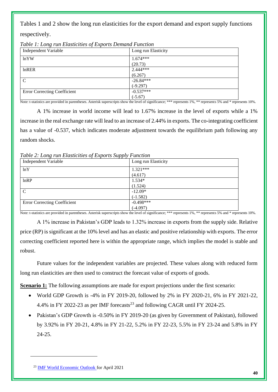Tables 1 and 2 show the long run elasticities for the export demand and export supply functions

respectively.

| Independent Variable                | Long run Elasticity |
|-------------------------------------|---------------------|
| lnYW                                | $1.674***$          |
|                                     | (20.73)             |
| $ln$ RER                            | $2.444***$          |
|                                     | (6.267)             |
| $\mathcal{C}$                       | $-26.84***$         |
|                                     | $(-9.297)$          |
| <b>Error Correcting Coefficient</b> | $-0.537***$         |
|                                     | $(-5.67)$           |

*Table 1: Long run Elasticities of Exports Demand Function*

Note: t-statistics are provided in parentheses. Asterisk superscripts show the level of significance; \*\*\* represents 1%, \*\* represents 5% and \* represents 10%.

A 1% increase in world income will lead to 1.67% increase in the level of exports while a 1% increase in the real exchange rate will lead to an increase of 2.44% in exports. The co-integrating coefficient has a value of  $-0.537$ , which indicates moderate adjustment towards the equilibrium path following any random shocks.

*Table 2: Long run Elasticities of Exports Supply Function*

| Independent Variable                | Long run Elasticity |
|-------------------------------------|---------------------|
| ln Y                                | $1.321***$          |
|                                     | (4.617)             |
| lnRP                                | $1.534*$            |
|                                     | (1.524)             |
| $\mathcal{C}$                       | $-12.09*$           |
|                                     | $(-1.582)$          |
| <b>Error Correcting Coefficient</b> | $-0.498***$         |
|                                     | $(-4.097)$          |

Note: t-statistics are provided in parentheses. Asterisk superscripts show the level of significance; \*\*\* represents 1%, \*\* represents 5% and \* represents 10%.

A 1% increase in Pakistan's GDP leads to 1.32% increase in exports from the supply side. Relative price (RP) is significant at the 10% level and has an elastic and positive relationship with exports. The error correcting coefficient reported here is within the appropriate range, which implies the model is stable and robust.

Future values for the independent variables are projected. These values along with reduced form long run elasticities are then used to construct the forecast value of exports of goods.

**Scenario 1:** The following assumptions are made for export projections under the first scenario:

- World GDP Growth is -4% in FY 2019-20, followed by 2% in FY 2020-21, 6% in FY 2021-22, 4.4% in FY 2022-23 as per IMF forecasts<sup>23</sup> and following CAGR until FY 2024-25.
- Pakistan's GDP Growth is -0.50% in FY 2019-20 (as given by Government of Pakistan), followed by 3.92% in FY 20-21, 4.8% in FY 21-22, 5.2% in FY 22-23, 5.5% in FY 23-24 and 5.8% in FY 24-25.

<sup>23</sup> [IMF World Economic Outlook f](https://www.imf.org/en/Publications/WEO/Issues/2021/03/23/world-economic-outlook-april-2021)or April 2021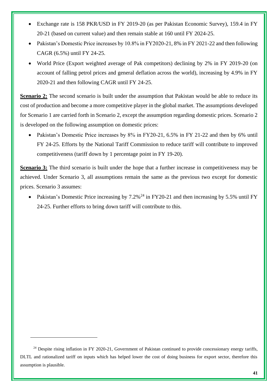- Exchange rate is 158 PKR/USD in FY 2019-20 (as per Pakistan Economic Survey), 159.4 in FY 20-21 (based on current value) and then remain stable at 160 until FY 2024-25.
- Pakistan's Domestic Price increases by 10.8% in FY2020-21, 8% in FY 2021-22 and then following CAGR (6.5%) until FY 24-25.
- World Price (Export weighted average of Pak competitors) declining by 2% in FY 2019-20 (on account of falling petrol prices and general deflation across the world), increasing by 4.9% in FY 2020-21 and then following CAGR until FY 24-25.

**Scenario 2:** The second scenario is built under the assumption that Pakistan would be able to reduce its cost of production and become a more competitive player in the global market. The assumptions developed for Scenario 1 are carried forth in Scenario 2, except the assumption regarding domestic prices. Scenario 2 is developed on the following assumption on domestic prices:

• Pakistan's Domestic Price increases by 8% in FY20-21, 6.5% in FY 21-22 and then by 6% until FY 24-25. Efforts by the National Tariff Commission to reduce tariff will contribute to improved competitiveness (tariff down by 1 percentage point in FY 19-20).

**Scenario 3:** The third scenario is built under the hope that a further increase in competitiveness may be achieved. Under Scenario 3, all assumptions remain the same as the previous two except for domestic prices. Scenario 3 assumes:

• Pakistan's Domestic Price increasing by  $7.2\%$ <sup>24</sup> in FY20-21 and then increasing by 5.5% until FY 24-25. Further efforts to bring down tariff will contribute to this.

<sup>&</sup>lt;sup>24</sup> Despite rising inflation in FY 2020-21, Government of Pakistan continued to provide concessionary energy tariffs, DLTL and rationalized tariff on inputs which has helped lower the cost of doing business for export sector, therefore this assumption is plausible.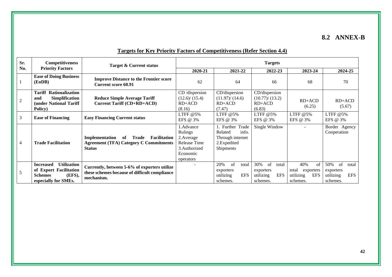### **8.2 ANNEX-B**

| Sr.            | <b>Competitiveness</b>                                                                                               | <b>Target &amp; Current status</b>                                                                                     |                                                                                              |                                                                                     | <b>Targets</b>                                                         |                                                                                |                                                                        |
|----------------|----------------------------------------------------------------------------------------------------------------------|------------------------------------------------------------------------------------------------------------------------|----------------------------------------------------------------------------------------------|-------------------------------------------------------------------------------------|------------------------------------------------------------------------|--------------------------------------------------------------------------------|------------------------------------------------------------------------|
| No.            | <b>Priority Factors</b>                                                                                              |                                                                                                                        | 2020-21                                                                                      | 2021-22                                                                             | 2022-23                                                                | 2023-24                                                                        | 2024-25                                                                |
|                | <b>Ease of Doing Business</b><br>(EoDB)                                                                              | <b>Improve Distance to the Frontier score</b><br><b>Current score 60.91</b>                                            | 62                                                                                           | 64                                                                                  | 66                                                                     | 68                                                                             | 70                                                                     |
| $\overline{c}$ | Rationalization<br><b>Tariff</b><br><b>Simplification</b><br>and<br><b>(under National Tariff)</b><br>Policy)        | <b>Reduce Simple Average Tariff</b><br><b>Current Tariff (CD+RD+ACD)</b>                                               | CD/dispersion<br>(12.6)/(15.4)<br>$RD+ACD$<br>(8.16)                                         | CD/dispersion<br>(11.97)/(14.6)<br>$RD+ACD$<br>(7.47)                               | CD/dispersion<br>(10.77)/(13.2)<br>$RD+ACD$<br>(6.83)                  | $RD+ACD$<br>(6.25)                                                             | $RD+ACD$<br>(5.67)                                                     |
| 3              | <b>Ease of Financing</b>                                                                                             | <b>Easy Financing Current status</b>                                                                                   | LTFF $@5\%$<br>EFS @ 3%                                                                      | LTFF $@5%$<br>EFS @ 3%                                                              | LTFF $@5\%$<br>EFS @ 3%                                                | LTFF $@5\%$<br>EFS @ 3%                                                        | LTFF $@5\%$<br>EFS @ 3%                                                |
| $\overline{4}$ | <b>Trade Facilitation</b>                                                                                            | Implementation<br><b>Facilitation</b><br>of<br>Trade<br><b>Agreement (TFA) Category C Commitments</b><br><b>Status</b> | 1.Advance<br>Rulings<br>2. Average<br>Release Time<br>3. Authorized<br>Economic<br>operators | . Further Trade<br>info.<br>Related<br>Through internet<br>2.Expedited<br>Shipments | Single Window                                                          |                                                                                | Border Agency<br>Cooperation                                           |
| 5              | <b>Utilization</b><br><b>Increased</b><br>of Export Facilitation<br><b>Schemes</b><br>(EFS),<br>especially for SMEs. | Currently, between 5-6% of exporters utilize<br>these schemes because of difficult compliance<br>mechanism.            |                                                                                              | of<br>20%<br>total<br>exporters<br><b>EFS</b><br>utilizing<br>schemes.              | 30%<br>of<br>total<br>exporters<br><b>EFS</b><br>utilizing<br>schemes. | 40%<br>$\sigma$ f<br>total<br>exporters<br><b>EFS</b><br>utilizing<br>schemes. | 50%<br>of<br>total<br>exporters<br><b>EFS</b><br>utilizing<br>schemes. |

### **Targets for Key Priority Factors of Competitiveness (Refer Section 4.4)**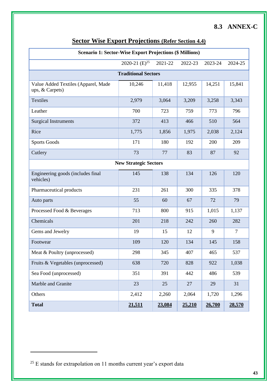# **8.3 ANNEX-C**

| <b>Scenario 1: Sector-Wise Export Projections (\$ Millions)</b> |                              |         |         |         |         |  |  |  |  |
|-----------------------------------------------------------------|------------------------------|---------|---------|---------|---------|--|--|--|--|
|                                                                 | 2020-21 $(E)^{25}$           | 2021-22 | 2022-23 | 2023-24 | 2024-25 |  |  |  |  |
| <b>Traditional Sectors</b>                                      |                              |         |         |         |         |  |  |  |  |
| Value Added Textiles (Apparel, Made<br>ups, & Carpets)          | 10,246                       | 11,418  | 12,955  | 14,251  | 15,841  |  |  |  |  |
| Textiles                                                        | 2,979                        | 3,064   | 3,209   | 3,258   | 3,343   |  |  |  |  |
| Leather                                                         | 700                          | 723     | 759     | 773     | 796     |  |  |  |  |
| <b>Surgical Instruments</b>                                     | 372                          | 413     | 466     | 510     | 564     |  |  |  |  |
| Rice                                                            | 1,775                        | 1,856   | 1,975   | 2,038   | 2,124   |  |  |  |  |
| <b>Sports Goods</b>                                             | 171                          | 180     | 192     | 200     | 209     |  |  |  |  |
| Cutlery                                                         | 73                           | 77      | 83      | 87      | 92      |  |  |  |  |
|                                                                 | <b>New Strategic Sectors</b> |         |         |         |         |  |  |  |  |
| Engineering goods (includes final<br>vehicles)                  | 145                          | 138     | 134     | 126     | 120     |  |  |  |  |
| Pharmaceutical products                                         | 231                          | 261     | 300     | 335     | 378     |  |  |  |  |
| Auto parts                                                      | 55                           | 60      | 67      | 72      | 79      |  |  |  |  |
| Processed Food & Beverages                                      | 713                          | 800     | 915     | 1,015   | 1,137   |  |  |  |  |
| Chemicals                                                       | 201                          | 218     | 242     | 260     | 282     |  |  |  |  |
| Gems and Jewelry                                                | 19                           | 15      | 12      | 9       | 7       |  |  |  |  |
| Footwear                                                        | 109                          | 120     | 134     | 145     | 158     |  |  |  |  |
| Meat & Poultry (unprocessed)                                    | 298                          | 345     | 407     | 465     | 537     |  |  |  |  |
| Fruits & Vegetables (unprocessed)                               | 638                          | 720     | 828     | 922     | 1,038   |  |  |  |  |
| Sea Food (unprocessed)                                          | 351                          | 391     | 442     | 486     | 539     |  |  |  |  |
| Marble and Granite                                              | 23                           | 25      | 27      | 29      | 31      |  |  |  |  |
| Others                                                          | 2,412                        | 2,260   | 2,064   | 1,720   | 1,296   |  |  |  |  |
| <b>Total</b>                                                    | 21,511                       | 23,084  | 25,210  | 26,700  | 28,570  |  |  |  |  |

# **Sector Wise Export Projections (Refer Section 4.4)**

 $^{25}$  E stands for extrapolation on 11 months current year's export data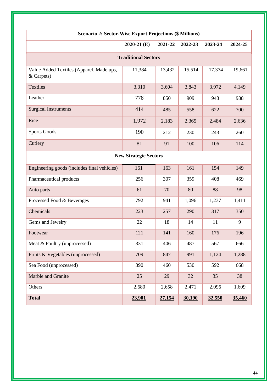| <b>Scenario 2: Sector-Wise Export Projections (\$ Millions)</b> |                              |         |         |         |         |  |  |  |  |
|-----------------------------------------------------------------|------------------------------|---------|---------|---------|---------|--|--|--|--|
|                                                                 | $2020-21$ (E)                | 2021-22 | 2022-23 | 2023-24 | 2024-25 |  |  |  |  |
| <b>Traditional Sectors</b>                                      |                              |         |         |         |         |  |  |  |  |
| Value Added Textiles (Apparel, Made ups,<br>& Carpets)          | 11,384                       | 13,432  | 15,514  | 17,374  | 19,661  |  |  |  |  |
| <b>Textiles</b>                                                 | 3,310                        | 3,604   | 3,843   | 3,972   | 4,149   |  |  |  |  |
| Leather                                                         | 778                          | 850     | 909     | 943     | 988     |  |  |  |  |
| <b>Surgical Instruments</b>                                     | 414                          | 485     | 558     | 622     | 700     |  |  |  |  |
| Rice                                                            | 1,972                        | 2,183   | 2,365   | 2,484   | 2,636   |  |  |  |  |
| <b>Sports Goods</b>                                             | 190                          | 212     | 230     | 243     | 260     |  |  |  |  |
| Cutlery                                                         | 81                           | 91      | 100     | 106     | 114     |  |  |  |  |
|                                                                 | <b>New Strategic Sectors</b> |         |         |         |         |  |  |  |  |
| Engineering goods (includes final vehicles)                     | 161                          | 163     | 161     | 154     | 149     |  |  |  |  |
| Pharmaceutical products                                         | 256                          | 307     | 359     | 408     | 469     |  |  |  |  |
| Auto parts                                                      | 61                           | 70      | 80      | 88      | 98      |  |  |  |  |
| Processed Food & Beverages                                      | 792                          | 941     | 1,096   | 1,237   | 1,411   |  |  |  |  |
| Chemicals                                                       | 223                          | 257     | 290     | 317     | 350     |  |  |  |  |
| Gems and Jewelry                                                | 22                           | 18      | 14      | 11      | 9       |  |  |  |  |
| Footwear                                                        | 121                          | 141     | 160     | 176     | 196     |  |  |  |  |
| Meat & Poultry (unprocessed)                                    | 331                          | 406     | 487     | 567     | 666     |  |  |  |  |
| Fruits & Vegetables (unprocessed)                               | 709                          | 847     | 991     | 1,124   | 1,288   |  |  |  |  |
| Sea Food (unprocessed)                                          | 390                          | 460     | 530     | 592     | 668     |  |  |  |  |
| Marble and Granite                                              | 25                           | 29      | 32      | 35      | 38      |  |  |  |  |
| Others                                                          | 2,680                        | 2,658   | 2,471   | 2,096   | 1,609   |  |  |  |  |
| <b>Total</b>                                                    | 23,901                       | 27,154  | 30,190  | 32,550  | 35,460  |  |  |  |  |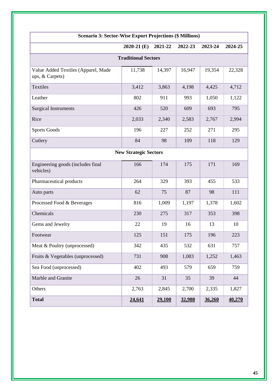| <b>Scenario 3: Sector-Wise Export Projections (\$ Millions)</b> |                              |         |         |         |         |  |  |  |  |
|-----------------------------------------------------------------|------------------------------|---------|---------|---------|---------|--|--|--|--|
|                                                                 | $2020-21$ (E)                | 2021-22 | 2022-23 | 2023-24 | 2024-25 |  |  |  |  |
| <b>Traditional Sectors</b>                                      |                              |         |         |         |         |  |  |  |  |
| Value Added Textiles (Apparel, Made<br>ups, & Carpets)          | 11,738                       | 14,397  | 16,947  | 19,354  | 22,328  |  |  |  |  |
| Textiles                                                        | 3,412                        | 3,863   | 4,198   | 4,425   | 4,712   |  |  |  |  |
| Leather                                                         | 802                          | 911     | 993     | 1,050   | 1,122   |  |  |  |  |
| <b>Surgical Instruments</b>                                     | 426                          | 520     | 609     | 693     | 795     |  |  |  |  |
| Rice                                                            | 2,033                        | 2,340   | 2,583   | 2,767   | 2,994   |  |  |  |  |
| <b>Sports Goods</b>                                             | 196                          | 227     | 252     | 271     | 295     |  |  |  |  |
| Cutlery                                                         | 84                           | 98      | 109     | 118     | 129     |  |  |  |  |
|                                                                 | <b>New Strategic Sectors</b> |         |         |         |         |  |  |  |  |
| Engineering goods (includes final<br>vehicles)                  | 166                          | 174     | 175     | 171     | 169     |  |  |  |  |
| Pharmaceutical products                                         | 264                          | 329     | 393     | 455     | 533     |  |  |  |  |
| Auto parts                                                      | 62                           | 75      | 87      | 98      | 111     |  |  |  |  |
| Processed Food & Beverages                                      | 816                          | 1,009   | 1,197   | 1,378   | 1,602   |  |  |  |  |
| Chemicals                                                       | 230                          | 275     | 317     | 353     | 398     |  |  |  |  |
| Gems and Jewelry                                                | 22                           | 19      | 16      | 13      | 10      |  |  |  |  |
| Footwear                                                        | 125                          | 151     | 175     | 196     | 223     |  |  |  |  |
| Meat & Poultry (unprocessed)                                    | 342                          | 435     | 532     | 631     | 757     |  |  |  |  |
| Fruits & Vegetables (unprocessed)                               | 731                          | 908     | 1,083   | 1,252   | 1,463   |  |  |  |  |
| Sea Food (unprocessed)                                          | 402                          | 493     | 579     | 659     | 759     |  |  |  |  |
| Marble and Granite                                              | 26                           | 31      | 35      | 39      | 44      |  |  |  |  |
| Others                                                          | 2,763                        | 2,845   | 2,700   | 2,335   | 1,827   |  |  |  |  |
| <b>Total</b>                                                    | 24,641                       | 29,100  | 32,980  | 36,260  | 40,270  |  |  |  |  |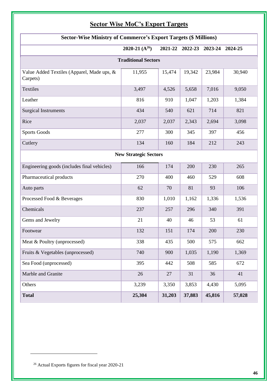## **Sector Wise MoC's Export Targets**

| <b>Sector-Wise Ministry of Commerce's Export Targets (\$ Millions)</b> |                    |        |        |                                 |        |  |  |  |  |  |
|------------------------------------------------------------------------|--------------------|--------|--------|---------------------------------|--------|--|--|--|--|--|
|                                                                        | 2020-21 $(A^{26})$ |        |        | 2021-22 2022-23 2023-24 2024-25 |        |  |  |  |  |  |
| <b>Traditional Sectors</b>                                             |                    |        |        |                                 |        |  |  |  |  |  |
| Value Added Textiles (Apparel, Made ups, &<br>Carpets)                 | 11,955             | 15,474 | 19,342 | 23,984                          | 30,940 |  |  |  |  |  |
| Textiles                                                               | 3,497              | 4,526  | 5,658  | 7,016                           | 9,050  |  |  |  |  |  |
| Leather                                                                | 816                | 910    | 1,047  | 1,203                           | 1,384  |  |  |  |  |  |
| <b>Surgical Instruments</b>                                            | 434                | 540    | 621    | 714                             | 821    |  |  |  |  |  |
| Rice                                                                   | 2,037              | 2,037  | 2,343  | 2,694                           | 3,098  |  |  |  |  |  |
| <b>Sports Goods</b>                                                    | 277                | 300    | 345    | 397                             | 456    |  |  |  |  |  |
| Cutlery                                                                | 134                | 160    | 184    | 212                             | 243    |  |  |  |  |  |
| <b>New Strategic Sectors</b>                                           |                    |        |        |                                 |        |  |  |  |  |  |
| Engineering goods (includes final vehicles)                            | 166                | 174    | 200    | 230                             | 265    |  |  |  |  |  |
| Pharmaceutical products                                                | 270                | 400    | 460    | 529                             | 608    |  |  |  |  |  |
| Auto parts                                                             | 62                 | 70     | 81     | 93                              | 106    |  |  |  |  |  |
| Processed Food & Beverages                                             | 830                | 1,010  | 1,162  | 1,336                           | 1,536  |  |  |  |  |  |
| Chemicals                                                              | 237                | 257    | 296    | 340                             | 391    |  |  |  |  |  |
| Gems and Jewelry                                                       | 21                 | 40     | 46     | 53                              | 61     |  |  |  |  |  |
| Footwear                                                               | 132                | 151    | 174    | 200                             | 230    |  |  |  |  |  |
| Meat & Poultry (unprocessed)                                           | 338                | 435    | 500    | 575                             | 662    |  |  |  |  |  |
| Fruits & Vegetables (unprocessed)                                      | 740                | 900    | 1,035  | 1,190                           | 1,369  |  |  |  |  |  |
| Sea Food (unprocessed)                                                 | 395                | 442    | 508    | 585                             | 672    |  |  |  |  |  |
| Marble and Granite                                                     | 26                 | 27     | 31     | 36                              | 41     |  |  |  |  |  |
| Others                                                                 | 3,239              | 3,350  | 3,853  | 4,430                           | 5,095  |  |  |  |  |  |
| <b>Total</b>                                                           | 25,304             | 31,203 | 37,883 | 45,816                          | 57,028 |  |  |  |  |  |

<sup>26</sup> Actual Exports figures for fiscal year 2020-21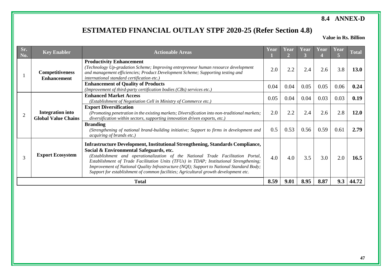### **8.4 ANNEX-D**

# **ESTIMATED FINANCIAL OUTLAY STPF 2020-25 (Refer Section 4.8)**

 **Value in Rs. Billion**

| Sr.<br>No. | <b>Key Enabler</b>                                    | <b>Actionable Areas</b>                                                                                                                                                                                                                                                                                                                                                                                                                                                                            | Year | Year<br>$\mathcal{P}$ | Year | Year | Year | <b>Total</b> |
|------------|-------------------------------------------------------|----------------------------------------------------------------------------------------------------------------------------------------------------------------------------------------------------------------------------------------------------------------------------------------------------------------------------------------------------------------------------------------------------------------------------------------------------------------------------------------------------|------|-----------------------|------|------|------|--------------|
|            | <b>Competitiveness</b><br><b>Enhancement</b>          | <b>Productivity Enhancement</b><br>(Technology Up-gradation Scheme; Improving entrepreneur human resource development<br>and management efficiencies; Product Development Scheme; Supporting testing and<br>international standard certification etc.)                                                                                                                                                                                                                                             | 2.0  | 2.2                   | 2.4  | 2.6  | 3.8  | <b>13.0</b>  |
|            |                                                       | <b>Enhancement of Quality of Products</b><br>(Improvement of third-party certification bodies (CBs) services etc.)                                                                                                                                                                                                                                                                                                                                                                                 | 0.04 | 0.04                  | 0.05 | 0.05 | 0.06 | 0.24         |
|            |                                                       | <b>Enhanced Market Access</b><br>(Establishment of Negotiation Cell in Ministry of Commerce etc.)                                                                                                                                                                                                                                                                                                                                                                                                  | 0.05 | 0.04                  | 0.04 | 0.03 | 0.03 | 0.19         |
|            | <b>Integration into</b><br><b>Global Value Chains</b> | <b>Export Diversification</b><br>(Promoting penetration in the existing markets; Diversification into non-traditional markets;<br>diversification within sectors, supporting innovation driven exports, etc.)                                                                                                                                                                                                                                                                                      | 2.0  | 2.2                   | 2.4  | 2.6  | 2.8  | 12.0         |
|            |                                                       | <b>Branding</b><br>(Strengthening of national brand-building initiative; Support to firms in development and<br>acquiring of brands etc.)                                                                                                                                                                                                                                                                                                                                                          | 0.5  | 0.53                  | 0.56 | 0.59 | 0.61 | 2.79         |
| 3          | <b>Export Ecosystem</b>                               | <b>Infrastructure Development, Institutional Strengthening, Standards Compliance,</b><br>Social & Environmental Safeguards, etc.<br>(Establishment and operationalization of the National Trade Facilitation Portal,<br>Establishment of Trade Facilitation Units (TFUs) in TDAP; Institutional Strengthening;<br>Improvement of National Quality Infrastructure (NQI); Support to National Standard Body;<br>Support for establishment of common facilities; Agricultural growth development etc. | 4.0  | 4.0                   | 3.5  | 3.0  | 2.0  | 16.5         |
|            |                                                       | <b>Total</b>                                                                                                                                                                                                                                                                                                                                                                                                                                                                                       | 8.59 | 9.01                  | 8.95 | 8.87 | 9.3  | 44.72        |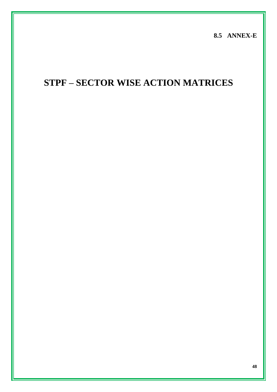**8.5 ANNEX-E**

# **STPF – SECTOR WISE ACTION MATRICES**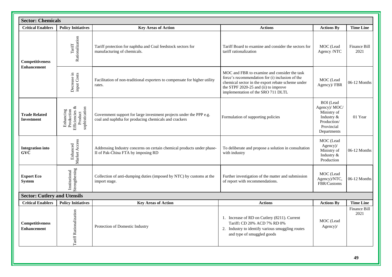| <b>Sector: Chemicals</b>                  |                                                                           |                                                                                                                              |                                                                                                                                                                                                                                    |                                                                                                            |                      |
|-------------------------------------------|---------------------------------------------------------------------------|------------------------------------------------------------------------------------------------------------------------------|------------------------------------------------------------------------------------------------------------------------------------------------------------------------------------------------------------------------------------|------------------------------------------------------------------------------------------------------------|----------------------|
| <b>Critical Enablers</b>                  | <b>Policy Initiatives</b>                                                 | <b>Key Areas of Action</b>                                                                                                   | <b>Actions</b>                                                                                                                                                                                                                     | <b>Actions By</b>                                                                                          | <b>Time Line</b>     |
| Competitiveness<br><b>Enhancement</b>     | Rationalization<br>$\operatorname{Tariff}$                                | Tariff protection for naphtha and Coal feedstock sectors for<br>manufacturing of chemicals.                                  | Tariff Board to examine and consider the sectors for<br>tariff rationalization                                                                                                                                                     | MOC (Lead<br>Agency /NTC                                                                                   | Finance Bill<br>2021 |
|                                           | Decrease in<br>input Costs                                                | Facilitation of non-traditional exporters to compensate for higher utility<br>rates.                                         | MOC and FBR to examine and consider the task<br>force's recommendation for (i) inclusion of the<br>chemical sector in the export rebate scheme under<br>the STPF 2020-25 and (ii) to improve<br>implementation of the SRO 711 DLTL | MOC (Lead<br>Agency)/FBR                                                                                   | $06-12$ Months       |
| <b>Trade Related</b><br><b>Investment</b> | ళ<br>sophistication<br>Enhancing<br>Production<br>Efficiencies<br>Product | Government support for large investment projects under the PPP e.g.<br>coal and naphtha for producing chemicals and crackers | Formulation of supporting policies                                                                                                                                                                                                 | <b>BOI</b> (Lead<br>Agency)/ MOC/<br>Ministry of<br>Industry &<br>Production/<br>Provincial<br>Departments | 01 Year              |
| <b>Integration</b> into<br><b>GVC</b>     | Market Access<br>Enhanced                                                 | Addressing Industry concerns on certain chemical products under phase-<br>II of Pak-China FTA by imposing RD                 | To deliberate and propose a solution in consultation<br>with industry                                                                                                                                                              | MOC (Lead<br>$Agency$ )/<br>Ministry of<br>Industry &<br>Production                                        | 06-12 Months         |
| <b>Export Eco</b><br><b>System</b>        | Strengthening<br>Institutional                                            | Collection of anti-dumping duties (imposed by NTC) by customs at the<br>import stage.                                        | Further investigation of the matter and submission<br>of report with recommendations.                                                                                                                                              | MOC (Lead<br>Agency)/NTC,<br>FBR/Customs                                                                   | 06-12 Months         |
| <b>Sector: Cutlery and Utensils</b>       |                                                                           |                                                                                                                              |                                                                                                                                                                                                                                    |                                                                                                            |                      |
| <b>Critical Enablers</b>                  | <b>Policy Initiatives</b>                                                 | <b>Key Areas of Action</b>                                                                                                   | <b>Actions</b>                                                                                                                                                                                                                     | <b>Actions By</b>                                                                                          | <b>Time Line</b>     |
| Competitiveness<br><b>Enhancement</b>     | <b>Tariff Rationalization</b>                                             | Protection of Domestic Industry                                                                                              | 1. Increase of RD on Cutlery (8211). Current<br>Tariff: CD 20% ACD 7% RD 0%<br>2. Industry to identify various smuggling routes<br>and type of smuggled goods                                                                      | MOC (Lead<br>Agency)/                                                                                      | Finance Bill<br>2021 |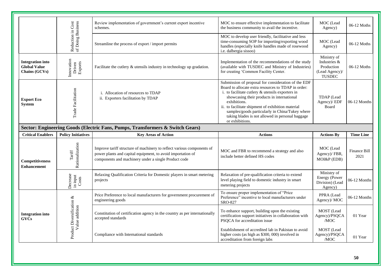|                                                                 |                                             | Review implementation of government's current export incentive<br>schemes.                                                                                                                    | MOC to ensure effective implementation to facilitate<br>the business community to avail the incentive.                                                                                                                                                                                                                                                                                                        | MOC (Lead<br>Agency)                                                         | 06-12 Moths          |
|-----------------------------------------------------------------|---------------------------------------------|-----------------------------------------------------------------------------------------------------------------------------------------------------------------------------------------------|---------------------------------------------------------------------------------------------------------------------------------------------------------------------------------------------------------------------------------------------------------------------------------------------------------------------------------------------------------------------------------------------------------------|------------------------------------------------------------------------------|----------------------|
|                                                                 | Reduction in Cost<br>of Doing Business      | Streamline the process of export / import permits                                                                                                                                             | MOC to develop user friendly, facilitative and less<br>time-consuming SOP for importing/exporting wood<br>handles (especially knife handles made of rosewood<br>i.e. dalbergia sissoo)                                                                                                                                                                                                                        | MOC (Lead<br>Agency)                                                         | 06-12 Moths          |
| <b>Integration into</b><br><b>Global Value</b><br>Chains (GCVs) | Innovation<br>Driven<br>Exports             | Facilitate the cutlery $\&$ utensils industry in technology up gradation.                                                                                                                     | Implementation of the recommendations of the study<br>(available with TUSDEC and Ministry of Industries)<br>for creating 'Common Facility Center.                                                                                                                                                                                                                                                             | Ministry of<br>Industries &<br>Production<br>(Lead Agency)/<br><b>TUSDEC</b> | 06-12 Moths          |
| <b>Export Eco</b><br><b>System</b>                              | Trade Facilitation                          | i. Allocation of resources to TDAP<br>ii. Exporters facilitation by TDAP                                                                                                                      | Submission of proposal for consideration of the EDF<br>Board to allocate extra resources to TDAP in order:<br>i. to facilitate cutlery $&$ utensils exporters in<br>showcasing their products in international<br>exhibitions.<br>ii. to facilitate shipment of exhibition material<br>samples/goods particularly in China/Tukey where<br>taking blades is not allowed in personal baggage<br>or exhibitions. | TDAP (Lead<br>Agency)/ EDF<br>Board                                          | 06-12 Months         |
|                                                                 |                                             | Sector: Engineering Goods (Electric Fans, Pumps, Transformers & Switch Gears)                                                                                                                 |                                                                                                                                                                                                                                                                                                                                                                                                               |                                                                              |                      |
|                                                                 |                                             |                                                                                                                                                                                               |                                                                                                                                                                                                                                                                                                                                                                                                               |                                                                              |                      |
| <b>Critical Enablers</b>                                        | <b>Policy Initiatives</b>                   | <b>Key Areas of Action</b>                                                                                                                                                                    | <b>Actions</b>                                                                                                                                                                                                                                                                                                                                                                                                | <b>Actions By</b>                                                            | <b>Time Line</b>     |
| Competitiveness<br><b>Enhancement</b>                           | Rationalization<br>Tariff                   | Improve tariff structure of machinery to reflect various components of<br>power plants and capital equipment, to avoid importation of<br>components and machinery under a single Product code | MOC and FBR to recommend a strategy and also<br>include better defined HS codes                                                                                                                                                                                                                                                                                                                               | MOC (Lead<br>Agency)/FBR,<br>MOI&P (EDB)                                     | Finance Bill<br>2021 |
|                                                                 | Decrease<br>in input<br>Costs               | Relaxing Qualification Criteria for Domestic players in smart metering<br>projects                                                                                                            | Relaxation of pre-qualification criteria to extend<br>level playing field to domestic industry in smart<br>metering projects                                                                                                                                                                                                                                                                                  | Ministry of<br>Energy (Power<br>Division) (Lead<br>Agency)                   | 06-12 Months         |
|                                                                 |                                             | Price Preference to local manufacturers for government procurement of<br>engineering goods                                                                                                    | To ensure proper implementation of "Price<br>Preference" incentive to local manufacturers under<br>SRO-827                                                                                                                                                                                                                                                                                                    | PPRA (Lead<br>Agency)/ MOC                                                   | 06-12 Months         |
| <b>Integration into</b><br><b>GVCs</b>                          | Product Diversification &<br>Value addition | Constitution of certification agency in the country as per internationally<br>accepted standards                                                                                              | To enhance support, building upon the existing<br>certification support initiatives in collaboration with<br>PSQCA for accreditation issue                                                                                                                                                                                                                                                                    | MOST (Lead<br>Agency)/PSQCA<br>/MOC                                          | 01 Year              |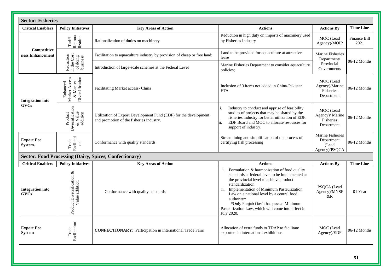| <b>Sector: Fisheries</b>               |                                                          |                                                                                                              |                                                                                                                                                                                                                                                                                                                                                                                            |                                                          |                             |
|----------------------------------------|----------------------------------------------------------|--------------------------------------------------------------------------------------------------------------|--------------------------------------------------------------------------------------------------------------------------------------------------------------------------------------------------------------------------------------------------------------------------------------------------------------------------------------------------------------------------------------------|----------------------------------------------------------|-----------------------------|
| <b>Critical Enablers</b>               | <b>Policy Initiatives</b>                                | <b>Key Areas of Action</b>                                                                                   | <b>Actions</b>                                                                                                                                                                                                                                                                                                                                                                             | <b>Actions By</b>                                        | <b>Time Line</b>            |
|                                        | Rationa<br>lization<br>Tariff                            | Rationalization of duties on machinery                                                                       | Reduction in high duty on imports of machinery used<br>by Fisheries Industry                                                                                                                                                                                                                                                                                                               | MOC (Lead<br>Agency)/MOIP                                | <b>Finance Bill</b><br>2021 |
| Competitive<br>ness Enhancement        |                                                          | Facilitation to aquaculture industry by provision of cheap or free land;                                     | Land to be provided for aquaculture at attractive<br>lease                                                                                                                                                                                                                                                                                                                                 | Marine Fisheries<br>Department/                          | 06-12 Months                |
|                                        | Reduction<br>in the Cost<br>of doing<br>business         | Introduction of large-scale schemes at the Federal Level                                                     | Marine Fisheries Department to consider aquaculture<br>policies:                                                                                                                                                                                                                                                                                                                           | Provincial<br>Governments                                |                             |
| <b>Integration into</b>                | Market Access<br>& Market<br>Diversification<br>Enhanced | Facilitating Market access- China                                                                            | Inclusion of 3 items not added in China-Pakistan<br><b>FTA</b>                                                                                                                                                                                                                                                                                                                             | MOC (Lead<br>Agency)/Marine<br>Fisheries<br>Department   | $06-12$ Months              |
| <b>GVCs</b>                            | Diversification<br>& Value<br>addition<br>Product        | Utilization of Export Development Fund (EDF) for the development<br>and promotion of the fisheries industry. | Industry to conduct and apprise of feasibility<br>i.<br>studies of projects that may be shared by the<br>fisheries industry for better utilization of EDF.<br>EDF Board and MOC to allocate resources for<br>ii.<br>support of industry.                                                                                                                                                   | MOC (Lead<br>Agency)/ Marine<br>Fisheries<br>Department  | 06-12 Months                |
| <b>Export Eco</b><br>System.           | Trade<br>Facilitati<br>$\mathbb S$                       | Conformance with quality standards                                                                           | Streamlining and simplification of the process of<br>certifying fish processing                                                                                                                                                                                                                                                                                                            | Marine Fisheries<br>Department<br>(Lead<br>Agency)/PSQCA | 06-12 Months                |
|                                        |                                                          | <b>Sector: Food Processing (Dairy, Spices, Confectionary)</b>                                                |                                                                                                                                                                                                                                                                                                                                                                                            |                                                          |                             |
| <b>Critical Enablers</b>               | <b>Policy Initiatives</b>                                | <b>Key Areas of Action</b>                                                                                   | <b>Actions</b>                                                                                                                                                                                                                                                                                                                                                                             | <b>Actions By</b>                                        | <b>Time Line</b>            |
| <b>Integration into</b><br><b>GVCs</b> | Product Diversification &<br>Value addition              | Conformance with quality standards                                                                           | i. Formulation & harmonization of food quality<br>standards at federal level to be implemented at<br>the provincial level to achieve product<br>standardization<br>Implementation of Minimum Pasteurization<br>ii.<br>Law on a national level by a central food<br>authority*<br>*Only Punjab Gov't has passed Minimum<br>Pasteurization Law, which will come into effect in<br>July 2020. | PSQCA (Lead<br>Agency)/MNSF<br>&R                        | 01 Year                     |
| <b>Export Eco</b><br>System            | Facilitation<br>Trade                                    | <b>CONFECTIONARY:</b> Participation in International Trade Fairs                                             | Allocation of extra funds to TDAP to facilitate<br>exporters in international exhibitions                                                                                                                                                                                                                                                                                                  | MOC (Lead<br>Agency)/EDF                                 | 06-12 Months                |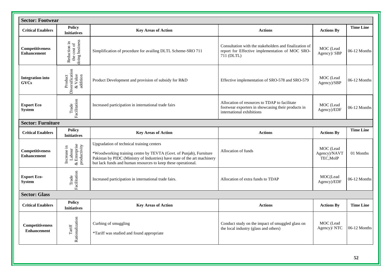| <b>Sector: Footwear</b>                      |                                                       |                                                                                                                                                                                                                                                               |                                                                                                                                  |                                        |                  |
|----------------------------------------------|-------------------------------------------------------|---------------------------------------------------------------------------------------------------------------------------------------------------------------------------------------------------------------------------------------------------------------|----------------------------------------------------------------------------------------------------------------------------------|----------------------------------------|------------------|
| <b>Critical Enablers</b>                     | <b>Policy</b><br><b>Initiatives</b>                   | <b>Key Areas of Action</b>                                                                                                                                                                                                                                    | <b>Actions</b>                                                                                                                   | <b>Actions By</b>                      | <b>Time Line</b> |
| <b>Competitiveness</b><br><b>Enhancement</b> | Reduction in<br>the cost of<br>doing business         | Simplification of procedure for availing DLTL Scheme-SRO 711                                                                                                                                                                                                  | Consultation with the stakeholders and finalization of<br>report for Effective implementation of MOC SRO-<br>711 (DLTL)          | MOC (Lead<br>Agency)/ SBP              | 06-12 Months     |
| <b>Integration into</b><br><b>GVCs</b>       | Diversification<br>& Value<br>addition<br>Product     | Product Development and provision of subsidy for R&D                                                                                                                                                                                                          | Effective implementation of SRO-578 and SRO-579                                                                                  | MOC (Lead<br>Agency)/SBP               | 06-12 Months     |
| <b>Export Eco</b><br><b>System</b>           | Trade<br>Facilitation                                 | Increased participation in international trade fairs                                                                                                                                                                                                          | Allocation of resources to TDAP to facilitate<br>footwear exporters in showcasing their products in<br>international exhibitions | MOC (Lead<br>Agency)/EDF               | 06-12 Months     |
| <b>Sector: Furniture</b>                     |                                                       |                                                                                                                                                                                                                                                               |                                                                                                                                  |                                        |                  |
| <b>Critical Enablers</b>                     | <b>Policy</b><br><b>Initiatives</b>                   | <b>Key Areas of Action</b>                                                                                                                                                                                                                                    | <b>Actions</b>                                                                                                                   | <b>Actions By</b>                      | <b>Time Line</b> |
| <b>Competitiveness</b><br><b>Enhancement</b> | $\&$ Enterprise productivity<br>Increase in<br>Labour | Upgradation of technical training centers<br>*Woodworking training centre by TEVTA (Govt. of Punjab), Furniture<br>Pakistan by PIDC (Ministry of Industries) have state of the art machinery<br>but lack funds and human resources to keep these operational. | Allocation of funds                                                                                                              | MOC (Lead<br>Agency)/NAVT<br>TEC, MoIP | 01 Months        |
| <b>Export Eco-</b><br><b>System</b>          | Facilitation<br>Trade                                 | Increased participation in international trade fairs.                                                                                                                                                                                                         | Allocation of extra funds to TDAP                                                                                                | MOC(Lead<br>Agency)/EDF                | 06-12 Months     |
| <b>Sector: Glass</b>                         |                                                       |                                                                                                                                                                                                                                                               |                                                                                                                                  |                                        |                  |
| <b>Critical Enablers</b>                     | <b>Policy</b><br><b>Initiatives</b>                   | <b>Key Areas of Action</b>                                                                                                                                                                                                                                    | <b>Actions</b>                                                                                                                   | <b>Actions By</b>                      | <b>Time Line</b> |
| <b>Competitiveness</b><br><b>Enhancement</b> | Rationalization<br>$\operatorname{Tariff}$            | Curbing of smuggling<br>*Tariff was studied and found appropriate                                                                                                                                                                                             | Conduct study on the impact of smuggled glass on<br>the local industry (glass and others)                                        | MOC (Lead<br>Agency)/ NTC              | 06-12 Months     |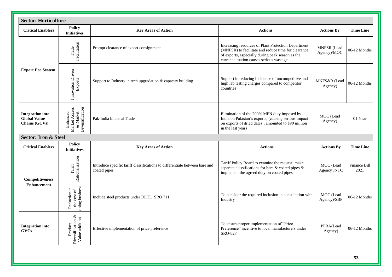|                                                                  | <b>Sector: Horticulture</b>                                 |                                                                                             |                                                                                                                                                                                                            |                            |                      |  |  |
|------------------------------------------------------------------|-------------------------------------------------------------|---------------------------------------------------------------------------------------------|------------------------------------------------------------------------------------------------------------------------------------------------------------------------------------------------------------|----------------------------|----------------------|--|--|
| <b>Critical Enablers</b>                                         | Policy<br><b>Initiatives</b>                                | <b>Key Areas of Action</b>                                                                  | <b>Actions</b>                                                                                                                                                                                             | <b>Actions By</b>          | <b>Time Line</b>     |  |  |
|                                                                  | Facilitation<br>Trade                                       | Prompt clearance of export consignment                                                      | Increasing resources of Plant Protection Department<br>(MNFSR) to facilitate and reduce time for clearance<br>of exports, especially during peak season as the<br>current situation causes serious wastage | MNFSR (Lead<br>Agency)/MOC | 06-12 Months         |  |  |
| <b>Export Eco System</b>                                         | Innovation Driven<br>Exports                                | Support to Industry in tech upgradation & capacity building                                 | Support in reducing incidence of uncompetitive and<br>high lab testing charges compared to competitor<br>countries                                                                                         | MNFS&R (Lead<br>Agency)    | 06-12 Months         |  |  |
| <b>Integration</b> into<br><b>Global Value</b><br>Chains (GCVs). | Market Access<br>Diversification<br>$\&$ Market<br>Enhanced | Pak-India bilateral Trade                                                                   | Elimination of the 200% MFN duty imposed by<br>India on Pakistan's exports, (causing serious impact<br>on exports of dried dates', amounted to \$90 million<br>in the last year)                           | MOC (Lead<br>Agency)       | 01 Year              |  |  |
| <b>Sector: Iron &amp; Steel</b>                                  |                                                             |                                                                                             |                                                                                                                                                                                                            |                            |                      |  |  |
| <b>Critical Enablers</b>                                         | Policy<br><b>Initiatives</b>                                | <b>Key Areas of Action</b>                                                                  | <b>Actions</b>                                                                                                                                                                                             | <b>Actions By</b>          | <b>Time Line</b>     |  |  |
| Competitiveness                                                  | Rationalization<br>$\operatorname{Tariff}$                  | Introduce specific tariff classifications to differentiate between bare and<br>coated pipes | Tariff Policy Board to examine the request, make<br>separate classifications for bare $\&$ coated pipes $\&$<br>implement the agreed duty on coated pipes                                                  | MOC (Lead<br>Agency)/NTC   | Finance Bill<br>2021 |  |  |
| <b>Enhancement</b>                                               | the cost of<br>doing business<br>Reduction in               | Include steel products under DLTL SRO 711                                                   | To consider the required inclusion in consultation with<br>Industry                                                                                                                                        | MOC (Lead<br>Agency)/SBP   | 06-12 Months         |  |  |
| <b>Integration into</b><br><b>GVCs</b>                           | Diversification $\&$<br>Value addition<br>Product           | Effective implementation of price preference                                                | To ensure proper implementation of "Price<br>Preference" incentive to local manufacturers under<br><b>SRO-827</b>                                                                                          | PPRA(Lead<br>Agency)       | $06-12$ Months       |  |  |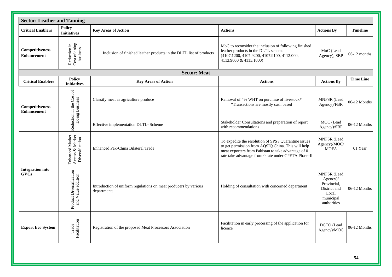|                                              | <b>Sector: Leather and Tanning</b>                    |                                                                                 |                                                                                                                                                                                                                                         |                                                                                             |                  |  |  |
|----------------------------------------------|-------------------------------------------------------|---------------------------------------------------------------------------------|-----------------------------------------------------------------------------------------------------------------------------------------------------------------------------------------------------------------------------------------|---------------------------------------------------------------------------------------------|------------------|--|--|
| <b>Critical Enablers</b>                     | Policy<br><b>Initiatives</b>                          | <b>Key Areas of Action</b>                                                      | <b>Actions</b>                                                                                                                                                                                                                          | <b>Actions By</b>                                                                           | <b>Timeline</b>  |  |  |
| Competitiveness<br><b>Enhancement</b>        | Reduction in<br>Cost of doing<br>business             | Inclusion of finished leather products in the DLTL list of products             | MoC to reconsider the inclusion of following finished<br>leather products in the DLTL scheme:<br>(4107.1200, 4107.9200, 4107.9100, 4112.000,<br>4113.9000 & 4113.1000)                                                                  | MoC (Lead<br>Agency); SBP                                                                   | $06-12$ months   |  |  |
|                                              |                                                       | <b>Sector: Meat</b>                                                             |                                                                                                                                                                                                                                         |                                                                                             |                  |  |  |
| <b>Critical Enablers</b>                     | <b>Policy</b><br><b>Initiatives</b>                   | <b>Key Areas of Action</b>                                                      | <b>Actions</b>                                                                                                                                                                                                                          | <b>Actions By</b>                                                                           | <b>Time Line</b> |  |  |
| <b>Competitiveness</b><br><b>Enhancement</b> | Reduction in the Cost of<br>Doing Business            | Classify meat as agriculture produce                                            | Removal of 4% WHT on purchase of livestock*<br>*Transactions are mostly cash based                                                                                                                                                      | <b>MNFSR</b> (Lead<br>Agency)/FBR                                                           | 06-12 Months     |  |  |
|                                              |                                                       | Effective implementation DLTL- Scheme                                           | Stakeholder Consultations and preparation of report<br>with recommendations                                                                                                                                                             | MOC (Lead<br>Agency)/SBP                                                                    | 06-12 Months     |  |  |
|                                              | Enhanced Market<br>Access & Market<br>Diversification | Enhanced Pak-China Bilateral Trade                                              | To expedite the resolution of SPS / Quarantine issues<br>to get permission from AQSIQ China. This will help<br>meat exporters from Pakistan to take advantage of $\overline{0}$<br>rate take advantage from 0 rate under CPFTA Phase-II | <b>MNFSR</b> (Lead<br>Agency)/MOC/<br><b>MOFA</b>                                           | 01 Year          |  |  |
| <b>Integration</b> into<br><b>GVCs</b>       | Product Diversification<br>and Value addition         | Introduction of uniform regulations on meat producers by various<br>departments | Holding of consultation with concerned department                                                                                                                                                                                       | MNFSR (Lead<br>Agency)/<br>Provincial.<br>District and<br>Local<br>municipal<br>authorities | 06-12 Months     |  |  |
| <b>Export Eco System</b>                     | Facilitation<br>Trade                                 | Registration of the proposed Meat Processors Association                        | Facilitation in early processing of the application for<br>licence                                                                                                                                                                      | DGTO (Lead<br>Agency)/MOC                                                                   | 06-12 Months     |  |  |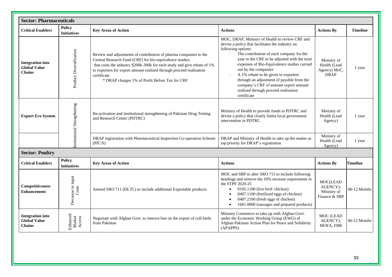|                                                                 | <b>Sector: Pharmaceuticals</b>      |                                                                                                                                                                                                                                                                                                                                                   |                                                                                                                                                                                                                                                                                                                                                                                                                                                                                                                   |                                                            |                 |  |  |  |
|-----------------------------------------------------------------|-------------------------------------|---------------------------------------------------------------------------------------------------------------------------------------------------------------------------------------------------------------------------------------------------------------------------------------------------------------------------------------------------|-------------------------------------------------------------------------------------------------------------------------------------------------------------------------------------------------------------------------------------------------------------------------------------------------------------------------------------------------------------------------------------------------------------------------------------------------------------------------------------------------------------------|------------------------------------------------------------|-----------------|--|--|--|
| <b>Critical Enablers</b>                                        | <b>Policy</b><br><b>Initiatives</b> | <b>Key Areas of Action</b>                                                                                                                                                                                                                                                                                                                        | <b>Actions</b>                                                                                                                                                                                                                                                                                                                                                                                                                                                                                                    | <b>Actions By</b>                                          | <b>Timeline</b> |  |  |  |
| <b>Integration</b> into<br><b>Global Value</b><br><b>Chains</b> | Product Diversification             | Review and adjustments of contribution of pharma companies to the<br>Central Research Fund (CRF) for bio-equivalence studies.<br>that costs the industry \$200k-300k for each study and give rebate of 1%<br>to exporters for export amount realized through proceed realisation<br>certificate<br>* DRAP charges 1% of Profit Before Tax for CRF | MOC, DRAP, Ministry of Health to review CRF and<br>devise a policy that facilitates the industry on<br>following options:<br>The contribution of each company for the<br>$\mathcal{L}^{\mathcal{L}}$<br>year to the CRF to be adjusted with the total<br>expenses of Bio-Equivalence studies carried<br>out by the companies<br>A 1% rebate to be given to exporters<br>through an adjustment of payable from the<br>company's CRF of amount export amount<br>realized through proceed realisation<br>certificate | Ministry of<br>Health (Lead<br>Agency) MoC,<br><b>DRAP</b> | 1 year          |  |  |  |
| <b>Export Eco System</b>                                        | Institutional Strengthening         | Re-activation and institutional strengthening of Pakistan Drug Testing<br>and Research Center (PDTRC)                                                                                                                                                                                                                                             | Ministry of Health to provide funds to PDTRC and<br>devise a policy that clearly limits local government<br>intervention in PDTRC.                                                                                                                                                                                                                                                                                                                                                                                | Ministry of<br>Health (Lead<br>Agency)                     | 1 year          |  |  |  |
|                                                                 |                                     | DRAP registration with Pharmaceutical Inspection Co-operation Scheme<br>(PIC/S)                                                                                                                                                                                                                                                                   | DRAP and Ministry of Health to take up the matter as<br>top priority for DRAP's registration                                                                                                                                                                                                                                                                                                                                                                                                                      | Ministry of<br>Health (Lead<br>Agency)                     | 1 year          |  |  |  |
| <b>Sector: Poultry</b>                                          |                                     |                                                                                                                                                                                                                                                                                                                                                   |                                                                                                                                                                                                                                                                                                                                                                                                                                                                                                                   |                                                            |                 |  |  |  |
| <b>Critical Enablers</b>                                        | <b>Policy</b><br><b>Initiatives</b> | <b>Key Areas of Action</b>                                                                                                                                                                                                                                                                                                                        | <b>Actions</b>                                                                                                                                                                                                                                                                                                                                                                                                                                                                                                    | <b>Actions By</b>                                          | <b>Timeline</b> |  |  |  |
| Competitiveness<br><b>Enhancement</b>                           | Decrease in input<br>Costs          | Amend SRO 711 (DLTL) to include additional Exportable products                                                                                                                                                                                                                                                                                    | MOC and SBP to alter SRO 711 to include following<br>headings and remove the 10% increase requirement in<br>the STPF 2020-25<br>$0105.1100$ (live bird: chicken)<br>0407.1100 (fertilized eggs of chicken)<br>$\bullet$<br>0407.2100 (fresh eggs of chicken)<br>$\bullet$<br>1601.0000 (sausages and prepared products)<br>$\bullet$                                                                                                                                                                              | MOC(LEAD<br>AGENCY);<br>Ministry of<br>Finance & SBP       | 06-12 Months    |  |  |  |
| <b>Integration into</b><br><b>Global Value</b><br><b>Chains</b> | Enhanced<br>Market<br>Access        | Negotiate with Afghan Govt. to remove ban on the export of cull birds<br>from Pakistan                                                                                                                                                                                                                                                            | Ministry Commerce to take up with Afghan Govt.<br>under the Economic Working Group (EWG) of<br>Afghan Pakistan Action Plan for Peace and Solidarity<br>(APAPPS)                                                                                                                                                                                                                                                                                                                                                   | MOC (LEAD<br>AGENCY),<br>MOFA, FBR                         | 06-12 Months    |  |  |  |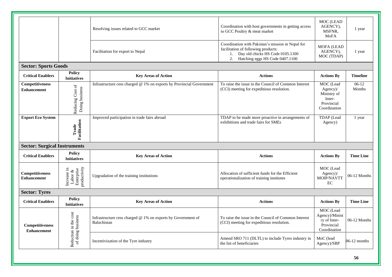|                                              |                                                      | Resolving issues related to GCC market                                      | Coordination with host governments in getting access<br>to GCC Poultry & meat market                                                                                  | MOC (LEAD<br>AGENCY),<br>MSFNR,<br>MoFA                                      | 1 year            |
|----------------------------------------------|------------------------------------------------------|-----------------------------------------------------------------------------|-----------------------------------------------------------------------------------------------------------------------------------------------------------------------|------------------------------------------------------------------------------|-------------------|
|                                              |                                                      | Facilitation for export to Nepal                                            | Coordination with Pakistan's mission in Nepal for<br>facilitation of following products:<br>Day old chicks HS Code 0105.1100<br>2.<br>Hatching eggs HS Code 0407.1100 | <b>MOFA (LEAD</b><br>AGENCY),<br>MOC (TDAP)                                  | 1 year            |
| <b>Sector: Sports Goods</b>                  |                                                      |                                                                             |                                                                                                                                                                       |                                                                              |                   |
| <b>Critical Enablers</b>                     | <b>Policy</b><br><b>Initiatives</b>                  | <b>Key Areas of Action</b>                                                  | <b>Actions</b>                                                                                                                                                        | <b>Actions By</b>                                                            | <b>Timeline</b>   |
| <b>Competitiveness</b><br><b>Enhancement</b> | Reducing Cost of<br>Doing business                   | Infrastructure cess charged @ 1% on exports by Provincial Government        | To raise the issue in the Council of Common Interest<br>(CCI) meeting for expeditious resolution.                                                                     | MOC (Lead<br>Agency)/<br>Ministry of<br>Inter-<br>Provincial<br>Coordination | $06-12$<br>Months |
| <b>Export Eco System</b>                     | Facilitation<br>Trade                                | Improved participation in trade fairs abroad                                | TDAP to be made more proactive in arrangements of<br>exhibitions and trade fairs for SMEs                                                                             | TDAP (Lead<br>Agency)                                                        | 1 year            |
| <b>Sector: Surgical Instruments</b>          |                                                      |                                                                             |                                                                                                                                                                       |                                                                              |                   |
| <b>Critical Enablers</b>                     | <b>Policy</b><br><b>Initiatives</b>                  | <b>Key Areas of Action</b>                                                  | <b>Actions</b>                                                                                                                                                        | <b>Actions By</b>                                                            | <b>Time Line</b>  |
| Competitiveness<br><b>Enhancement</b>        | Labor &<br>Enterprise<br>productivity<br>Increase in | Upgradation of the training institutions                                    | Allocation of sufficient funds for the Efficient<br>operationalization of training institutes                                                                         | MOC (Lead<br>Agency)/<br>MOIP/NAVTT<br>EC                                    | 06-12 Months      |
| <b>Sector: Tyres</b>                         |                                                      |                                                                             |                                                                                                                                                                       |                                                                              |                   |
| <b>Critical Enablers</b>                     | Policy<br><b>Initiatives</b>                         | <b>Key Areas of Action</b>                                                  | <b>Actions</b>                                                                                                                                                        | <b>Actions By</b>                                                            | <b>Time Line</b>  |
| <b>Competitiveness</b><br><b>Enhancement</b> | Reduction in the cost<br>of doing business           | Infrastructure cess charged @ 1% on exports by Government of<br>Baluchistan | To raise the issue in the Council of Common Interest<br>(CCI) meeting for expeditious resolution.                                                                     | MOC (Lead<br>Agency)/Minist<br>ry of Inter-<br>Provincial<br>Coordination    | 06-12 Months      |
|                                              |                                                      | Incentivization of the Tyre industry                                        | Amend SRO 711 (DLTL) to include Tyres industry in<br>the list of beneficiaries                                                                                        | MoC (lead<br>Agency)/SBP                                                     | $06-12$ months    |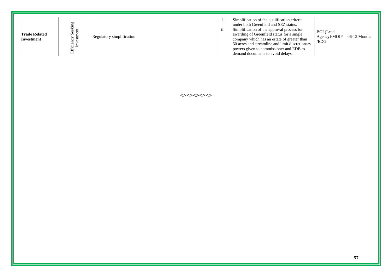| <b>Trade Related</b><br>Investment | cy See<br>stmen | Regulatory simplification | 11. | Simplification of the qualification criteria<br>under both Greenfield and SEZ status.<br>Simplification of the approval process for<br>awarding of Greenfield status for a single<br>company which has an estate of greater than<br>50 acres and streamline and limit discretionary<br>powers given to commissioner and EDB to<br>demand documents to avoid delays. | <b>BOI</b> (Lead<br>Agency)/MOIP<br>/EDG | $06-12$ Months |
|------------------------------------|-----------------|---------------------------|-----|---------------------------------------------------------------------------------------------------------------------------------------------------------------------------------------------------------------------------------------------------------------------------------------------------------------------------------------------------------------------|------------------------------------------|----------------|
|------------------------------------|-----------------|---------------------------|-----|---------------------------------------------------------------------------------------------------------------------------------------------------------------------------------------------------------------------------------------------------------------------------------------------------------------------------------------------------------------------|------------------------------------------|----------------|

**<><><><><>**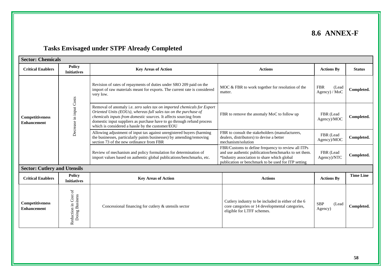# **8.6 ANNEX-F**

# **Tasks Envisaged under STPF Already Completed**

| <b>Sector: Chemicals</b>              |                                        |                                                                                                                                                                                                                                                                                                                                               |                                                                                                                                                                                                                   |                                      |                  |  |  |
|---------------------------------------|----------------------------------------|-----------------------------------------------------------------------------------------------------------------------------------------------------------------------------------------------------------------------------------------------------------------------------------------------------------------------------------------------|-------------------------------------------------------------------------------------------------------------------------------------------------------------------------------------------------------------------|--------------------------------------|------------------|--|--|
| <b>Critical Enablers</b>              | <b>Policy</b><br><b>Initiatives</b>    | <b>Key Areas of Action</b>                                                                                                                                                                                                                                                                                                                    | <b>Actions</b>                                                                                                                                                                                                    | <b>Actions By</b>                    | <b>Status</b>    |  |  |
|                                       |                                        | Revision of rates of repayments of duties under SRO 209 paid on the<br>import of raw materials meant for exports. The current rate is considered<br>very low.                                                                                                                                                                                 | MOC & FBR to work together for resolution of the<br>matter.                                                                                                                                                       | <b>FBR</b><br>(Lead<br>Agency) / MoC | Completed.       |  |  |
| Competitiveness<br><b>Enhancement</b> | Decrease in input Costs                | Removal of anomaly i.e. zero sales tax on imported chemicals for Export<br>Oriented Units (EOUs), whereas full sales tax on the purchase of<br>chemicals inputs from domestic sources. It affects sourcing from<br>domestic input suppliers as purchase have to go through refund process<br>which is considered a hassle by the customer/EOU | FBR to remove the anomaly MoC to follow up                                                                                                                                                                        | FBR (Lead<br>Agency)/MOC             | Completed.       |  |  |
|                                       |                                        | Allowing adjustment of input tax against unregistered buyers (harming<br>the businesses, particularly paints businesses) by amending/removing<br>section 73 of the new ordinance from FBR                                                                                                                                                     | FBR to consult the stakeholders (manufacturers,<br>dealers, distributors) to devise a better<br>mechanism/solution                                                                                                | FBR (Lead<br>Agency)/MOC             | Completed.       |  |  |
|                                       |                                        | Review of mechanism and policy formulation for determination of<br>import values based on authentic global publications/benchmarks, etc.                                                                                                                                                                                                      | FBR/Customs to define frequency to review all ITPs<br>and use authentic publication/benchmarks to set them.<br>*Industry association to share which global<br>publication or benchmark to be used for ITP setting | FBR (Lead<br>Agency)/NTC             | Completed.       |  |  |
| <b>Sector: Cutlery and Utensils</b>   |                                        |                                                                                                                                                                                                                                                                                                                                               |                                                                                                                                                                                                                   |                                      |                  |  |  |
| <b>Critical Enablers</b>              | <b>Policy</b><br><b>Initiatives</b>    | <b>Key Areas of Action</b>                                                                                                                                                                                                                                                                                                                    | <b>Actions</b>                                                                                                                                                                                                    | <b>Actions By</b>                    | <b>Time Line</b> |  |  |
| Competitiveness<br><b>Enhancement</b> | Reduction in Cost of<br>Doing Business | Concessional financing for cutlery & utensils sector                                                                                                                                                                                                                                                                                          | Cutlery industry to be included in either of the 6<br>core categories or 14 developmental categories,<br>eligible for LTFF schemes.                                                                               | <b>SBP</b><br>(Lead<br>Agency)       | Completed.       |  |  |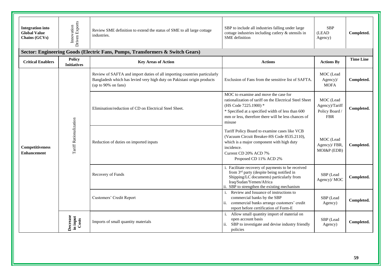| <b>Integration into</b><br><b>Global Value</b><br>Chains (GCVs) | Driven Exports<br>Innovation                                                  | Review SME definition to extend the status of SME to all large cottage<br>industries.                                                                                       | SBP to include all industries falling under large<br>cottage industries including cutlery & utensils in<br>SME definition                                                                                                                      | <b>SBP</b><br>(LEAD<br>Agency)                                                                                                                                                                             | Completed.                               |            |  |  |  |
|-----------------------------------------------------------------|-------------------------------------------------------------------------------|-----------------------------------------------------------------------------------------------------------------------------------------------------------------------------|------------------------------------------------------------------------------------------------------------------------------------------------------------------------------------------------------------------------------------------------|------------------------------------------------------------------------------------------------------------------------------------------------------------------------------------------------------------|------------------------------------------|------------|--|--|--|
|                                                                 | Sector: Engineering Goods (Electric Fans, Pumps, Transformers & Switch Gears) |                                                                                                                                                                             |                                                                                                                                                                                                                                                |                                                                                                                                                                                                            |                                          |            |  |  |  |
| <b>Critical Enablers</b>                                        | Policy<br><b>Initiatives</b>                                                  | <b>Key Areas of Action</b>                                                                                                                                                  | <b>Actions</b>                                                                                                                                                                                                                                 | <b>Actions By</b>                                                                                                                                                                                          | <b>Time Line</b>                         |            |  |  |  |
|                                                                 |                                                                               | Review of SAFTA and import duties of all importing countries particularly<br>Bangladesh which has levied very high duty on Pakistani origin products<br>(up to 90% on fans) | Exclusion of Fans from the sensitive list of SAFTA.                                                                                                                                                                                            | MOC (Lead<br>$Agency$ /<br><b>MOFA</b>                                                                                                                                                                     | Completed.                               |            |  |  |  |
|                                                                 |                                                                               | Elimination/reduction of CD on Electrical Steel Sheet.                                                                                                                      | MOC to examine and move the case for<br>rationalization of tariff on the Electrical Steel Sheet<br>(HS Code 7225.1900) *<br>* Specified at a specified width of less than 600<br>mm or less, therefore there will be less chances of<br>misuse | MOC (Lead<br>Agency)/Tariff<br>Policy Board /<br><b>FBR</b>                                                                                                                                                | Completed.                               |            |  |  |  |
| Competitiveness<br><b>Enhancement</b>                           |                                                                               | Tariff Rationalization                                                                                                                                                      | Reduction of duties on imported inputs                                                                                                                                                                                                         | Tariff Policy Board to examine cases like VCB<br>(Vacuum Circuit Breaker-HS Code 8535.2110),<br>which is a major component with high duty<br>incidence.<br>Current CD 20% ACD 7%<br>Proposed CD 11% ACD 2% | MOC (Lead<br>Agency)/FBR,<br>MOI&P (EDB) | Completed. |  |  |  |
|                                                                 |                                                                               | Recovery of Funds                                                                                                                                                           | i. Facilitate recovery of payments to be received<br>from 3 <sup>rd</sup> party (despite being notified in<br>Shipping/LC documents) particularly from<br>Iraq/Sudan/Yemen/Africa<br>ii. SBP to strengthen the existing mechanism              | SBP (Lead<br>Agency)/ MOC                                                                                                                                                                                  | Completed.                               |            |  |  |  |
|                                                                 |                                                                               | Customers' Credit Report                                                                                                                                                    | Review and Issuance of instructions to<br>commercial banks by the SBP<br>commercial banks arrange customers' credit<br>report before certification of Form-E                                                                                   | SBP (Lead<br>Agency)                                                                                                                                                                                       | Completed.                               |            |  |  |  |
|                                                                 | Decrease<br>in input<br>Costs                                                 | Imports of small quantity materials                                                                                                                                         | Allow small quantity import of material on<br>$\mathbf{i}$ .<br>open account basis<br>SBP to investigate and devise industry friendly<br>ii.<br>policies                                                                                       | SBP (Lead<br>Agency)                                                                                                                                                                                       | Completed.                               |            |  |  |  |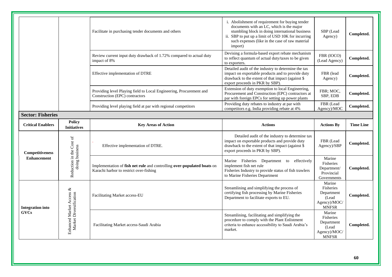|                          |                                                    | Facilitate in purchasing tender documents and others                                                               | i. Abolishment of requirement for buying tender<br>documents with an LC, which is the major<br>stumbling block in doing international business<br>ii. SBP to put up a limit of USD 10K for incurring<br>such expenses (like in the case of raw material<br>import) | SBP (Lead<br>Agency)                                                       | Completed.       |
|--------------------------|----------------------------------------------------|--------------------------------------------------------------------------------------------------------------------|--------------------------------------------------------------------------------------------------------------------------------------------------------------------------------------------------------------------------------------------------------------------|----------------------------------------------------------------------------|------------------|
|                          |                                                    | Review current input duty drawback of 1.72% compared to actual duty<br>impact of 8%                                | Devising a formula-based export rebate mechanism<br>to reflect quantum of actual duty/taxes to be given<br>to exporters.                                                                                                                                           | FBR (IOCO)<br>(Lead Agency)                                                | Completed.       |
|                          |                                                    | Effective implementation of DTRE                                                                                   | Detailed audit of the industry to determine the tax<br>impact on exportable products and to provide duty<br>drawback to the extent of that impact (against \$<br>export proceeds in PKR by SBP).                                                                   | FBR (lead<br>Agency)                                                       | Completed.       |
|                          |                                                    | Providing level Playing field to Local Engineering, Procurement and<br>Construction (EPC) contractors              | Extension of duty exemption to local Engineering,<br>Procurement and Construction (EPC) contractors at<br>par with foreign EPCs for setting up power plants                                                                                                        | FBR; MOC,<br>SBP, EDB                                                      | Completed.       |
|                          |                                                    | Providing level playing field at par with regional competitors                                                     | Providing duty rebates to industry at par with<br>competitors e.g. India providing rebate at 4%                                                                                                                                                                    | FBR (Lead<br>Agency)/MOC                                                   | Completed.       |
| <b>Sector: Fisheries</b> |                                                    |                                                                                                                    |                                                                                                                                                                                                                                                                    |                                                                            |                  |
| <b>Critical Enablers</b> | <b>Policy</b><br><b>Initiatives</b>                | <b>Key Areas of Action</b>                                                                                         | <b>Actions</b>                                                                                                                                                                                                                                                     | <b>Actions By</b>                                                          | <b>Time Line</b> |
| Competitiveness          | Reduction in the Cost of<br>doing business         | Effective implementation of DTRE.                                                                                  | Detailed audit of the industry to determine tax<br>impact on exportable products and provide duty<br>drawback to the extent of that impact (against \$<br>export proceeds in PKR by SBP).                                                                          | FBR (Lead<br>Agency)/SBP                                                   | Completed.       |
| <b>Enhancement</b>       |                                                    | Implementation of fish net rule and controlling over-populated boats on<br>Karachi harbor to restrict over-fishing | Marine Fisheries Department to effectively<br>implement fish net rule<br>Fisheries Industry to provide status of fish trawlers<br>to Marine Fisheries Department                                                                                                   | Marine<br>Fisheries<br>Department/<br>Provincial<br>Governments            | Completed.       |
| <b>Integration into</b>  |                                                    | Facilitating Market access-EU                                                                                      | Streamlining and simplifying the process of<br>certifying fish processing by Marine Fisheries<br>Department to facilitate exports to EU.                                                                                                                           | Marine<br>Fisheries<br>Department<br>(Lead<br>Agency)/MOC/<br><b>MNFSR</b> | Completed.       |
| <b>GVCs</b>              | Enhanced Market Access &<br>Market Diversification | Facilitating Market access-Saudi Arabia                                                                            | Streamlining, facilitating and simplifying the<br>procedure to comply with the Plant Enlistment<br>criteria to enhance accessibility to Saudi Arabia's<br>market.                                                                                                  | Marine<br>Fisheries<br>Department<br>(Lead<br>Agency)/MOC/<br><b>MNFSR</b> | Completed.       |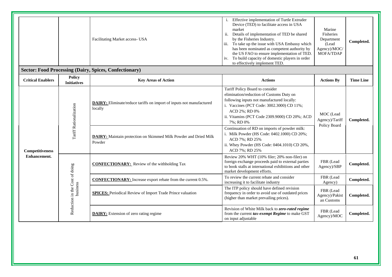|                          |                                            | Facilitating Market access- USA                                                   | Effective implementation of Turtle Extruder<br>Device (TED) to facilitate access in USA<br>market<br>ii.<br>Details of implementation of TED be shared<br>by the Fisheries Industry.<br>To take up the issue with USA Embassy which<br>iii.<br>has been nominated as competent authority by<br>the US FAO to ensure implementation of TED.<br>To build capacity of domestic players in order<br>iv.<br>to effectively implement TED. | Marine<br>Fisheries<br>Department<br>(Lead<br>Agency)/MOC/<br>MOFA/TDAP                                                                                                                                                                               | Completed.                  |            |
|--------------------------|--------------------------------------------|-----------------------------------------------------------------------------------|--------------------------------------------------------------------------------------------------------------------------------------------------------------------------------------------------------------------------------------------------------------------------------------------------------------------------------------------------------------------------------------------------------------------------------------|-------------------------------------------------------------------------------------------------------------------------------------------------------------------------------------------------------------------------------------------------------|-----------------------------|------------|
|                          |                                            | <b>Sector: Food Processing (Dairy, Spices, Confectionary)</b>                     |                                                                                                                                                                                                                                                                                                                                                                                                                                      |                                                                                                                                                                                                                                                       |                             |            |
| <b>Critical Enablers</b> | <b>Policy</b><br><b>Initiatives</b>        | <b>Key Areas of Action</b>                                                        | <b>Actions</b>                                                                                                                                                                                                                                                                                                                                                                                                                       | <b>Actions By</b>                                                                                                                                                                                                                                     | <b>Time Line</b>            |            |
|                          |                                            | Tariff Rationalization                                                            | <b>DAIRY:</b> Eliminate/reduce tariffs on import of inputs not manufactured<br>locally                                                                                                                                                                                                                                                                                                                                               | Tariff Policy Board to consider<br>elimination/reduction of Customs Duty on<br>following inputs not manufactured locally:<br>i. Vaccines (PCT Code: 3002.3000) CD 11%;<br>ACD 2%; RD 0%<br>ii. Vitamins (PCT Code 2309.9000) CD 20%; ACD<br>7%; RD 0% | MOC (Lead<br>Agency)/Tariff | Completed. |
| <b>Competitiveness</b>   |                                            | <b>DAIRY:</b> Maintain protection on Skimmed Milk Powder and Dried Milk<br>Powder | Continuation of RD on imports of powder milk:<br>i. Milk Powder (HS Code: 0402.1000) CD 20%;<br>ACD 7%; RD 25%<br>ii. Whey Powder (HS Code: 0404.1010) CD 20%,<br>ACD 7%; RD 25%                                                                                                                                                                                                                                                     | Policy Board                                                                                                                                                                                                                                          |                             |            |
| <b>Enhancement.</b>      |                                            |                                                                                   | <b>CONFECTIONARY:</b> Review of the withholding Tax                                                                                                                                                                                                                                                                                                                                                                                  | Review 20% WHT (10% filer; 20% non-filer) on<br>foreign exchange proceeds paid to external parties<br>to book stalls at international exhibitions and other<br>market development efforts.                                                            | FBR (Lead<br>Agency)/SBP    | Completed. |
|                          |                                            | <b>CONFECTIONARY:</b> Increase export rebate from the current 0.5%.               | To review the current rebate and consider<br>increasing it to facilitate industry                                                                                                                                                                                                                                                                                                                                                    | FBR (Lead<br>Agency)                                                                                                                                                                                                                                  | Completed.                  |            |
|                          | Reduction in the Cost of doing<br>business | <b>SPICES:</b> Periodical Review of Import Trade Prince valuation                 | The ITP policy should have defined revision<br>frequency in order to avoid use of outdated prices<br>(higher than market prevailing prices).                                                                                                                                                                                                                                                                                         | FBR (Lead<br>Agency)/Pakist<br>an Customs                                                                                                                                                                                                             | Completed.<br>Completed.    |            |
|                          |                                            | <b>DAIRY:</b> Extension of zero rating regime                                     | Revision of White Milk back to zero-rated regime<br>from the current tax-exempt Regime to make GST<br>on input adjustable                                                                                                                                                                                                                                                                                                            | FBR (Lead<br>Agency)/MOC                                                                                                                                                                                                                              |                             |            |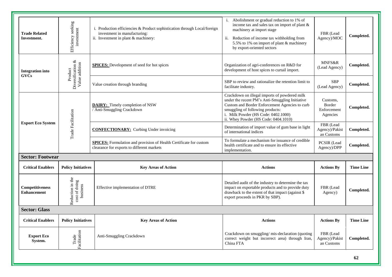| <b>Export Eco</b><br>System.                 | Facilitation<br>Trade                            | Anti-Smuggling Crackdown                                                                                                                          | Crackdown on smuggling/mis-declaration (quoting<br>correct weight but incorrect area) through Iran,<br>China FTA                                                                                                                                                      | FBR (Lead<br>Agency)/Pakist<br>an Customs     | Completed.       |
|----------------------------------------------|--------------------------------------------------|---------------------------------------------------------------------------------------------------------------------------------------------------|-----------------------------------------------------------------------------------------------------------------------------------------------------------------------------------------------------------------------------------------------------------------------|-----------------------------------------------|------------------|
| <b>Critical Enablers</b>                     | <b>Policy Initiatives</b>                        | <b>Key Areas of Action</b>                                                                                                                        | <b>Actions</b>                                                                                                                                                                                                                                                        | <b>Actions By</b>                             | <b>Time Line</b> |
| <b>Sector: Glass</b>                         |                                                  |                                                                                                                                                   |                                                                                                                                                                                                                                                                       |                                               |                  |
| <b>Competitiveness</b><br><b>Enhancement</b> | Reduction in the<br>cost of doing<br>business    | Effective implementation of DTRE                                                                                                                  | Detailed audit of the industry to determine the tax<br>impact on exportable products and to provide duty<br>drawback to the extent of that impact (against \$<br>export proceeds in PKR by SBP).                                                                      | FBR (Lead<br>Agency)                          | Completed.       |
| <b>Critical Enablers</b>                     | <b>Policy Initiatives</b>                        | <b>Key Areas of Action</b>                                                                                                                        | <b>Actions</b>                                                                                                                                                                                                                                                        | <b>Actions By</b>                             | <b>Time Line</b> |
| <b>Sector: Footwear</b>                      |                                                  |                                                                                                                                                   |                                                                                                                                                                                                                                                                       |                                               |                  |
|                                              |                                                  | <b>SPICES:</b> Formulation and provision of Health Certificate for custom<br>clearance for exports to different markets                           | To formulate a mechanism for issuance of credible<br>health certificate and to ensure its effective<br>implementation.                                                                                                                                                | <b>PCSIR</b> (Lead<br>Agency)/DPP             | Completed.       |
| <b>Export Eco System</b>                     | Trade Facilitation                               | <b>CONFECTIONARY:</b> Curbing Under invoicing                                                                                                     | Determination of import value of gum base in light<br>of international indices                                                                                                                                                                                        | FBR (Lead<br>Agency)/Pakist<br>an Customs     | Completed.       |
|                                              |                                                  | <b>DAIRY:</b> Timely completion of NSW<br>/ Anti-Smuggling Crackdown                                                                              | Crackdown on illegal imports of powdered milk<br>under the recent PM's Anti-Smuggling Initiative<br>Custom and Border Enforcement Agencies to curb<br>smuggling of following products:<br>i. Milk Powder (HS Code: 0402.1000)<br>ii. Whey Powder (HS Code: 0404.1010) | Customs,<br>Border<br>Enforcement<br>Agencies | Completed.       |
|                                              |                                                  | Value creation through branding                                                                                                                   | SBP to review and rationalize the retention limit to<br>facilitate industry.                                                                                                                                                                                          | <b>SBP</b><br>(Lead Agency)                   | Completed.       |
| <b>Integration</b> into<br><b>GVCs</b>       | Diversification $&$<br>Value addition<br>Product | <b>SPICES:</b> Development of seed for hot spices                                                                                                 | Organization of agri-conferences on R&D for<br>development of host spices to curtail import.                                                                                                                                                                          | MNFS&R<br>(Lead Agency)                       | Completed.       |
| <b>Trade Related</b><br>Investment.          | Efficiency seeking<br>investment                 | i. Production efficiencies & Product sophistication through Local/foreign<br>investment in manufacturing:<br>ii. Investment in plant & machinery: | i. Abolishment or gradual reduction to 1% of<br>income tax and sales tax on import of plant &<br>machinery at import stage<br>ii.<br>Reduction of income tax withholding from<br>5.5% to 1% on import of plant & machinery<br>by export-oriented sectors              | FBR (Lead<br>Agency)/MOC                      | Completed.       |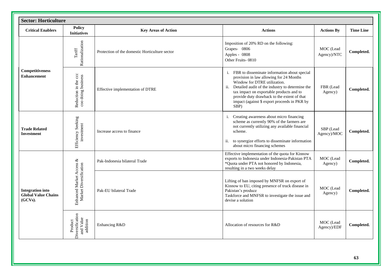| <b>Sector: Horticulture</b>                                      |                                                     |                                                |                                                                                                                                                                                                                                                                                                                                      |                          |                  |
|------------------------------------------------------------------|-----------------------------------------------------|------------------------------------------------|--------------------------------------------------------------------------------------------------------------------------------------------------------------------------------------------------------------------------------------------------------------------------------------------------------------------------------------|--------------------------|------------------|
| <b>Critical Enablers</b>                                         | <b>Policy</b><br><b>Initiatives</b>                 | <b>Key Areas of Action</b>                     | <b>Actions</b>                                                                                                                                                                                                                                                                                                                       | <b>Actions By</b>        | <b>Time Line</b> |
| Competitiveness<br><b>Enhancement</b>                            | Rationalization<br>$\operatorname{Tariff}$          | Protection of the domestic Horticulture sector | Imposition of 20% RD on the following:<br>Grapes- 0806<br>Apples - 0808<br>Other Fruits-0810                                                                                                                                                                                                                                         | MOC (Lead<br>Agency)/NTC | Completed.       |
|                                                                  | Reduction in the ccc<br>coo doing business          | Effective implementation of DTRE               | i. FBR to disseminate information about special<br>provision in law allowing for 24 Months<br>Window for DTRE utilization.<br>ii. Detailed audit of the industry to determine the<br>tax impact on exportable products and to<br>provide duty drawback to the extent of that<br>impact (against \$ export proceeds in PKR by<br>SBP) | FBR (Lead<br>Agency)     | Completed.       |
| <b>Trade Related</b><br><b>Investment</b>                        | Efficiency Seeking<br>investment                    | Increase access to finance                     | i. Creating awareness about micro financing<br>scheme as currently 90% of the farmers are<br>not currently utilizing any available financial<br>scheme.<br>ii. to synergize efforts to disseminate information<br>about micro financing schemes                                                                                      | SBP (Lead<br>Agency)/MOC | Completed.       |
|                                                                  |                                                     | Pak-Indonesia bilateral Trade                  | Effective implementation of the quota for Kinnow<br>exports to Indonesia under Indonesia-Pakistan PTA<br>*Quota under PTA not honored by Indonesia,<br>resulting in a two weeks delay                                                                                                                                                | MOC (Lead<br>Agency)     | Completed.       |
| <b>Integration into</b><br><b>Global Value Chains</b><br>(GCVs). | Enhanced Market Access &<br>Market Diversification  | Pak-EU bilateral Trade                         | Lifting of ban imposed by MNFSR on export of<br>Kinnow to EU, citing presence of truck disease in<br>Pakistan's produce<br>Taskforce and MNFSR to investigate the issue and<br>devise a solution                                                                                                                                     | MOC (Lead<br>Agency)     | Completed.       |
|                                                                  | Diversification<br>and Value<br>addition<br>Product | Enhancing R&D                                  | Allocation of resources for R&D                                                                                                                                                                                                                                                                                                      | MOC (Lead<br>Agency)/EDF | Completed.       |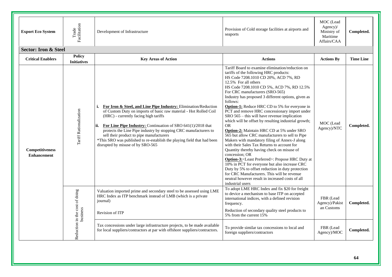| <b>Export Eco System</b>                     | Trade<br>Facilitation                      | Development of Infrastructure                                                                                                                                                                                                                                                                                                                                                                                                                                                           | Provision of Cold storage facilities at airports and<br>seaports                                                                                                                                                                                                                                                                                                                                                                                                                                                                                                                                                                                                                                                                                                                                                                                                                                                                                                                                                                                                                                                    | MOC (Lead<br>$Agency$ )/<br>Ministry of<br>Maritime<br>Affairs/CAA | Completed.       |
|----------------------------------------------|--------------------------------------------|-----------------------------------------------------------------------------------------------------------------------------------------------------------------------------------------------------------------------------------------------------------------------------------------------------------------------------------------------------------------------------------------------------------------------------------------------------------------------------------------|---------------------------------------------------------------------------------------------------------------------------------------------------------------------------------------------------------------------------------------------------------------------------------------------------------------------------------------------------------------------------------------------------------------------------------------------------------------------------------------------------------------------------------------------------------------------------------------------------------------------------------------------------------------------------------------------------------------------------------------------------------------------------------------------------------------------------------------------------------------------------------------------------------------------------------------------------------------------------------------------------------------------------------------------------------------------------------------------------------------------|--------------------------------------------------------------------|------------------|
| <b>Sector: Iron &amp; Steel</b>              |                                            |                                                                                                                                                                                                                                                                                                                                                                                                                                                                                         |                                                                                                                                                                                                                                                                                                                                                                                                                                                                                                                                                                                                                                                                                                                                                                                                                                                                                                                                                                                                                                                                                                                     |                                                                    |                  |
| <b>Critical Enablers</b>                     | <b>Policy</b><br><b>Initiatives</b>        | <b>Key Areas of Action</b>                                                                                                                                                                                                                                                                                                                                                                                                                                                              | <b>Actions</b>                                                                                                                                                                                                                                                                                                                                                                                                                                                                                                                                                                                                                                                                                                                                                                                                                                                                                                                                                                                                                                                                                                      | <b>Actions By</b>                                                  | <b>Time Line</b> |
| <b>Competitiveness</b><br><b>Enhancement</b> | Tariff Rationalization                     | <b>i.</b> For Iron & Steel, and Line Pipe Industry: Elimination/Reduction<br>of Custom Duty on imports of basic raw material - Hot Rolled Coil<br>(HRC) - currently facing high tariffs<br>For Line Pipe Industry: Continuation of SRO 641(1)/2018 that<br>protects the Line Pipe industry by stopping CRC manufacturers to<br>sell their product to pipe manufacturers<br>*This SRO was published to re-establish the playing field that had been<br>disrupted by misuse of by SRO-565 | Tariff Board to examine elimination/reduction on<br>tariffs of the following HRC products:<br>HS Code 7208.1010 CD 20%, ACD 7%, RD<br>12.5% For all others<br>HS Code 7208.1010 CD 5%, ACD 7%, RD 12.5%<br>For CRC manufacturers (SRO-565)<br>Industry has proposed 3 different options, given as<br>follows:<br><b>Option-1:</b> Reduce HRC CD to 5% for everyone in<br>PCT and remove HRC concessionary import under<br>SRO 565 - this will have revenue implication<br>which will be offset by resulting industrial growth;<br><b>OR</b><br>Option-2: Maintain HRC CD at 5% under SRO<br>565 but allow CRC manufacturers to sell to Pipe<br>Makers with mandatory filing of Annex-J along<br>with their Sales Tax Returns to account for<br>Quantity thereby having check on misuse of<br>concession; OR<br><b>Option-3:</b> <least preferred="">: Propose HRC Duty at<br/>10% in PCT for everyone but also increase CRC<br/>Duty by 5% to offset reduction in duty protection<br/>for CRC Manufacturers. This will be revenue<br/>neutral however result in increased costs of all<br/>industrial users</least> | MOC (Lead<br>Agency)/NTC                                           | Completed.       |
|                                              | journal)                                   | Valuation imported prime and secondary steel to be assessed using LME<br>HRC Index as ITP benchmark instead of LMB (which is a private                                                                                                                                                                                                                                                                                                                                                  | To adopt LME HRC Index and fix \$20 for freight<br>to device a mechanism to base ITP on accepted<br>international indices, with a defined revision<br>frequency.                                                                                                                                                                                                                                                                                                                                                                                                                                                                                                                                                                                                                                                                                                                                                                                                                                                                                                                                                    | FBR (Lead<br>Agency)/Pakist                                        | Completed.       |
|                                              |                                            | Revision of ITP                                                                                                                                                                                                                                                                                                                                                                                                                                                                         | Reduction of secondary quality steel products to<br>5% from the current 15%                                                                                                                                                                                                                                                                                                                                                                                                                                                                                                                                                                                                                                                                                                                                                                                                                                                                                                                                                                                                                                         | an Customs                                                         |                  |
|                                              | Reduction in the cost of doing<br>business | Tax concessions under large infrastructure projects, to be made available<br>for local suppliers/contractors at par with offshore suppliers/contractors.                                                                                                                                                                                                                                                                                                                                | To provide similar tax concessions to local and<br>foreign suppliers/contractors                                                                                                                                                                                                                                                                                                                                                                                                                                                                                                                                                                                                                                                                                                                                                                                                                                                                                                                                                                                                                                    | FBR (Lead<br>Agency)/MOC                                           | Completed.       |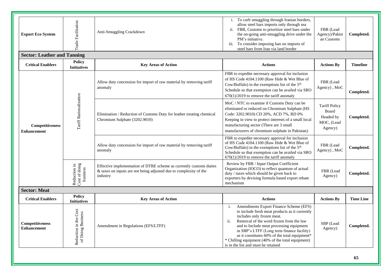| <b>Export Eco System</b>              | Trade Facilitation                         | Anti-Smuggling Crackdown                                                                                                                             | i. To curb smuggling through Iranian borders,<br>allow steel bars imports only through sea<br>ii. FBR, Customs to prioritize steel bars under<br>the on-going anti-smuggling drive under the<br>PM's initiative.<br>To consider imposing ban on imports of<br>iii.<br>steel bars from Iran via land border                                                                                                                              | FBR (Lead<br>Agency)/Pakist<br>an Customs                           | Completed.       |  |  |  |  |  |
|---------------------------------------|--------------------------------------------|------------------------------------------------------------------------------------------------------------------------------------------------------|-----------------------------------------------------------------------------------------------------------------------------------------------------------------------------------------------------------------------------------------------------------------------------------------------------------------------------------------------------------------------------------------------------------------------------------------|---------------------------------------------------------------------|------------------|--|--|--|--|--|
| <b>Sector: Leather and Tanning</b>    |                                            |                                                                                                                                                      |                                                                                                                                                                                                                                                                                                                                                                                                                                         |                                                                     |                  |  |  |  |  |  |
| <b>Critical Enablers</b>              | <b>Policy</b><br><b>Initiatives</b>        | <b>Key Areas of Action</b>                                                                                                                           | <b>Actions</b>                                                                                                                                                                                                                                                                                                                                                                                                                          | <b>Actions By</b>                                                   | <b>Timeline</b>  |  |  |  |  |  |
| Competitiveness<br><b>Enhancement</b> | Tariff Rationalization                     | Allow duty concession for import of raw material by removing tariff<br>anomaly                                                                       | FBR to expedite necessary approval for inclusion<br>of HS Code 4104.1100 (Raw Hide & Wet Blue of<br>Cow/Buffalo) in the exemptions list of the 5 <sup>th</sup><br>Schedule so that exemption can be availed via SRO<br>$670(1)/2019$ to remove the tariff anomaly                                                                                                                                                                       | FBR (Lead<br>Agency), MoC                                           | Completed.       |  |  |  |  |  |
|                                       |                                            | Elimination / Reduction of Customs Duty for leather treating chemical<br>Chromium Sulphate (3202.9010)                                               | MoC / NTC to examine if Customs Duty can be<br>eliminated or reduced on Chromium Sulphate (HS<br>Code: 3202.9010) CD 20%, ACD 7%, RD 0%<br>Keeping in view to protect interests of a small local<br>manufacturing sector (There are 3 small<br>manufacturers of chromium sulphate in Pakistan).                                                                                                                                         | <b>Tariff Policy</b><br>Board<br>Headed by<br>MOC, (Lead<br>Agency) | Completed.       |  |  |  |  |  |
|                                       |                                            | Allow duty concession for import of raw material by removing tariff<br>anomaly                                                                       | FBR to expedite necessary approval for inclusion<br>of HS Code 4104.1100 (Raw Hide & Wet Blue of<br>Cow/Buffalo) in the exemptions list of the 5 <sup>th</sup><br>Schedule so that exemption can be availed via SRO<br>$670(1)/2019$ to remove the tariff anomaly                                                                                                                                                                       | FBR (Lead<br>Agency), MoC                                           | Completed.       |  |  |  |  |  |
|                                       | Reduction in<br>Cost of doing<br>business  | Effective implementation of DTRE scheme as currently customs duties<br>& taxes on inputs are not being adjusted due to complexity of the<br>industry | Review by FBR / Input Output Coefficient<br>Organization (IOCO) to reflect quantum of actual<br>duty / taxes which should be given back to<br>exporters by devising formula based export rebate<br>mechanism                                                                                                                                                                                                                            | FBR (Lead<br>Agency)                                                | Completed.       |  |  |  |  |  |
| <b>Sector: Meat</b>                   |                                            |                                                                                                                                                      |                                                                                                                                                                                                                                                                                                                                                                                                                                         |                                                                     |                  |  |  |  |  |  |
| <b>Critical Enablers</b>              | <b>Policy</b><br><b>Initiatives</b>        | <b>Key Areas of Action</b>                                                                                                                           | <b>Actions</b>                                                                                                                                                                                                                                                                                                                                                                                                                          | <b>Actions By</b>                                                   | <b>Time Line</b> |  |  |  |  |  |
| Competitiveness<br><b>Enhancement</b> | Reduction in the Cost<br>of Doing Business | Amendment in Regulations (EFS/LTFF)                                                                                                                  | Amendments Export Finance Scheme (EFS)<br>i.<br>to include fresh meat products as it currently<br>includes only frozen meat.<br>Removal of the word frozen from the law<br>$\ddot{\mathbf{i}}$ .<br>and to Include meat processing equipment<br>in SBP's LTFF (Long term finance facility)<br>as it constitutes 60% of the total equipment*<br>* Chilling equipment (40% of the total equipment)<br>is in the list and must be retained | SBP (Lead<br>Agency)                                                | Completed.       |  |  |  |  |  |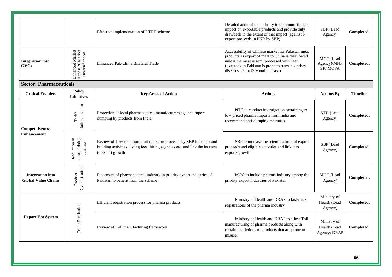|                                                       |                                                       | Effective implementation of DTRE scheme                                                                                                                                    | Detailed audit of the industry to determine the tax<br>impact on exportable products and provide duty<br>drawback to the extent of that impact (against \$<br>export proceeds in PKR by SBP)                                                   | FBR (Lead<br>Agency)                        | Completed.      |  |  |  |  |  |
|-------------------------------------------------------|-------------------------------------------------------|----------------------------------------------------------------------------------------------------------------------------------------------------------------------------|------------------------------------------------------------------------------------------------------------------------------------------------------------------------------------------------------------------------------------------------|---------------------------------------------|-----------------|--|--|--|--|--|
| <b>Integration</b> into<br><b>GVCs</b>                | Enhanced Market<br>Access & Market<br>Diversification | Enhanced Pak-China Bilateral Trade                                                                                                                                         | Accessibility of Chinese market for Pakistan meat<br>products as export of meat to China is disallowed<br>unless the meat is semi processed with heat<br>(livestock in Pakistan is prone to trans-boundary<br>diseases - Foot & Mouth disease) | MOC (Lead<br>Agency)/MNF<br>SR/MOFA         | Completed.      |  |  |  |  |  |
|                                                       | <b>Sector: Pharmaceuticals</b>                        |                                                                                                                                                                            |                                                                                                                                                                                                                                                |                                             |                 |  |  |  |  |  |
| <b>Critical Enablers</b>                              | <b>Policy</b><br><b>Initiatives</b>                   | <b>Key Areas of Action</b>                                                                                                                                                 | <b>Actions</b>                                                                                                                                                                                                                                 | <b>Actions By</b>                           | <b>Timeline</b> |  |  |  |  |  |
| Competitiveness<br><b>Enhancement</b>                 | Rationalization<br>$\operatorname{Tariff}$            | Protection of local pharmaceutical manufacturers against import<br>dumping by products from India                                                                          | NTC to conduct investigation pertaining to<br>low priced pharma imports from India and<br>recommend anti-dumping measures.                                                                                                                     | NTC (Lead<br>Agency)                        | Completed.      |  |  |  |  |  |
|                                                       | cost of doing<br>Reduction in<br>business             | Review of 10% retention limit of export proceeds by SBP to help brand<br>building activities, listing fees, hiring agencies etc. and link the increase<br>to export growth | SBP to increase the retention limit of export<br>proceeds and eligible activities and link it to<br>exports growth                                                                                                                             | SBP (Lead<br>Agency)                        | Completed.      |  |  |  |  |  |
| <b>Integration into</b><br><b>Global Value Chains</b> | Diversification<br>Product                            | Placement of pharmaceutical industry in priority export industries of<br>Pakistan to benefit from the scheme                                                               | MOC to include pharma industry among the<br>priority export industries of Pakistan                                                                                                                                                             | MOC (Lead<br>Agency)                        | Completed.      |  |  |  |  |  |
| <b>Export Eco System</b>                              | Trade Facilitation                                    | Efficient registration process for pharma products                                                                                                                         | Ministry of Health and DRAP to fast-track<br>registrations of the pharma industry                                                                                                                                                              | Ministry of<br>Health (Lead<br>Agency)      | Completed.      |  |  |  |  |  |
|                                                       |                                                       | Review of Toll manufacturing framework                                                                                                                                     | Ministry of Health and DRAP to allow Toll<br>manufacturing of pharma products along with<br>certain restrictions on products that are prone to<br>misuse.                                                                                      | Ministry of<br>Health (Lead<br>Agency; DRAP | Completed.      |  |  |  |  |  |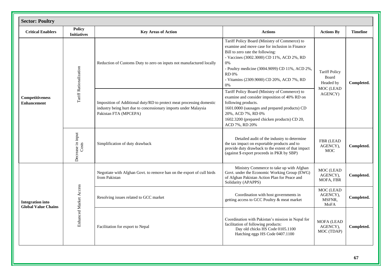| <b>Sector: Poultry</b>                                |                                     |                                                                                                                                                                  |                                                                                                                                                                                                                                                                                                             |                                                                    |                 |
|-------------------------------------------------------|-------------------------------------|------------------------------------------------------------------------------------------------------------------------------------------------------------------|-------------------------------------------------------------------------------------------------------------------------------------------------------------------------------------------------------------------------------------------------------------------------------------------------------------|--------------------------------------------------------------------|-----------------|
| <b>Critical Enablers</b>                              | <b>Policy</b><br><b>Initiatives</b> | <b>Key Areas of Action</b>                                                                                                                                       | <b>Actions</b>                                                                                                                                                                                                                                                                                              | <b>Actions By</b>                                                  | <b>Timeline</b> |
| Competitiveness<br><b>Enhancement</b>                 | Tariff Rationalization              | Reduction of Customs Duty to zero on inputs not manufactured locally                                                                                             | Tariff Policy Board (Ministry of Commerce) to<br>examine and move case for inclusion in Finance<br>Bill to zero rate the following:<br>- Vaccines (3002.3000) CD 11%, ACD 2%, RD<br>0%<br>- Poultry medicine (3004.9099) CD 11%, ACD 2%,<br><b>RD</b> 0%<br>- Vitamins (2309.9000) CD 20%, ACD 7%, RD<br>0% | <b>Tariff Policy</b><br>Board<br>Headed by<br>MOC (LEAD<br>AGENCY) | Completed.      |
|                                                       |                                     | Imposition of Additional duty/RD to protect meat processing domestic<br>industry being hurt due to concessionary imports under Malaysia<br>Pakistan FTA (MPCEPA) | Tariff Policy Board (Ministry of Commerce) to<br>examine and consider imposition of 40% RD on<br>following products.<br>1601.0000 (sausages and prepared products) CD<br>20%, ACD 7%, RD 0%<br>1602.3200 (prepared chicken products) CD 20,<br>ACD 7%, RD 20%                                               |                                                                    |                 |
|                                                       | Decrease in input<br>Costs          | Simplification of duty drawback                                                                                                                                  | Detailed audit of the industry to determine<br>the tax impact on exportable products and to<br>provide duty drawback to the extent of that impact<br>(against \$ export proceeds in PKR by SBP)                                                                                                             | FBR (LEAD<br>AGENCY),<br><b>MOC</b>                                | Completed.      |
|                                                       |                                     | Negotiate with Afghan Govt. to remove ban on the export of cull birds<br>from Pakistan                                                                           | Ministry Commerce to take up with Afghan<br>Govt. under the Economic Working Group (EWG)<br>of Afghan Pakistan Action Plan for Peace and<br>Solidarity (APAPPS)                                                                                                                                             | MOC (LEAD<br>AGENCY),<br>MOFA, FBR                                 | Completed.      |
| <b>Integration</b> into<br><b>Global Value Chains</b> | Enhanced Market Access              | Resolving issues related to GCC market                                                                                                                           | Coordination with host governments in<br>getting access to GCC Poultry & meat market                                                                                                                                                                                                                        | MOC (LEAD<br>AGENCY),<br>MSFNR,<br>MoFA                            | Completed.      |
|                                                       |                                     | Facilitation for export to Nepal                                                                                                                                 | Coordination with Pakistan's mission in Nepal for<br>facilitation of following products:<br>Day old chicks HS Code 0105.1100<br>Hatching eggs HS Code 0407.1100                                                                                                                                             | <b>MOFA (LEAD</b><br>AGENCY),<br>MOC (TDAP)                        | Completed.      |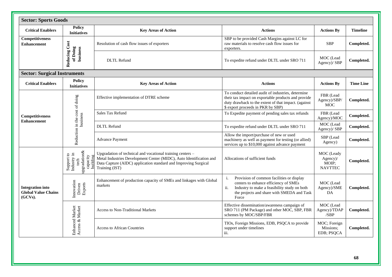| <b>Sector: Sports Goods</b>                                      |                                                                                                                               |                                                                                                                                                                                                                        |                                                                                                                                                                                                           |                                                   |                  |  |  |  |  |  |  |  |
|------------------------------------------------------------------|-------------------------------------------------------------------------------------------------------------------------------|------------------------------------------------------------------------------------------------------------------------------------------------------------------------------------------------------------------------|-----------------------------------------------------------------------------------------------------------------------------------------------------------------------------------------------------------|---------------------------------------------------|------------------|--|--|--|--|--|--|--|
| <b>Critical Enablers</b>                                         | Policy<br><b>Initiatives</b>                                                                                                  | <b>Key Areas of Action</b>                                                                                                                                                                                             | <b>Actions</b>                                                                                                                                                                                            | <b>Actions By</b>                                 | <b>Timeline</b>  |  |  |  |  |  |  |  |
| Competitiveness<br><b>Enhancement</b>                            |                                                                                                                               | Resolution of cash flow issues of exporters                                                                                                                                                                            | SBP to be provided Cash Margins against LC for<br>raw materials to resolve cash flow issues for<br>exporters.                                                                                             | <b>SBP</b>                                        | Completed.       |  |  |  |  |  |  |  |
|                                                                  | <b>Reducing Cost</b><br>of Doing<br>business                                                                                  | <b>DLTL</b> Refund                                                                                                                                                                                                     | To expedite refund under DLTL under SRO 711                                                                                                                                                               | MOC (Lead<br>Agency)/ SBP                         | Completed.       |  |  |  |  |  |  |  |
| <b>Sector: Surgical Instruments</b>                              |                                                                                                                               |                                                                                                                                                                                                                        |                                                                                                                                                                                                           |                                                   |                  |  |  |  |  |  |  |  |
| <b>Critical Enablers</b>                                         | <b>Policy</b><br><b>Initiatives</b>                                                                                           | <b>Key Areas of Action</b>                                                                                                                                                                                             | <b>Actions</b>                                                                                                                                                                                            | <b>Actions By</b>                                 | <b>Time Line</b> |  |  |  |  |  |  |  |
| Competitiveness<br><b>Enhancement</b>                            | Reduction in the cost of doing                                                                                                | Effective implementation of DTRE scheme                                                                                                                                                                                | To conduct detailed audit of industries, determine<br>their tax impact on exportable products and provide<br>duty drawback to the extent of that impact. (against<br>\$ export proceeds in PKR by SBP)    | FBR (Lead<br>Agency)/SBP/<br><b>MOC</b>           | Completed.       |  |  |  |  |  |  |  |
|                                                                  | business                                                                                                                      | Sales Tax Refund                                                                                                                                                                                                       | To Expedite payment of pending sales tax refunds                                                                                                                                                          | FBR (Lead<br>Agency)/MOC                          | Completed.       |  |  |  |  |  |  |  |
|                                                                  |                                                                                                                               | <b>DLTL</b> Refund                                                                                                                                                                                                     | To expedite refund under DLTL under SRO 711                                                                                                                                                               | MOC (Lead<br>Agency)/ SBP                         | Completed.       |  |  |  |  |  |  |  |
|                                                                  |                                                                                                                               | <b>Advance Payment</b>                                                                                                                                                                                                 | Allow the import/purchase of new or used<br>machinery as well as payment for testing (or allied)<br>services up to \$10,000 against advance payment                                                       | SBP (Lead<br>Agency)                              | Completed.       |  |  |  |  |  |  |  |
|                                                                  | $\begin{tabular}{c} Support to \\ Industry in \\ \textbf{tech} \\ \textbf{upgradation} \& \\ \textbf{capacity} \end{tabular}$ | Upgradation of technical and vocational training centers -<br>Metal Industries Development Center (MIDC), Auto Identification and<br>Data Capture (AIDC) application standard and Improving Surgical<br>Training (IST) | Allocations of sufficient funds                                                                                                                                                                           | MOC (Leady<br>Agency)/<br>MOIP;<br><b>NAVTTEC</b> | Completed.       |  |  |  |  |  |  |  |
| <b>Integration into</b><br><b>Global Value Chains</b><br>(GCVs). | Innovation<br>Exports<br>Driven                                                                                               | Enhancement of production capacity of SMEs and linkages with Global<br>markets                                                                                                                                         | $i$ .<br>Provision of common facilities or display<br>centers to enhance efficiency of SMEs<br>ii.<br>Industry to make a feasibility study on both<br>the projects and share with SMEDA and Task<br>Force | MOC (Lead<br>Agency)/SME<br>DA                    | Completed.       |  |  |  |  |  |  |  |
|                                                                  | Market<br>Market                                                                                                              | <b>Access to Non-Traditional Markets</b>                                                                                                                                                                               | Effective dissemination/awareness campaign of<br>SRO 711 (PM Package) and other MOC, SBP, FBR<br>schemes by MOC/SBP/FBR                                                                                   | MOC (Lead<br>Agency)/TDAP<br>/SBP                 | Completed.       |  |  |  |  |  |  |  |
|                                                                  | Enhanced<br>Access &                                                                                                          | <b>Access to African Countries</b>                                                                                                                                                                                     | TIOs, Foreign Missions, EDB, PSQCA to provide<br>support under timelines<br>iii.                                                                                                                          | MOC; Foreign<br>Missions:<br>EDB; PSQCA           | Completed.       |  |  |  |  |  |  |  |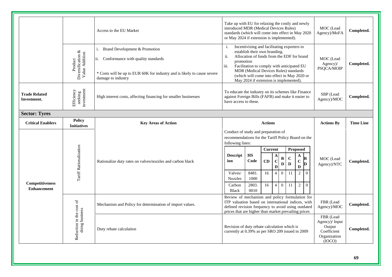|                                              |                                                | Access to the EU Market                                                                                                                                                      | Take up with EU for relaxing the costly and newly<br>introduced MDR (Medical Devices Rules)<br>standards (which will come into effect in May 2020<br>or May 2024 if extension is implemented).                                                                                                                                               |                                                          |                                  |                                                                                                                                    |                                        |                                                                                  |                                        | MOC (Lead<br>Agency)/MoFA | Completed. |
|----------------------------------------------|------------------------------------------------|------------------------------------------------------------------------------------------------------------------------------------------------------------------------------|----------------------------------------------------------------------------------------------------------------------------------------------------------------------------------------------------------------------------------------------------------------------------------------------------------------------------------------------|----------------------------------------------------------|----------------------------------|------------------------------------------------------------------------------------------------------------------------------------|----------------------------------------|----------------------------------------------------------------------------------|----------------------------------------|---------------------------|------------|
|                                              | Product<br>Diversification &<br>Value Addition | Brand Development & Promotion<br>Conformance with quality standards<br>ii.<br>* Costs will be up to EUR 60K for industry and is likely to cause severe<br>damage to industry | Incentivizing and facilitating exporters to<br>i.<br>establish their own branding.<br>ii.<br>Allocation of funds from the EDF for brand<br>promotion<br>iii.<br>Facilitation to comply with anticipated EU<br>MDR (Medical Devices Rules) standards<br>(which will come into effect in May 2020 or<br>May 2024 if extension is implemented). |                                                          |                                  |                                                                                                                                    | MOC (Lead<br>Agency)/<br>PSQCA/MOIP    | Completed.                                                                       |                                        |                           |            |
| <b>Trade Related</b><br>Investment.          | investment<br>Efficiency<br>seeking            | High interest costs, affecting financing for smaller businesses                                                                                                              | To educate the industry on its schemes like Finance<br>against Foreign Bills (FAFB) and make it easier to<br>have access to these.                                                                                                                                                                                                           |                                                          |                                  |                                                                                                                                    |                                        | SBP (Lead<br>Agency)/MOC                                                         | Completed.                             |                           |            |
| <b>Sector: Tyres</b>                         |                                                |                                                                                                                                                                              |                                                                                                                                                                                                                                                                                                                                              |                                                          |                                  |                                                                                                                                    |                                        |                                                                                  |                                        |                           |            |
| <b>Critical Enablers</b>                     | <b>Policy</b><br><b>Initiatives</b>            | <b>Key Areas of Action</b>                                                                                                                                                   | <b>Actions</b>                                                                                                                                                                                                                                                                                                                               |                                                          |                                  |                                                                                                                                    |                                        |                                                                                  | <b>Actions By</b>                      | <b>Time Line</b>          |            |
| <b>Competitiveness</b><br><b>Enhancement</b> | Tariff Rationalization                         | Rationalize duty rates on valves/nozzles and carbon black                                                                                                                    | Conduct of study and preparation of<br>recommendations for the Tariff Policy Board on the<br>following lines:<br><b>Descript</b><br>ion<br>Valves/<br><b>Nozzles</b><br>Carbon                                                                                                                                                               | $\mathbf{H}\mathbf{S}$<br>Code<br>8481.<br>1000<br>2803. | <b>Current</b><br>CD<br>16<br>16 | A<br>${\bf R}$<br>$\overline{\mathbf{C}}$<br>$\mathbf{D}$<br>D<br>$\mathbf{0}$<br>$\overline{4}$<br>$\mathbf{0}$<br>$\overline{4}$ | $\mathbf C$<br>$\mathbf D$<br>11<br>11 | Proposed<br>A<br>$\mathbf C$<br>$\mathbf{D}$<br>$\overline{2}$<br>$\sqrt{2}$     | R<br>D<br>$\theta$<br>$\boldsymbol{0}$ | MOC (Lead<br>Agency)/NTC  | Completed. |
|                                              | Reduction in the cost of<br>doing business     | Mechanism and Policy for determination of import values.                                                                                                                     | <b>Black</b><br>0010<br>Review of mechanism and policy formulation for<br>ITP valuation based on international indices, with<br>defined revision frequency to avoid using outdated                                                                                                                                                           |                                                          |                                  |                                                                                                                                    |                                        | FBR (Lead<br>Agency)/MOC<br>prices that are higher than market prevailing prices |                                        |                           | Completed. |
|                                              |                                                |                                                                                                                                                                              | Revision of duty rebate calculation which is<br>currently at 0.39% as per SRO 209 issued in 2009                                                                                                                                                                                                                                             |                                                          |                                  |                                                                                                                                    | FBR (Lead                              |                                                                                  |                                        |                           |            |